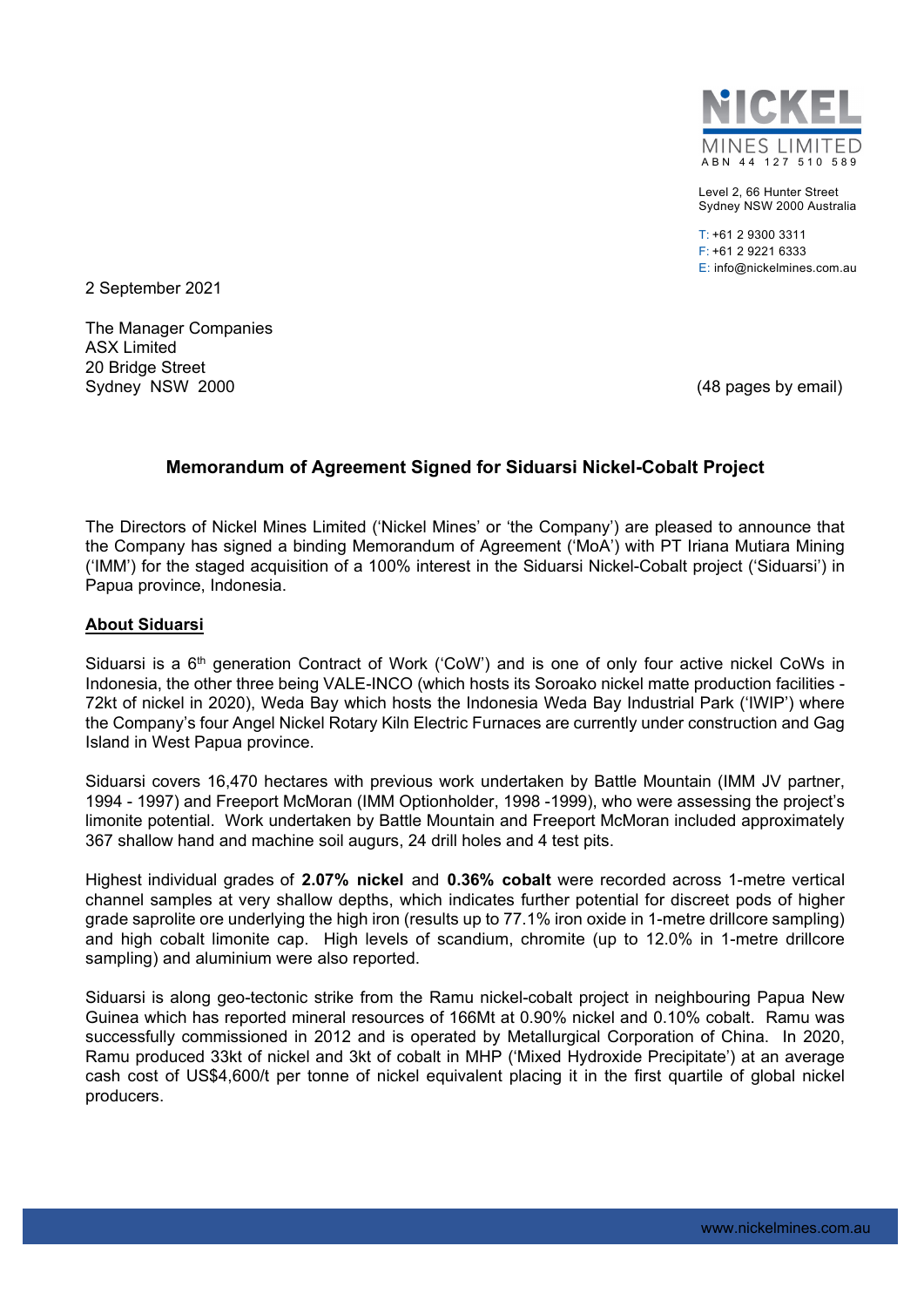

Level 2, 66 Hunter Street Sydney NSW 2000 Australia

T: +61 2 9300 3311 F: +61 2 9221 6333 E: info@nickelmines.com.au

2 September 2021

The Manager Companies ASX Limited 20 Bridge Street Sydney NSW 2000 **(18 pages by email)** Sydney NSW 2000

## **Memorandum of Agreement Signed for Siduarsi Nickel-Cobalt Project**

The Directors of Nickel Mines Limited ('Nickel Mines' or 'the Company') are pleased to announce that the Company has signed a binding Memorandum of Agreement ('MoA') with PT Iriana Mutiara Mining ('IMM') for the staged acquisition of a 100% interest in the Siduarsi Nickel-Cobalt project ('Siduarsi') in Papua province, Indonesia.

### **About Siduarsi**

Siduarsi is a 6<sup>th</sup> generation Contract of Work ('CoW') and is one of only four active nickel CoWs in Indonesia, the other three being VALE-INCO (which hosts its Soroako nickel matte production facilities - 72kt of nickel in 2020), Weda Bay which hosts the Indonesia Weda Bay Industrial Park ('IWIP') where the Company's four Angel Nickel Rotary Kiln Electric Furnaces are currently under construction and Gag Island in West Papua province.

Siduarsi covers 16,470 hectares with previous work undertaken by Battle Mountain (IMM JV partner, 1994 - 1997) and Freeport McMoran (IMM Optionholder, 1998 -1999), who were assessing the project's limonite potential. Work undertaken by Battle Mountain and Freeport McMoran included approximately 367 shallow hand and machine soil augurs, 24 drill holes and 4 test pits.

Highest individual grades of **2.07% nickel** and **0.36% cobalt** were recorded across 1-metre vertical channel samples at very shallow depths, which indicates further potential for discreet pods of higher grade saprolite ore underlying the high iron (results up to 77.1% iron oxide in 1-metre drillcore sampling) and high cobalt limonite cap. High levels of scandium, chromite (up to 12.0% in 1-metre drillcore sampling) and aluminium were also reported.

Siduarsi is along geo-tectonic strike from the Ramu nickel-cobalt project in neighbouring Papua New Guinea which has reported mineral resources of 166Mt at 0.90% nickel and 0.10% cobalt. Ramu was successfully commissioned in 2012 and is operated by Metallurgical Corporation of China. In 2020, Ramu produced 33kt of nickel and 3kt of cobalt in MHP ('Mixed Hydroxide Precipitate') at an average cash cost of US\$4,600/t per tonne of nickel equivalent placing it in the first quartile of global nickel producers.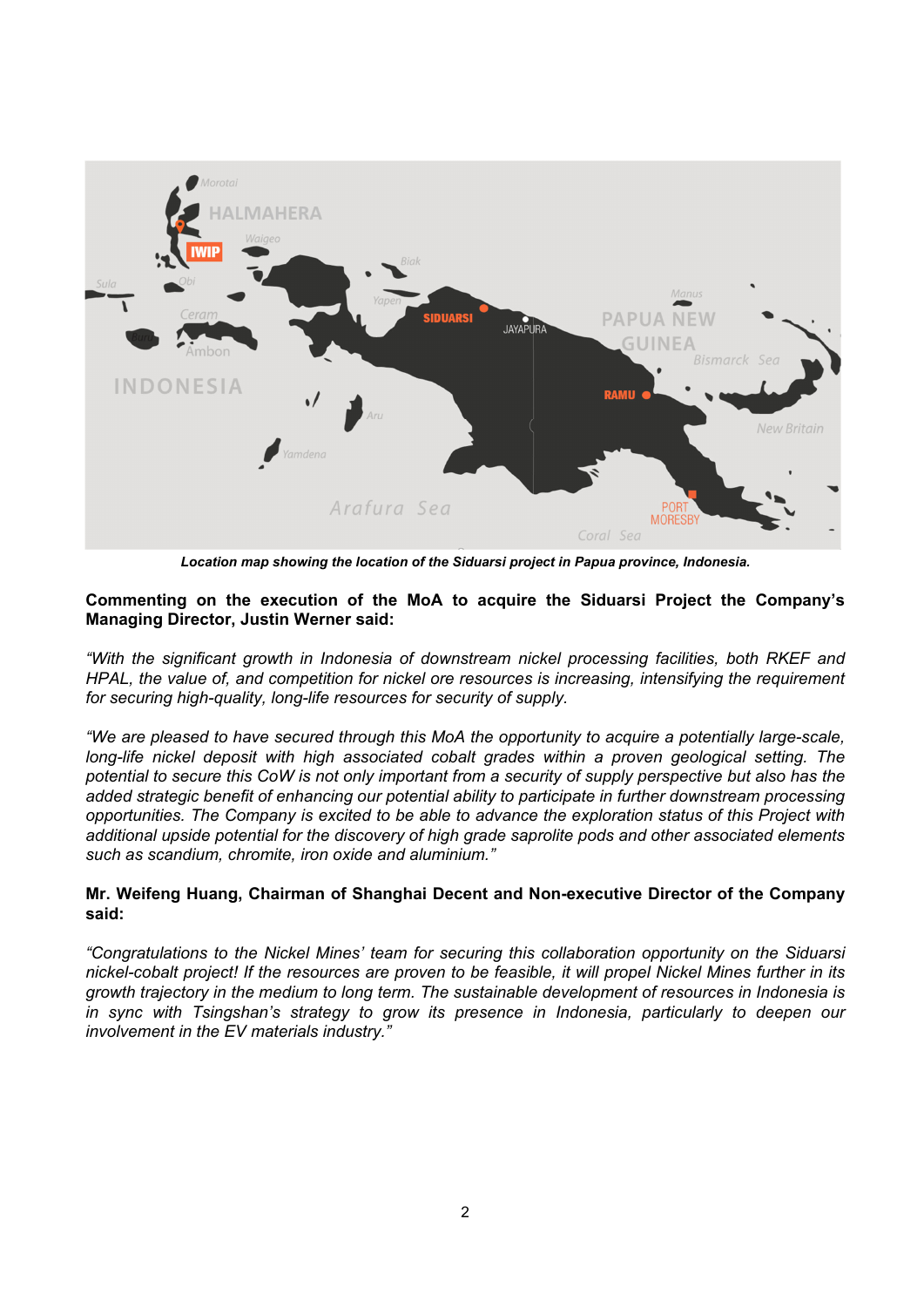

*Location map showing the location of the Siduarsi project in Papua province, Indonesia.* 

#### **Commenting on the execution of the MoA to acquire the Siduarsi Project the Company's Managing Director, Justin Werner said:**

*"With the significant growth in Indonesia of downstream nickel processing facilities, both RKEF and HPAL, the value of, and competition for nickel ore resources is increasing, intensifying the requirement for securing high-quality, long-life resources for security of supply.* 

*"We are pleased to have secured through this MoA the opportunity to acquire a potentially large-scale,*  long-life nickel deposit with high associated cobalt grades within a proven geological setting. The *potential to secure this CoW is not only important from a security of supply perspective but also has the added strategic benefit of enhancing our potential ability to participate in further downstream processing opportunities. The Company is excited to be able to advance the exploration status of this Project with additional upside potential for the discovery of high grade saprolite pods and other associated elements such as scandium, chromite, iron oxide and aluminium."* 

#### **Mr. Weifeng Huang, Chairman of Shanghai Decent and Non-executive Director of the Company said:**

*"Congratulations to the Nickel Mines' team for securing this collaboration opportunity on the Siduarsi nickel-cobalt project! If the resources are proven to be feasible, it will propel Nickel Mines further in its growth trajectory in the medium to long term. The sustainable development of resources in Indonesia is in sync with Tsingshan's strategy to grow its presence in Indonesia, particularly to deepen our involvement in the EV materials industry."*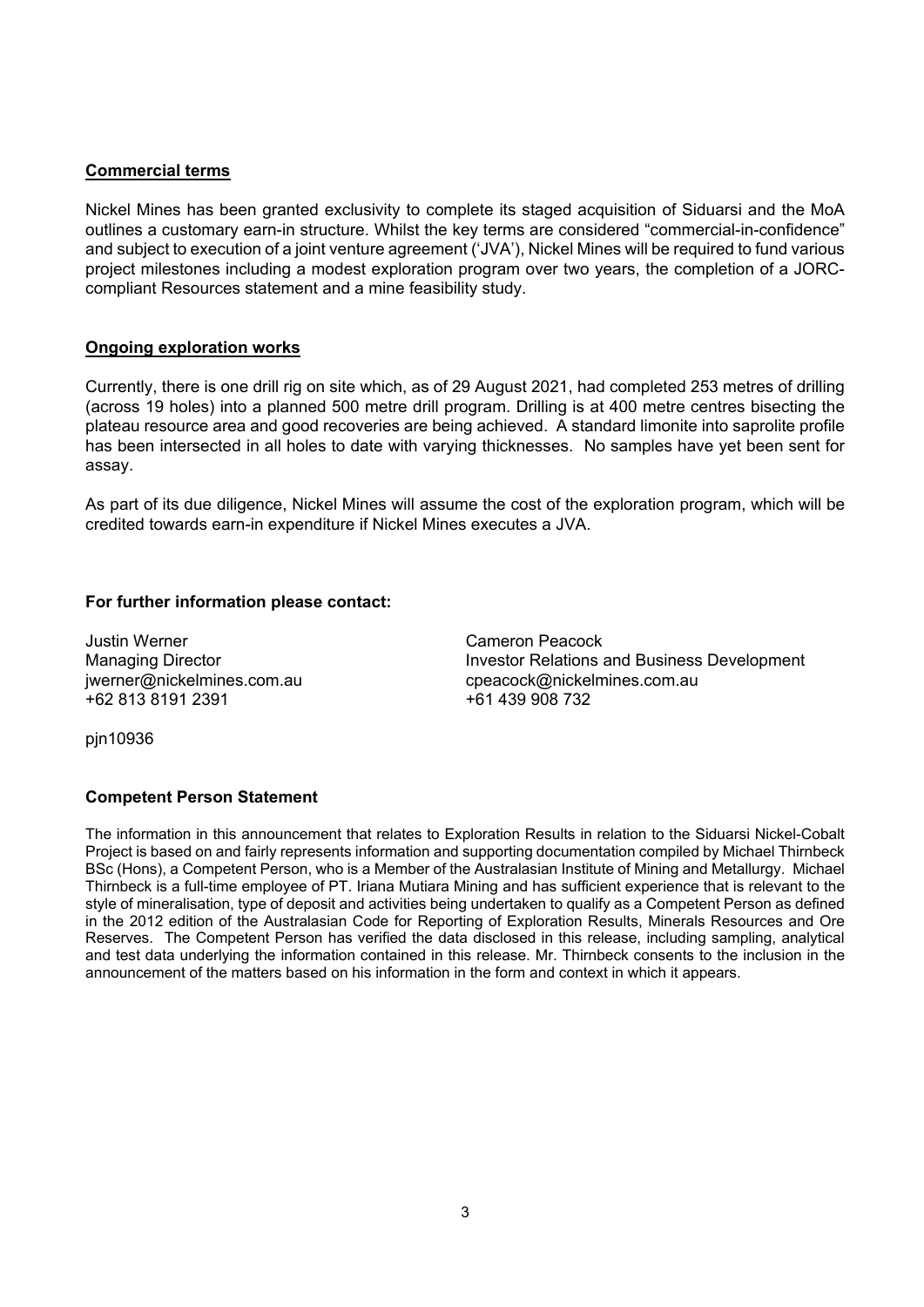#### **Commercial terms**

Nickel Mines has been granted exclusivity to complete its staged acquisition of Siduarsi and the MoA outlines a customary earn-in structure. Whilst the key terms are considered "commercial-in-confidence" and subject to execution of a joint venture agreement ('JVA'), Nickel Mines will be required to fund various project milestones including a modest exploration program over two years, the completion of a JORCcompliant Resources statement and a mine feasibility study.

### **Ongoing exploration works**

Currently, there is one drill rig on site which, as of 29 August 2021, had completed 253 metres of drilling (across 19 holes) into a planned 500 metre drill program. Drilling is at 400 metre centres bisecting the plateau resource area and good recoveries are being achieved. A standard limonite into saprolite profile has been intersected in all holes to date with varying thicknesses. No samples have yet been sent for assay.

As part of its due diligence, Nickel Mines will assume the cost of the exploration program, which will be credited towards earn-in expenditure if Nickel Mines executes a JVA.

#### **For further information please contact:**

Justin Werner Cameron Peacock +62 813 8191 2391 +61 439 908 732

Managing Director **Investor Relations and Business Development** jwerner@nickelmines.com.aucpeacock@nickelmines.com.au

pjn10936

#### **Competent Person Statement**

The information in this announcement that relates to Exploration Results in relation to the Siduarsi Nickel-Cobalt Project is based on and fairly represents information and supporting documentation compiled by Michael Thirnbeck BSc (Hons), a Competent Person, who is a Member of the Australasian Institute of Mining and Metallurgy. Michael Thirnbeck is a full-time employee of PT. Iriana Mutiara Mining and has sufficient experience that is relevant to the style of mineralisation, type of deposit and activities being undertaken to qualify as a Competent Person as defined in the 2012 edition of the Australasian Code for Reporting of Exploration Results, Minerals Resources and Ore Reserves. The Competent Person has verified the data disclosed in this release, including sampling, analytical and test data underlying the information contained in this release. Mr. Thirnbeck consents to the inclusion in the announcement of the matters based on his information in the form and context in which it appears.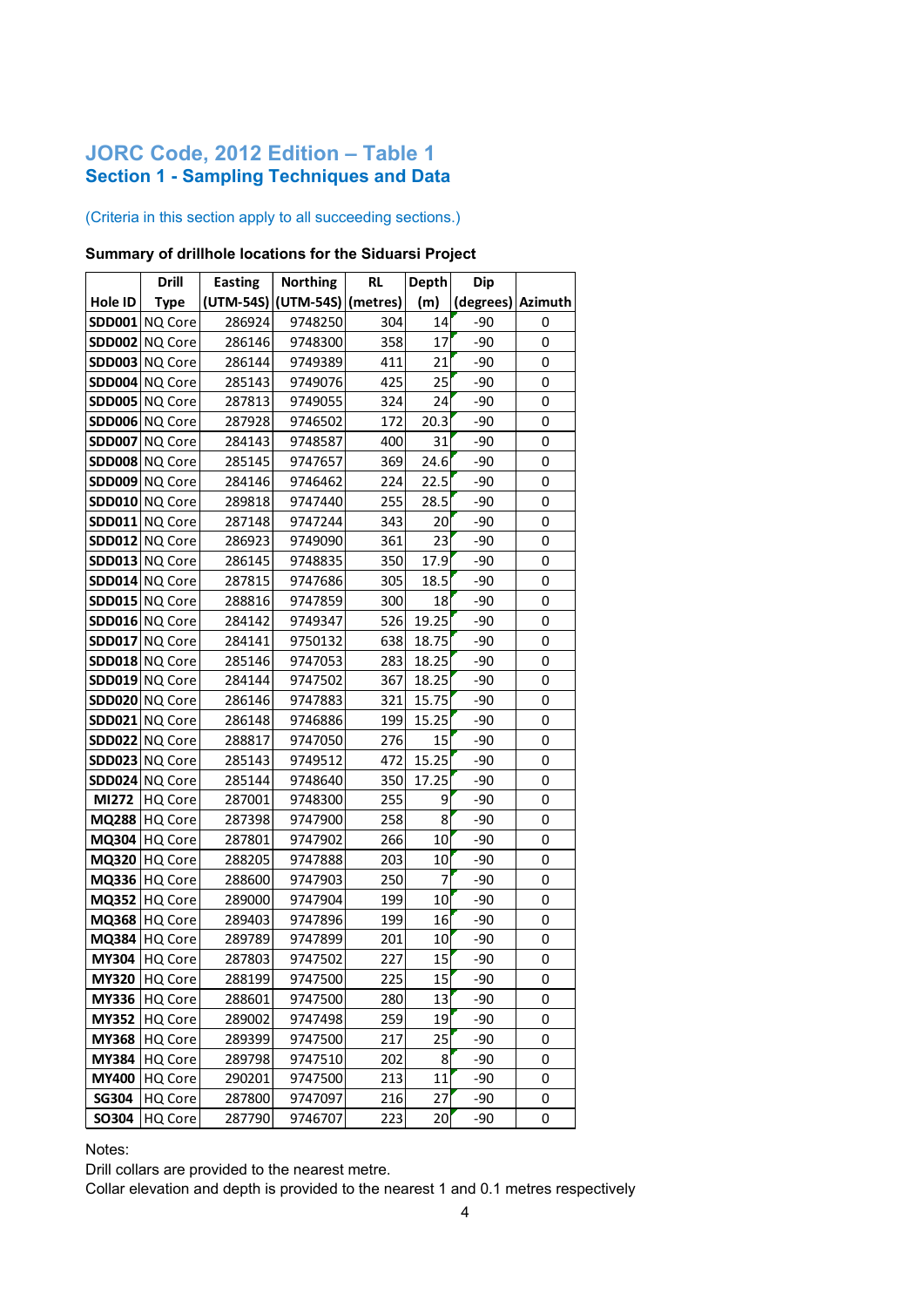# **JORC Code, 2012 Edition – Table 1 Section 1 - Sampling Techniques and Data**

### (Criteria in this section apply to all succeeding sections.)

### **Summary of drillhole locations for the Siduarsi Project**

|               | <b>Drill</b>   | <b>Easting</b> | <b>Northing</b>     | <b>RL</b> | <b>Depth</b> | Dip       |         |
|---------------|----------------|----------------|---------------------|-----------|--------------|-----------|---------|
| Hole ID       | <b>Type</b>    |                | (UTM-54S) (UTM-54S) | (metres)  | (m)          | (degrees) | Azimuth |
|               | SDD001 NQ Core | 286924         | 9748250             | 304       | 14           | -90       | 0       |
|               | SDD002 NQ Core | 286146         | 9748300             | 358       | 17           | $-90$     | 0       |
| <b>SDD003</b> | <b>NQ Core</b> | 286144         | 9749389             | 411       | 21           | -90       | 0       |
| <b>SDD004</b> | <b>NQ Core</b> | 285143         | 9749076             | 425       | 25           | -90       | 0       |
| <b>SDD005</b> | <b>NQ Core</b> | 287813         | 9749055             | 324       | 24           | $-90$     | 0       |
| <b>SDD006</b> | <b>NQ Core</b> | 287928         | 9746502             | 172       | 20.3         | -90       | 0       |
| <b>SDD007</b> | <b>NQ Core</b> | 284143         | 9748587             | 400       | 31           | $-90$     | 0       |
|               | SDD008 NQ Core | 285145         | 9747657             | 369       | 24.6         | $-90$     | 0       |
|               | SDD009 NQ Core | 284146         | 9746462             | 224       | 22.5         | $-90$     | 0       |
| <b>SDD010</b> | <b>NQ Core</b> | 289818         | 9747440             | 255       | 28.5         | $-90$     | 0       |
| <b>SDD011</b> | NQ Core        | 287148         | 9747244             | 343       | 20           | $-90$     | 0       |
| <b>SDD012</b> | <b>NQ Core</b> | 286923         | 9749090             | 361       | 23           | $-90$     | 0       |
| <b>SDD013</b> | NQ Core        | 286145         | 9748835             | 350       | 17.9         | -90       | 0       |
|               | SDD014 NQ Core | 287815         | 9747686             | 305       | 18.5         | $-90$     | 0       |
|               | SDD015 NQ Core | 288816         | 9747859             | 300       | 18           | $-90$     | 0       |
|               | SDD016 NQ Core | 284142         | 9749347             | 526       | 19.25        | $-90$     | 0       |
| <b>SDD017</b> | NQ Core        | 284141         | 9750132             | 638       | 18.75        | -90       | 0       |
|               | SDD018 NQ Core | 285146         | 9747053             | 283       | 18.25        | -90       | 0       |
| <b>SDD019</b> | NQ Core        | 284144         | 9747502             | 367       | 18.25        | -90       | 0       |
| <b>SDD020</b> | NQ Core        | 286146         | 9747883             | 321       | 15.75        | -90       | 0       |
| <b>SDD021</b> | <b>NQ Core</b> | 286148         | 9746886             | 199       | 15.25        | -90       | 0       |
|               | SDD022 NQ Core | 288817         | 9747050             | 276       | 15           | $-90$     | 0       |
| <b>SDD023</b> | <b>NQ Core</b> | 285143         | 9749512             | 472       | 15.25        | -90       | 0       |
| <b>SDD024</b> | <b>NQ Core</b> | 285144         | 9748640             | 350       | 17.25        | -90       | 0       |
| MI272         | HQ Core        | 287001         | 9748300             | 255       | 9            | -90       | 0       |
| <b>MQ288</b>  | HQ Core        | 287398         | 9747900             | 258       | 8            | -90       | 0       |
| MQ304         | <b>HQ Core</b> | 287801         | 9747902             | 266       | 10           | -90       | 0       |
| MQ320         | <b>HQ Core</b> | 288205         | 9747888             | 203       | 10           | -90       | 0       |
| MQ336         | <b>HQ Core</b> | 288600         | 9747903             | 250       | 7            | $-90$     | 0       |
| <b>MQ352</b>  | <b>HQ Core</b> | 289000         | 9747904             | 199       | 10           | $-90$     | 0       |
| MQ368         | <b>HQ Core</b> | 289403         | 9747896             | 199       | 16           | -90       | 0       |
| MQ384         | <b>HQ Core</b> | 289789         | 9747899             | 201       | 10           | $-90$     | 0       |
| <b>MY304</b>  | <b>HQ Core</b> | 287803         | 9747502             | 227       | 15           | -90       | 0       |
| <b>MY320</b>  | HQ Core        | 288199         | 9747500             | 225       | 15           | -90       | 0       |
| <b>MY336</b>  | HQ Core        | 288601         | 9747500             | 280       | 13           | -90       | 0       |
| <b>MY352</b>  | HQ Core        | 289002         | 9747498             | 259       | 19           | -90       | 0       |
| <b>MY368</b>  | HQ Core        | 289399         | 9747500             | 217       | 25           | -90       | 0       |
| <b>MY384</b>  | HQ Core        | 289798         | 9747510             | 202       | 8            | -90       | 0       |
| <b>MY400</b>  | HQ Core        | 290201         | 9747500             | 213       | 11           | -90       | 0       |
| <b>SG304</b>  | HQ Core        | 287800         | 9747097             | 216       | 27           | -90       | 0       |
| SO304         | HQ Core        | 287790         | 9746707             | 223       | 20           | -90       | 0       |

Notes:

Drill collars are provided to the nearest metre.

Collar elevation and depth is provided to the nearest 1 and 0.1 metres respectively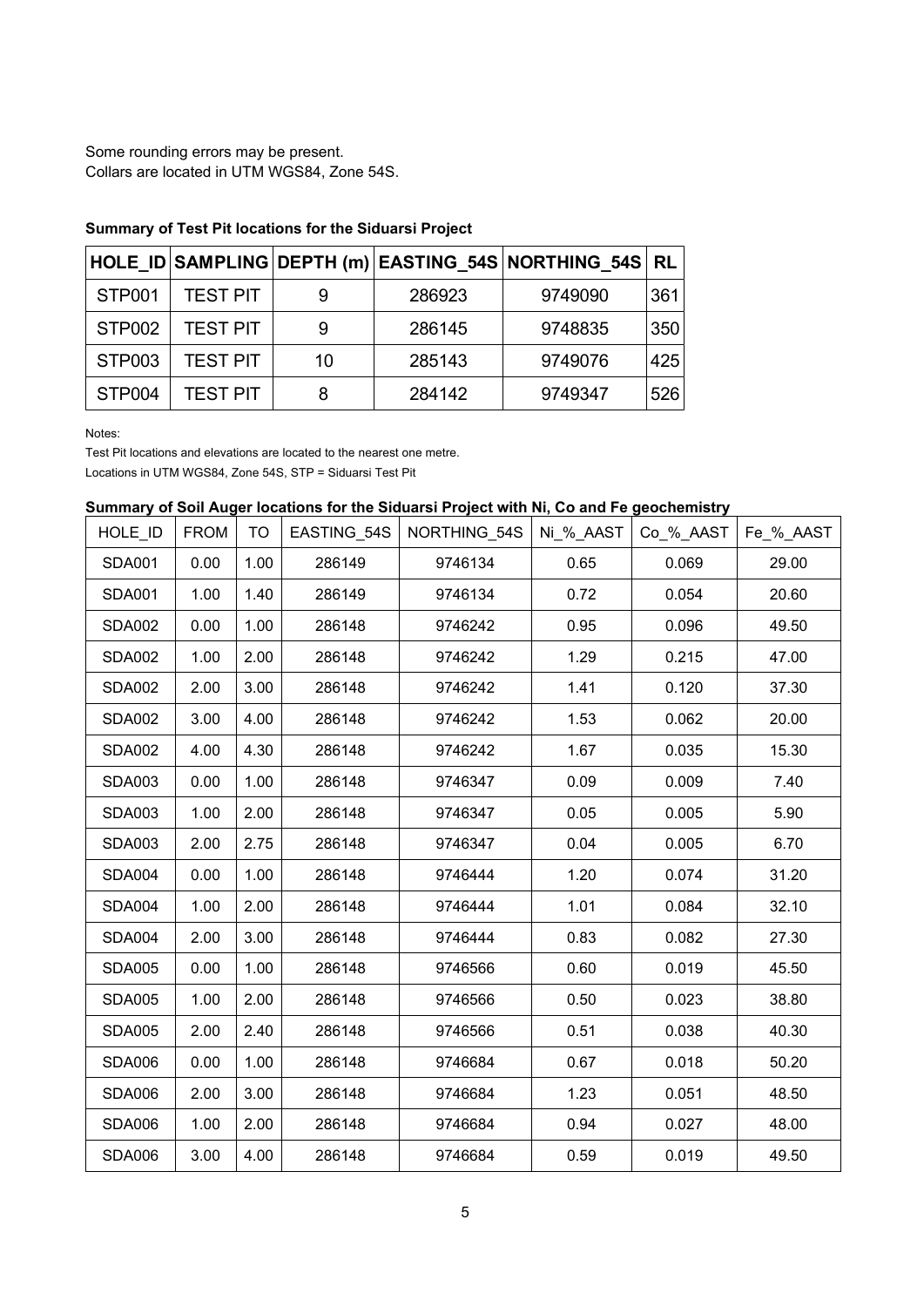Some rounding errors may be present. Collars are located in UTM WGS84, Zone 54S.

|        |                 |    |        | HOLE_ID SAMPLING DEPTH (m) EASTING_54S NORTHING_54S RL |     |
|--------|-----------------|----|--------|--------------------------------------------------------|-----|
| STP001 | <b>TEST PIT</b> |    | 286923 | 9749090                                                | 361 |
| STP002 | <b>TEST PIT</b> |    | 286145 | 9748835                                                | 350 |
| STP003 | <b>TEST PIT</b> | 10 | 285143 | 9749076                                                | 425 |
| STP004 | <b>TEST PIT</b> |    | 284142 | 9749347                                                | 526 |

## **Summary of Test Pit locations for the Siduarsi Project**

Notes:

Test Pit locations and elevations are located to the nearest one metre.

Locations in UTM WGS84, Zone 54S, STP = Siduarsi Test Pit

### **Summary of Soil Auger locations for the Siduarsi Project with Ni, Co and Fe geochemistry**

| HOLE_ID       | <b>FROM</b> | <b>TO</b> | EASTING_54S | NORTHING 54S | Ni_%_AAST | Co_%_AAST | Fe_%_AAST |
|---------------|-------------|-----------|-------------|--------------|-----------|-----------|-----------|
| <b>SDA001</b> | 0.00        | 1.00      | 286149      | 9746134      | 0.65      | 0.069     | 29.00     |
| <b>SDA001</b> | 1.00        | 1.40      | 286149      | 9746134      | 0.72      | 0.054     | 20.60     |
| <b>SDA002</b> | 0.00        | 1.00      | 286148      | 9746242      | 0.95      | 0.096     | 49.50     |
| <b>SDA002</b> | 1.00        | 2.00      | 286148      | 9746242      | 1.29      | 0.215     | 47.00     |
| <b>SDA002</b> | 2.00        | 3.00      | 286148      | 9746242      | 1.41      | 0.120     | 37.30     |
| <b>SDA002</b> | 3.00        | 4.00      | 286148      | 9746242      | 1.53      | 0.062     | 20.00     |
| <b>SDA002</b> | 4.00        | 4.30      | 286148      | 9746242      | 1.67      | 0.035     | 15.30     |
| <b>SDA003</b> | 0.00        | 1.00      | 286148      | 9746347      | 0.09      | 0.009     | 7.40      |
| <b>SDA003</b> | 1.00        | 2.00      | 286148      | 9746347      | 0.05      | 0.005     | 5.90      |
| <b>SDA003</b> | 2.00        | 2.75      | 286148      | 9746347      | 0.04      | 0.005     | 6.70      |
| <b>SDA004</b> | 0.00        | 1.00      | 286148      | 9746444      | 1.20      | 0.074     | 31.20     |
| <b>SDA004</b> | 1.00        | 2.00      | 286148      | 9746444      | 1.01      | 0.084     | 32.10     |
| <b>SDA004</b> | 2.00        | 3.00      | 286148      | 9746444      | 0.83      | 0.082     | 27.30     |
| <b>SDA005</b> | 0.00        | 1.00      | 286148      | 9746566      | 0.60      | 0.019     | 45.50     |
| <b>SDA005</b> | 1.00        | 2.00      | 286148      | 9746566      | 0.50      | 0.023     | 38.80     |
| <b>SDA005</b> | 2.00        | 2.40      | 286148      | 9746566      | 0.51      | 0.038     | 40.30     |
| <b>SDA006</b> | 0.00        | 1.00      | 286148      | 9746684      | 0.67      | 0.018     | 50.20     |
| <b>SDA006</b> | 2.00        | 3.00      | 286148      | 9746684      | 1.23      | 0.051     | 48.50     |
| <b>SDA006</b> | 1.00        | 2.00      | 286148      | 9746684      | 0.94      | 0.027     | 48.00     |
| <b>SDA006</b> | 3.00        | 4.00      | 286148      | 9746684      | 0.59      | 0.019     | 49.50     |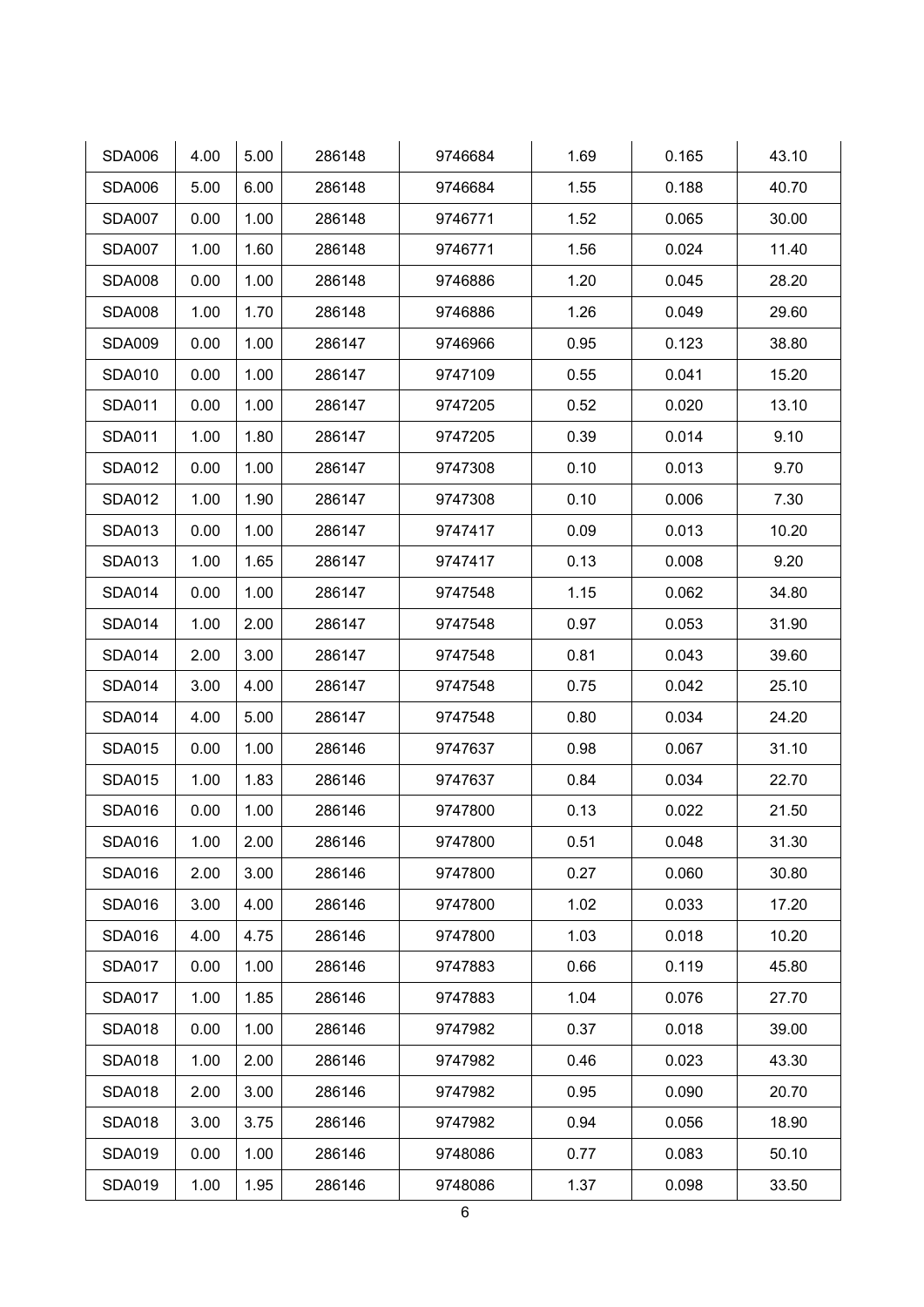| <b>SDA006</b> | 4.00 | 5.00 | 286148 | 9746684 | 1.69 | 0.165 | 43.10 |
|---------------|------|------|--------|---------|------|-------|-------|
| <b>SDA006</b> | 5.00 | 6.00 | 286148 | 9746684 | 1.55 | 0.188 | 40.70 |
| <b>SDA007</b> | 0.00 | 1.00 | 286148 | 9746771 | 1.52 | 0.065 | 30.00 |
| <b>SDA007</b> | 1.00 | 1.60 | 286148 | 9746771 | 1.56 | 0.024 | 11.40 |
| <b>SDA008</b> | 0.00 | 1.00 | 286148 | 9746886 | 1.20 | 0.045 | 28.20 |
| <b>SDA008</b> | 1.00 | 1.70 | 286148 | 9746886 | 1.26 | 0.049 | 29.60 |
| <b>SDA009</b> | 0.00 | 1.00 | 286147 | 9746966 | 0.95 | 0.123 | 38.80 |
| <b>SDA010</b> | 0.00 | 1.00 | 286147 | 9747109 | 0.55 | 0.041 | 15.20 |
| <b>SDA011</b> | 0.00 | 1.00 | 286147 | 9747205 | 0.52 | 0.020 | 13.10 |
| <b>SDA011</b> | 1.00 | 1.80 | 286147 | 9747205 | 0.39 | 0.014 | 9.10  |
| <b>SDA012</b> | 0.00 | 1.00 | 286147 | 9747308 | 0.10 | 0.013 | 9.70  |
| <b>SDA012</b> | 1.00 | 1.90 | 286147 | 9747308 | 0.10 | 0.006 | 7.30  |
| <b>SDA013</b> | 0.00 | 1.00 | 286147 | 9747417 | 0.09 | 0.013 | 10.20 |
| <b>SDA013</b> | 1.00 | 1.65 | 286147 | 9747417 | 0.13 | 0.008 | 9.20  |
| <b>SDA014</b> | 0.00 | 1.00 | 286147 | 9747548 | 1.15 | 0.062 | 34.80 |
| <b>SDA014</b> | 1.00 | 2.00 | 286147 | 9747548 | 0.97 | 0.053 | 31.90 |
| <b>SDA014</b> | 2.00 | 3.00 | 286147 | 9747548 | 0.81 | 0.043 | 39.60 |
| <b>SDA014</b> | 3.00 | 4.00 | 286147 | 9747548 | 0.75 | 0.042 | 25.10 |
| <b>SDA014</b> | 4.00 | 5.00 | 286147 | 9747548 | 0.80 | 0.034 | 24.20 |
| <b>SDA015</b> | 0.00 | 1.00 | 286146 | 9747637 | 0.98 | 0.067 | 31.10 |
| <b>SDA015</b> | 1.00 | 1.83 | 286146 | 9747637 | 0.84 | 0.034 | 22.70 |
| <b>SDA016</b> | 0.00 | 1.00 | 286146 | 9747800 | 0.13 | 0.022 | 21.50 |
| <b>SDA016</b> | 1.00 | 2.00 | 286146 | 9747800 | 0.51 | 0.048 | 31.30 |
| <b>SDA016</b> | 2.00 | 3.00 | 286146 | 9747800 | 0.27 | 0.060 | 30.80 |
| <b>SDA016</b> | 3.00 | 4.00 | 286146 | 9747800 | 1.02 | 0.033 | 17.20 |
| <b>SDA016</b> | 4.00 | 4.75 | 286146 | 9747800 | 1.03 | 0.018 | 10.20 |
| <b>SDA017</b> | 0.00 | 1.00 | 286146 | 9747883 | 0.66 | 0.119 | 45.80 |
| <b>SDA017</b> | 1.00 | 1.85 | 286146 | 9747883 | 1.04 | 0.076 | 27.70 |
| <b>SDA018</b> | 0.00 | 1.00 | 286146 | 9747982 | 0.37 | 0.018 | 39.00 |
| <b>SDA018</b> | 1.00 | 2.00 | 286146 | 9747982 | 0.46 | 0.023 | 43.30 |
| <b>SDA018</b> | 2.00 | 3.00 | 286146 | 9747982 | 0.95 | 0.090 | 20.70 |
| <b>SDA018</b> | 3.00 | 3.75 | 286146 | 9747982 | 0.94 | 0.056 | 18.90 |
| <b>SDA019</b> | 0.00 | 1.00 | 286146 | 9748086 | 0.77 | 0.083 | 50.10 |
| <b>SDA019</b> | 1.00 | 1.95 | 286146 | 9748086 | 1.37 | 0.098 | 33.50 |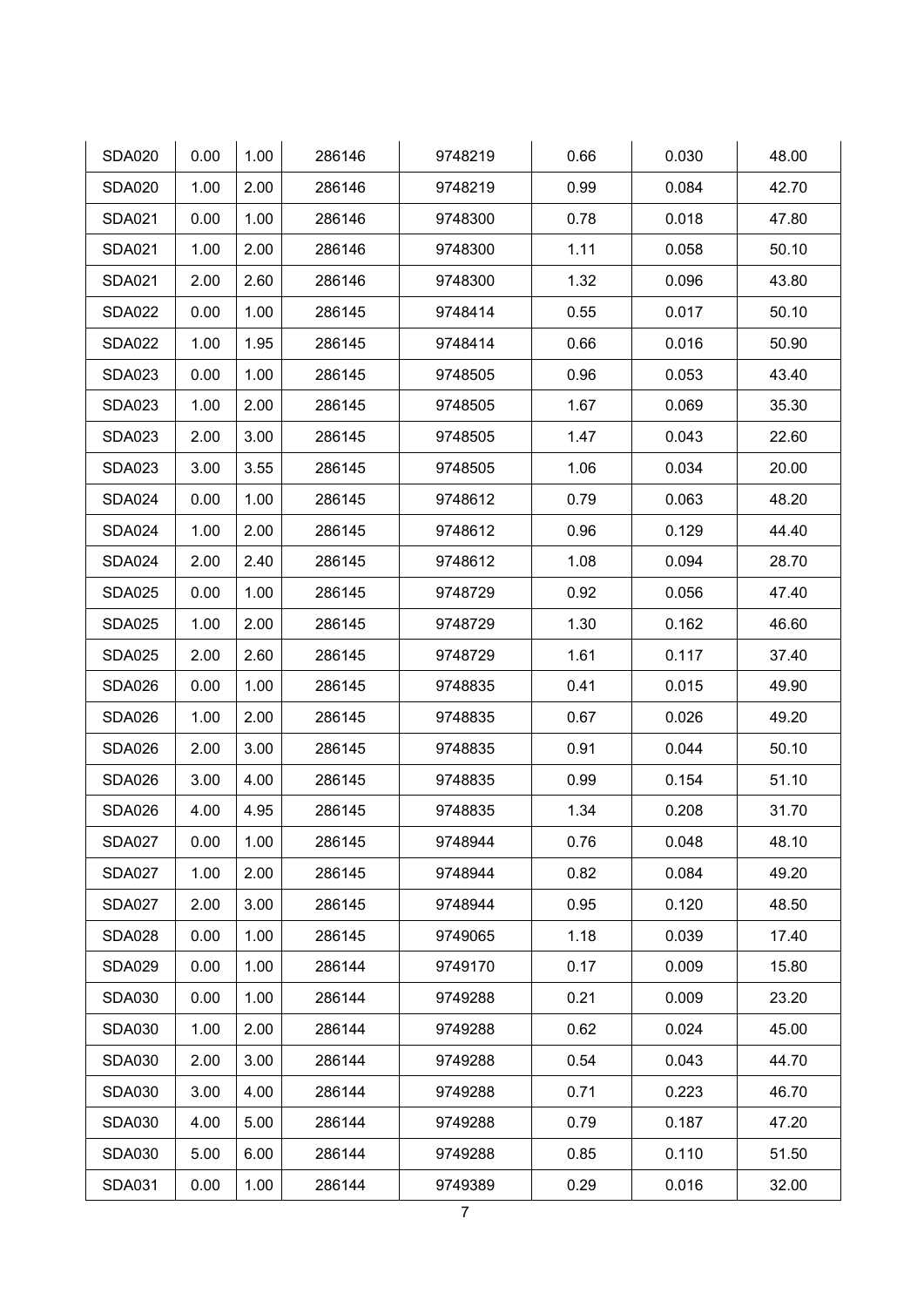| <b>SDA020</b> | 0.00 | 1.00 | 286146 | 9748219 | 0.66 | 0.030 | 48.00 |
|---------------|------|------|--------|---------|------|-------|-------|
| <b>SDA020</b> | 1.00 | 2.00 | 286146 | 9748219 | 0.99 | 0.084 | 42.70 |
| <b>SDA021</b> | 0.00 | 1.00 | 286146 | 9748300 | 0.78 | 0.018 | 47.80 |
| <b>SDA021</b> | 1.00 | 2.00 | 286146 | 9748300 | 1.11 | 0.058 | 50.10 |
| <b>SDA021</b> | 2.00 | 2.60 | 286146 | 9748300 | 1.32 | 0.096 | 43.80 |
| <b>SDA022</b> | 0.00 | 1.00 | 286145 | 9748414 | 0.55 | 0.017 | 50.10 |
| <b>SDA022</b> | 1.00 | 1.95 | 286145 | 9748414 | 0.66 | 0.016 | 50.90 |
| <b>SDA023</b> | 0.00 | 1.00 | 286145 | 9748505 | 0.96 | 0.053 | 43.40 |
| <b>SDA023</b> | 1.00 | 2.00 | 286145 | 9748505 | 1.67 | 0.069 | 35.30 |
| <b>SDA023</b> | 2.00 | 3.00 | 286145 | 9748505 | 1.47 | 0.043 | 22.60 |
| <b>SDA023</b> | 3.00 | 3.55 | 286145 | 9748505 | 1.06 | 0.034 | 20.00 |
| <b>SDA024</b> | 0.00 | 1.00 | 286145 | 9748612 | 0.79 | 0.063 | 48.20 |
| <b>SDA024</b> | 1.00 | 2.00 | 286145 | 9748612 | 0.96 | 0.129 | 44.40 |
| <b>SDA024</b> | 2.00 | 2.40 | 286145 | 9748612 | 1.08 | 0.094 | 28.70 |
| <b>SDA025</b> | 0.00 | 1.00 | 286145 | 9748729 | 0.92 | 0.056 | 47.40 |
| <b>SDA025</b> | 1.00 | 2.00 | 286145 | 9748729 | 1.30 | 0.162 | 46.60 |
| <b>SDA025</b> | 2.00 | 2.60 | 286145 | 9748729 | 1.61 | 0.117 | 37.40 |
| <b>SDA026</b> | 0.00 | 1.00 | 286145 | 9748835 | 0.41 | 0.015 | 49.90 |
| <b>SDA026</b> | 1.00 | 2.00 | 286145 | 9748835 | 0.67 | 0.026 | 49.20 |
| <b>SDA026</b> | 2.00 | 3.00 | 286145 | 9748835 | 0.91 | 0.044 | 50.10 |
| <b>SDA026</b> | 3.00 | 4.00 | 286145 | 9748835 | 0.99 | 0.154 | 51.10 |
| <b>SDA026</b> | 4.00 | 4.95 | 286145 | 9748835 | 1.34 | 0.208 | 31.70 |
| <b>SDA027</b> | 0.00 | 1.00 | 286145 | 9748944 | 0.76 | 0.048 | 48.10 |
| <b>SDA027</b> | 1.00 | 2.00 | 286145 | 9748944 | 0.82 | 0.084 | 49.20 |
| <b>SDA027</b> | 2.00 | 3.00 | 286145 | 9748944 | 0.95 | 0.120 | 48.50 |
| <b>SDA028</b> | 0.00 | 1.00 | 286145 | 9749065 | 1.18 | 0.039 | 17.40 |
| <b>SDA029</b> | 0.00 | 1.00 | 286144 | 9749170 | 0.17 | 0.009 | 15.80 |
| <b>SDA030</b> | 0.00 | 1.00 | 286144 | 9749288 | 0.21 | 0.009 | 23.20 |
| <b>SDA030</b> | 1.00 | 2.00 | 286144 | 9749288 | 0.62 | 0.024 | 45.00 |
| <b>SDA030</b> | 2.00 | 3.00 | 286144 | 9749288 | 0.54 | 0.043 | 44.70 |
| <b>SDA030</b> | 3.00 | 4.00 | 286144 | 9749288 | 0.71 | 0.223 | 46.70 |
| <b>SDA030</b> | 4.00 | 5.00 | 286144 | 9749288 | 0.79 | 0.187 | 47.20 |
| <b>SDA030</b> | 5.00 | 6.00 | 286144 | 9749288 | 0.85 | 0.110 | 51.50 |
| <b>SDA031</b> | 0.00 | 1.00 | 286144 | 9749389 | 0.29 | 0.016 | 32.00 |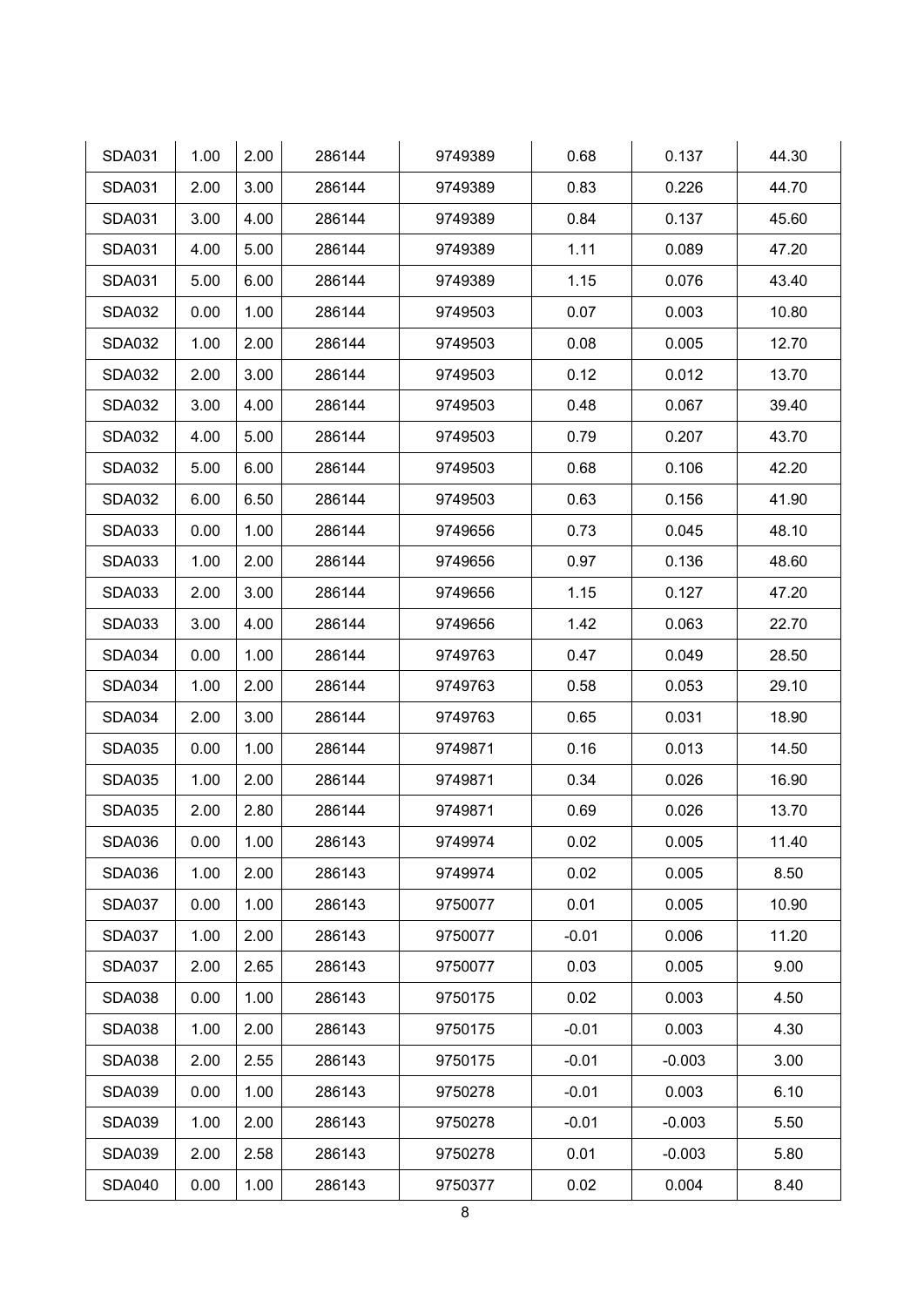| <b>SDA031</b> | 1.00 | 2.00 | 286144 | 9749389 | 0.68    | 0.137    | 44.30 |
|---------------|------|------|--------|---------|---------|----------|-------|
| <b>SDA031</b> | 2.00 | 3.00 | 286144 | 9749389 | 0.83    | 0.226    | 44.70 |
| <b>SDA031</b> | 3.00 | 4.00 | 286144 | 9749389 | 0.84    | 0.137    | 45.60 |
| <b>SDA031</b> | 4.00 | 5.00 | 286144 | 9749389 | 1.11    | 0.089    | 47.20 |
| <b>SDA031</b> | 5.00 | 6.00 | 286144 | 9749389 | 1.15    | 0.076    | 43.40 |
| <b>SDA032</b> | 0.00 | 1.00 | 286144 | 9749503 | 0.07    | 0.003    | 10.80 |
| <b>SDA032</b> | 1.00 | 2.00 | 286144 | 9749503 | 0.08    | 0.005    | 12.70 |
| <b>SDA032</b> | 2.00 | 3.00 | 286144 | 9749503 | 0.12    | 0.012    | 13.70 |
| <b>SDA032</b> | 3.00 | 4.00 | 286144 | 9749503 | 0.48    | 0.067    | 39.40 |
| <b>SDA032</b> | 4.00 | 5.00 | 286144 | 9749503 | 0.79    | 0.207    | 43.70 |
| <b>SDA032</b> | 5.00 | 6.00 | 286144 | 9749503 | 0.68    | 0.106    | 42.20 |
| <b>SDA032</b> | 6.00 | 6.50 | 286144 | 9749503 | 0.63    | 0.156    | 41.90 |
| <b>SDA033</b> | 0.00 | 1.00 | 286144 | 9749656 | 0.73    | 0.045    | 48.10 |
| <b>SDA033</b> | 1.00 | 2.00 | 286144 | 9749656 | 0.97    | 0.136    | 48.60 |
| <b>SDA033</b> | 2.00 | 3.00 | 286144 | 9749656 | 1.15    | 0.127    | 47.20 |
| <b>SDA033</b> | 3.00 | 4.00 | 286144 | 9749656 | 1.42    | 0.063    | 22.70 |
| <b>SDA034</b> | 0.00 | 1.00 | 286144 | 9749763 | 0.47    | 0.049    | 28.50 |
| <b>SDA034</b> | 1.00 | 2.00 | 286144 | 9749763 | 0.58    | 0.053    | 29.10 |
| <b>SDA034</b> | 2.00 | 3.00 | 286144 | 9749763 | 0.65    | 0.031    | 18.90 |
| <b>SDA035</b> | 0.00 | 1.00 | 286144 | 9749871 | 0.16    | 0.013    | 14.50 |
| <b>SDA035</b> | 1.00 | 2.00 | 286144 | 9749871 | 0.34    | 0.026    | 16.90 |
| <b>SDA035</b> | 2.00 | 2.80 | 286144 | 9749871 | 0.69    | 0.026    | 13.70 |
| <b>SDA036</b> | 0.00 | 1.00 | 286143 | 9749974 | 0.02    | 0.005    | 11.40 |
| <b>SDA036</b> | 1.00 | 2.00 | 286143 | 9749974 | 0.02    | 0.005    | 8.50  |
| <b>SDA037</b> | 0.00 | 1.00 | 286143 | 9750077 | 0.01    | 0.005    | 10.90 |
| <b>SDA037</b> | 1.00 | 2.00 | 286143 | 9750077 | $-0.01$ | 0.006    | 11.20 |
| <b>SDA037</b> | 2.00 | 2.65 | 286143 | 9750077 | 0.03    | 0.005    | 9.00  |
| <b>SDA038</b> | 0.00 | 1.00 | 286143 | 9750175 | 0.02    | 0.003    | 4.50  |
| <b>SDA038</b> | 1.00 | 2.00 | 286143 | 9750175 | $-0.01$ | 0.003    | 4.30  |
| <b>SDA038</b> | 2.00 | 2.55 | 286143 | 9750175 | $-0.01$ | $-0.003$ | 3.00  |
| <b>SDA039</b> | 0.00 | 1.00 | 286143 | 9750278 | $-0.01$ | 0.003    | 6.10  |
| <b>SDA039</b> | 1.00 | 2.00 | 286143 | 9750278 | $-0.01$ | $-0.003$ | 5.50  |
| <b>SDA039</b> | 2.00 | 2.58 | 286143 | 9750278 | 0.01    | $-0.003$ | 5.80  |
| <b>SDA040</b> | 0.00 | 1.00 | 286143 | 9750377 | 0.02    | 0.004    | 8.40  |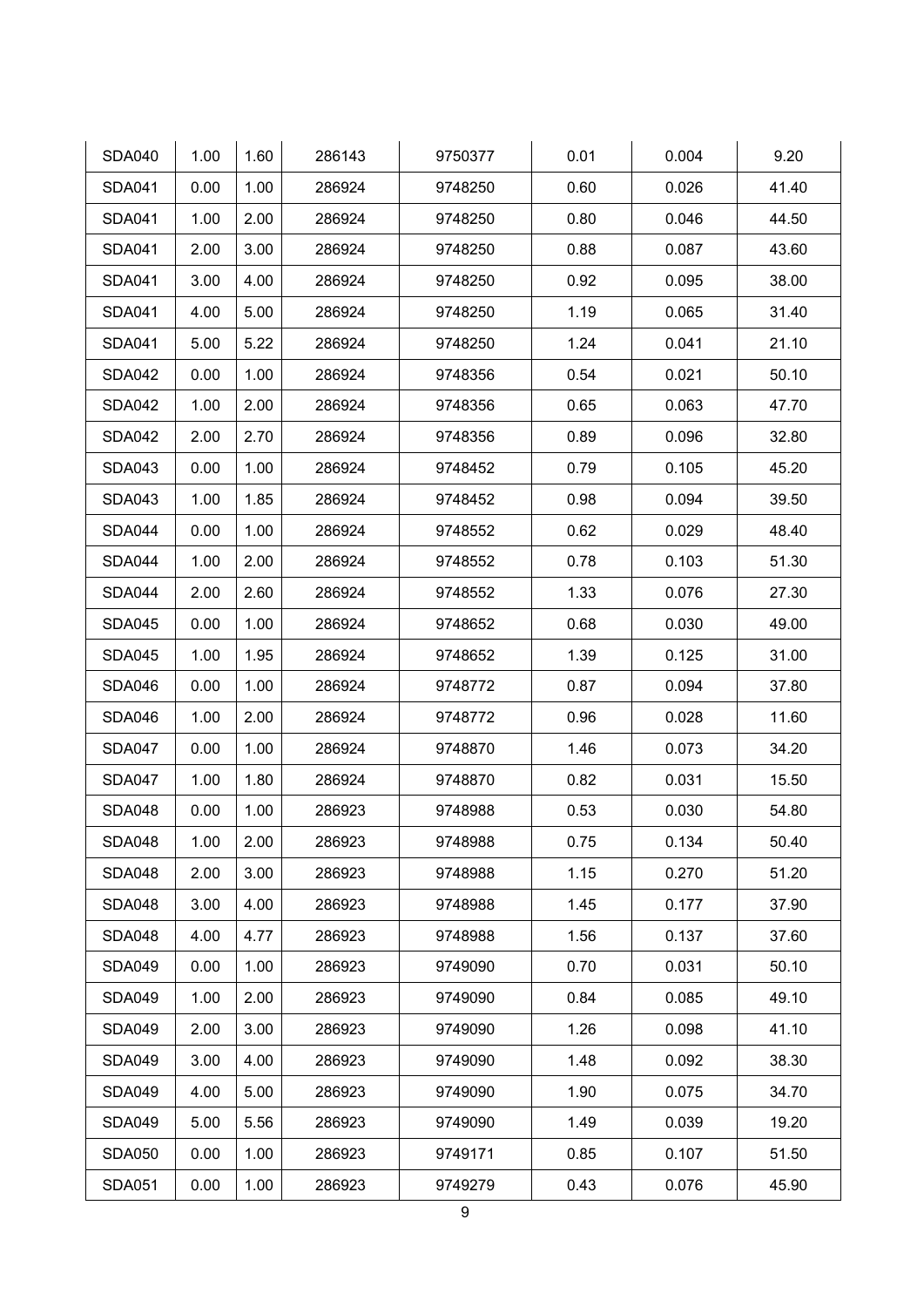| <b>SDA040</b> | 1.00 | 1.60 | 286143 | 9750377 | 0.01 | 0.004 | 9.20  |
|---------------|------|------|--------|---------|------|-------|-------|
| <b>SDA041</b> | 0.00 | 1.00 | 286924 | 9748250 | 0.60 | 0.026 | 41.40 |
| <b>SDA041</b> | 1.00 | 2.00 | 286924 | 9748250 | 0.80 | 0.046 | 44.50 |
| <b>SDA041</b> | 2.00 | 3.00 | 286924 | 9748250 | 0.88 | 0.087 | 43.60 |
| <b>SDA041</b> | 3.00 | 4.00 | 286924 | 9748250 | 0.92 | 0.095 | 38.00 |
| <b>SDA041</b> | 4.00 | 5.00 | 286924 | 9748250 | 1.19 | 0.065 | 31.40 |
| <b>SDA041</b> | 5.00 | 5.22 | 286924 | 9748250 | 1.24 | 0.041 | 21.10 |
| <b>SDA042</b> | 0.00 | 1.00 | 286924 | 9748356 | 0.54 | 0.021 | 50.10 |
| <b>SDA042</b> | 1.00 | 2.00 | 286924 | 9748356 | 0.65 | 0.063 | 47.70 |
| <b>SDA042</b> | 2.00 | 2.70 | 286924 | 9748356 | 0.89 | 0.096 | 32.80 |
| <b>SDA043</b> | 0.00 | 1.00 | 286924 | 9748452 | 0.79 | 0.105 | 45.20 |
| <b>SDA043</b> | 1.00 | 1.85 | 286924 | 9748452 | 0.98 | 0.094 | 39.50 |
| <b>SDA044</b> | 0.00 | 1.00 | 286924 | 9748552 | 0.62 | 0.029 | 48.40 |
| <b>SDA044</b> | 1.00 | 2.00 | 286924 | 9748552 | 0.78 | 0.103 | 51.30 |
| <b>SDA044</b> | 2.00 | 2.60 | 286924 | 9748552 | 1.33 | 0.076 | 27.30 |
| <b>SDA045</b> | 0.00 | 1.00 | 286924 | 9748652 | 0.68 | 0.030 | 49.00 |
| <b>SDA045</b> | 1.00 | 1.95 | 286924 | 9748652 | 1.39 | 0.125 | 31.00 |
| <b>SDA046</b> | 0.00 | 1.00 | 286924 | 9748772 | 0.87 | 0.094 | 37.80 |
| <b>SDA046</b> | 1.00 | 2.00 | 286924 | 9748772 | 0.96 | 0.028 | 11.60 |
| <b>SDA047</b> | 0.00 | 1.00 | 286924 | 9748870 | 1.46 | 0.073 | 34.20 |
| <b>SDA047</b> | 1.00 | 1.80 | 286924 | 9748870 | 0.82 | 0.031 | 15.50 |
| <b>SDA048</b> | 0.00 | 1.00 | 286923 | 9748988 | 0.53 | 0.030 | 54.80 |
| <b>SDA048</b> | 1.00 | 2.00 | 286923 | 9748988 | 0.75 | 0.134 | 50.40 |
| <b>SDA048</b> | 2.00 | 3.00 | 286923 | 9748988 | 1.15 | 0.270 | 51.20 |
| <b>SDA048</b> | 3.00 | 4.00 | 286923 | 9748988 | 1.45 | 0.177 | 37.90 |
| <b>SDA048</b> | 4.00 | 4.77 | 286923 | 9748988 | 1.56 | 0.137 | 37.60 |
| <b>SDA049</b> | 0.00 | 1.00 | 286923 | 9749090 | 0.70 | 0.031 | 50.10 |
| <b>SDA049</b> | 1.00 | 2.00 | 286923 | 9749090 | 0.84 | 0.085 | 49.10 |
| <b>SDA049</b> | 2.00 | 3.00 | 286923 | 9749090 | 1.26 | 0.098 | 41.10 |
| <b>SDA049</b> | 3.00 | 4.00 | 286923 | 9749090 | 1.48 | 0.092 | 38.30 |
| <b>SDA049</b> | 4.00 | 5.00 | 286923 | 9749090 | 1.90 | 0.075 | 34.70 |
| <b>SDA049</b> | 5.00 | 5.56 | 286923 | 9749090 | 1.49 | 0.039 | 19.20 |
| <b>SDA050</b> | 0.00 | 1.00 | 286923 | 9749171 | 0.85 | 0.107 | 51.50 |
| <b>SDA051</b> | 0.00 | 1.00 | 286923 | 9749279 | 0.43 | 0.076 | 45.90 |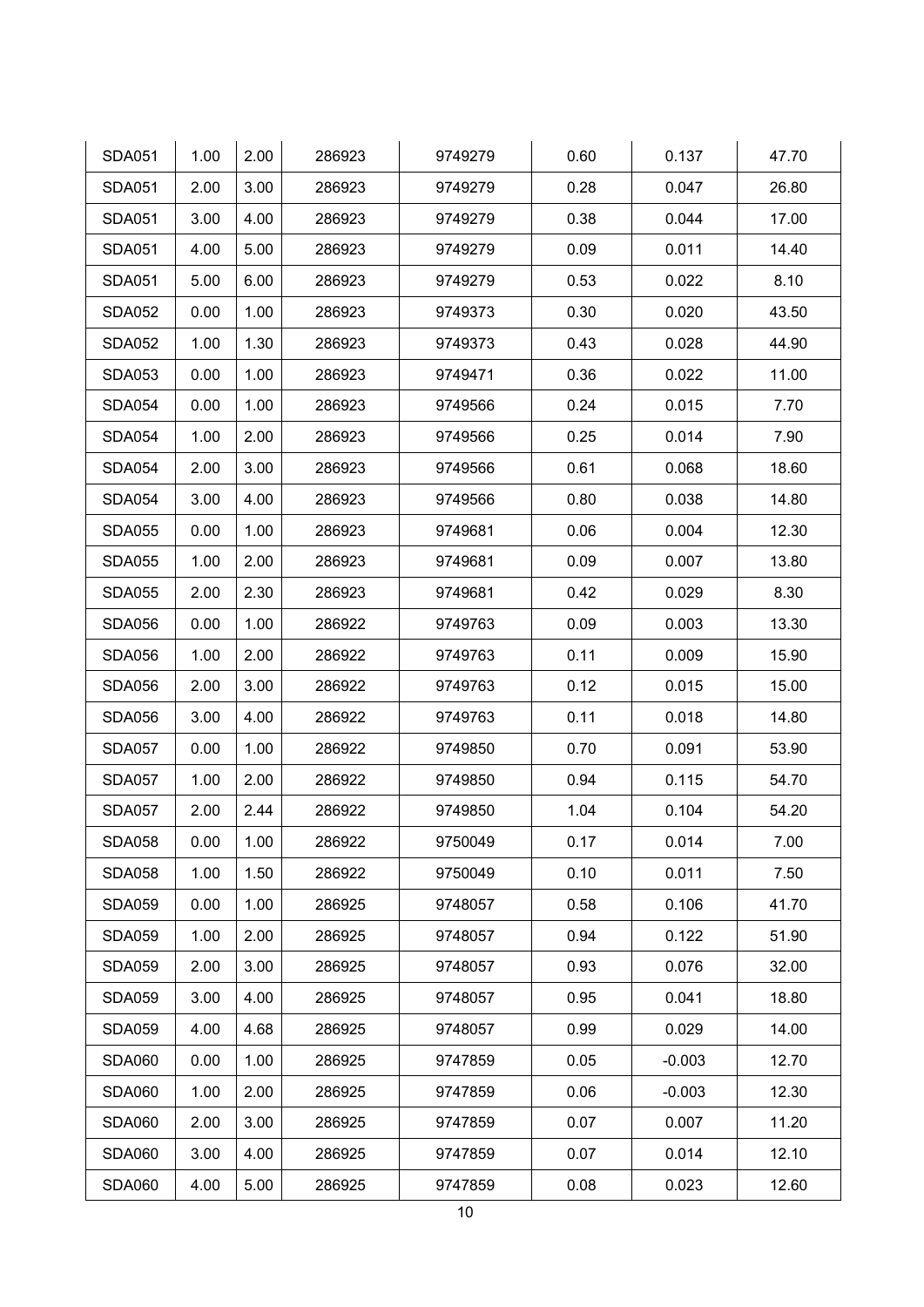| <b>SDA051</b> | 1.00 | 2.00 | 286923 | 9749279 | 0.60 | 0.137    | 47.70 |
|---------------|------|------|--------|---------|------|----------|-------|
| <b>SDA051</b> | 2.00 | 3.00 | 286923 | 9749279 | 0.28 | 0.047    | 26.80 |
| <b>SDA051</b> | 3.00 | 4.00 | 286923 | 9749279 | 0.38 | 0.044    | 17.00 |
| <b>SDA051</b> | 4.00 | 5.00 | 286923 | 9749279 | 0.09 | 0.011    | 14.40 |
| <b>SDA051</b> | 5.00 | 6.00 | 286923 | 9749279 | 0.53 | 0.022    | 8.10  |
| <b>SDA052</b> | 0.00 | 1.00 | 286923 | 9749373 | 0.30 | 0.020    | 43.50 |
| <b>SDA052</b> | 1.00 | 1.30 | 286923 | 9749373 | 0.43 | 0.028    | 44.90 |
| <b>SDA053</b> | 0.00 | 1.00 | 286923 | 9749471 | 0.36 | 0.022    | 11.00 |
| <b>SDA054</b> | 0.00 | 1.00 | 286923 | 9749566 | 0.24 | 0.015    | 7.70  |
| <b>SDA054</b> | 1.00 | 2.00 | 286923 | 9749566 | 0.25 | 0.014    | 7.90  |
| <b>SDA054</b> | 2.00 | 3.00 | 286923 | 9749566 | 0.61 | 0.068    | 18.60 |
| <b>SDA054</b> | 3.00 | 4.00 | 286923 | 9749566 | 0.80 | 0.038    | 14.80 |
| <b>SDA055</b> | 0.00 | 1.00 | 286923 | 9749681 | 0.06 | 0.004    | 12.30 |
| <b>SDA055</b> | 1.00 | 2.00 | 286923 | 9749681 | 0.09 | 0.007    | 13.80 |
| <b>SDA055</b> | 2.00 | 2.30 | 286923 | 9749681 | 0.42 | 0.029    | 8.30  |
| <b>SDA056</b> | 0.00 | 1.00 | 286922 | 9749763 | 0.09 | 0.003    | 13.30 |
| <b>SDA056</b> | 1.00 | 2.00 | 286922 | 9749763 | 0.11 | 0.009    | 15.90 |
| <b>SDA056</b> | 2.00 | 3.00 | 286922 | 9749763 | 0.12 | 0.015    | 15.00 |
| <b>SDA056</b> | 3.00 | 4.00 | 286922 | 9749763 | 0.11 | 0.018    | 14.80 |
| <b>SDA057</b> | 0.00 | 1.00 | 286922 | 9749850 | 0.70 | 0.091    | 53.90 |
| <b>SDA057</b> | 1.00 | 2.00 | 286922 | 9749850 | 0.94 | 0.115    | 54.70 |
| <b>SDA057</b> | 2.00 | 2.44 | 286922 | 9749850 | 1.04 | 0.104    | 54.20 |
| <b>SDA058</b> | 0.00 | 1.00 | 286922 | 9750049 | 0.17 | 0.014    | 7.00  |
| <b>SDA058</b> | 1.00 | 1.50 | 286922 | 9750049 | 0.10 | 0.011    | 7.50  |
| <b>SDA059</b> | 0.00 | 1.00 | 286925 | 9748057 | 0.58 | 0.106    | 41.70 |
| <b>SDA059</b> | 1.00 | 2.00 | 286925 | 9748057 | 0.94 | 0.122    | 51.90 |
| <b>SDA059</b> | 2.00 | 3.00 | 286925 | 9748057 | 0.93 | 0.076    | 32.00 |
| <b>SDA059</b> | 3.00 | 4.00 | 286925 | 9748057 | 0.95 | 0.041    | 18.80 |
| <b>SDA059</b> | 4.00 | 4.68 | 286925 | 9748057 | 0.99 | 0.029    | 14.00 |
| <b>SDA060</b> | 0.00 | 1.00 | 286925 | 9747859 | 0.05 | $-0.003$ | 12.70 |
| <b>SDA060</b> | 1.00 | 2.00 | 286925 | 9747859 | 0.06 | $-0.003$ | 12.30 |
| <b>SDA060</b> | 2.00 | 3.00 | 286925 | 9747859 | 0.07 | 0.007    | 11.20 |
| <b>SDA060</b> | 3.00 | 4.00 | 286925 | 9747859 | 0.07 | 0.014    | 12.10 |
| <b>SDA060</b> | 4.00 | 5.00 | 286925 | 9747859 | 0.08 | 0.023    | 12.60 |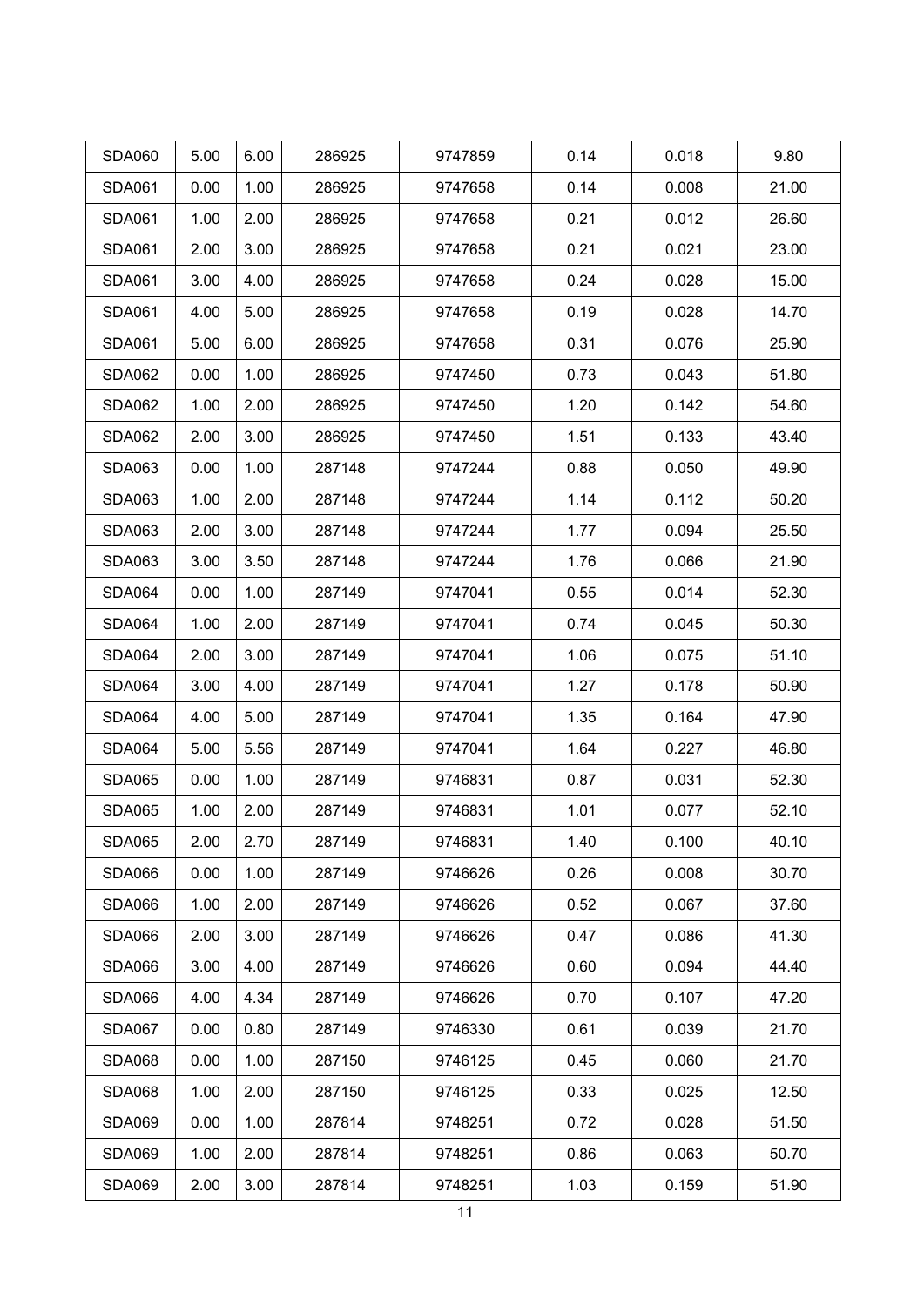| <b>SDA060</b> | 5.00 | 6.00 | 286925 | 9747859 | 0.14 | 0.018 | 9.80  |
|---------------|------|------|--------|---------|------|-------|-------|
| <b>SDA061</b> | 0.00 | 1.00 | 286925 | 9747658 | 0.14 | 0.008 | 21.00 |
| <b>SDA061</b> | 1.00 | 2.00 | 286925 | 9747658 | 0.21 | 0.012 | 26.60 |
| <b>SDA061</b> | 2.00 | 3.00 | 286925 | 9747658 | 0.21 | 0.021 | 23.00 |
| <b>SDA061</b> | 3.00 | 4.00 | 286925 | 9747658 | 0.24 | 0.028 | 15.00 |
| <b>SDA061</b> | 4.00 | 5.00 | 286925 | 9747658 | 0.19 | 0.028 | 14.70 |
| <b>SDA061</b> | 5.00 | 6.00 | 286925 | 9747658 | 0.31 | 0.076 | 25.90 |
| <b>SDA062</b> | 0.00 | 1.00 | 286925 | 9747450 | 0.73 | 0.043 | 51.80 |
| <b>SDA062</b> | 1.00 | 2.00 | 286925 | 9747450 | 1.20 | 0.142 | 54.60 |
| <b>SDA062</b> | 2.00 | 3.00 | 286925 | 9747450 | 1.51 | 0.133 | 43.40 |
| <b>SDA063</b> | 0.00 | 1.00 | 287148 | 9747244 | 0.88 | 0.050 | 49.90 |
| <b>SDA063</b> | 1.00 | 2.00 | 287148 | 9747244 | 1.14 | 0.112 | 50.20 |
| <b>SDA063</b> | 2.00 | 3.00 | 287148 | 9747244 | 1.77 | 0.094 | 25.50 |
| <b>SDA063</b> | 3.00 | 3.50 | 287148 | 9747244 | 1.76 | 0.066 | 21.90 |
| <b>SDA064</b> | 0.00 | 1.00 | 287149 | 9747041 | 0.55 | 0.014 | 52.30 |
| <b>SDA064</b> | 1.00 | 2.00 | 287149 | 9747041 | 0.74 | 0.045 | 50.30 |
| <b>SDA064</b> | 2.00 | 3.00 | 287149 | 9747041 | 1.06 | 0.075 | 51.10 |
| <b>SDA064</b> | 3.00 | 4.00 | 287149 | 9747041 | 1.27 | 0.178 | 50.90 |
| <b>SDA064</b> | 4.00 | 5.00 | 287149 | 9747041 | 1.35 | 0.164 | 47.90 |
| <b>SDA064</b> | 5.00 | 5.56 | 287149 | 9747041 | 1.64 | 0.227 | 46.80 |
| <b>SDA065</b> | 0.00 | 1.00 | 287149 | 9746831 | 0.87 | 0.031 | 52.30 |
| <b>SDA065</b> | 1.00 | 2.00 | 287149 | 9746831 | 1.01 | 0.077 | 52.10 |
| <b>SDA065</b> | 2.00 | 2.70 | 287149 | 9746831 | 1.40 | 0.100 | 40.10 |
| <b>SDA066</b> | 0.00 | 1.00 | 287149 | 9746626 | 0.26 | 0.008 | 30.70 |
| <b>SDA066</b> | 1.00 | 2.00 | 287149 | 9746626 | 0.52 | 0.067 | 37.60 |
| <b>SDA066</b> | 2.00 | 3.00 | 287149 | 9746626 | 0.47 | 0.086 | 41.30 |
| <b>SDA066</b> | 3.00 | 4.00 | 287149 | 9746626 | 0.60 | 0.094 | 44.40 |
| <b>SDA066</b> | 4.00 | 4.34 | 287149 | 9746626 | 0.70 | 0.107 | 47.20 |
| <b>SDA067</b> | 0.00 | 0.80 | 287149 | 9746330 | 0.61 | 0.039 | 21.70 |
| <b>SDA068</b> | 0.00 | 1.00 | 287150 | 9746125 | 0.45 | 0.060 | 21.70 |
| <b>SDA068</b> | 1.00 | 2.00 | 287150 | 9746125 | 0.33 | 0.025 | 12.50 |
| <b>SDA069</b> | 0.00 | 1.00 | 287814 | 9748251 | 0.72 | 0.028 | 51.50 |
| <b>SDA069</b> | 1.00 | 2.00 | 287814 | 9748251 | 0.86 | 0.063 | 50.70 |
| <b>SDA069</b> | 2.00 | 3.00 | 287814 | 9748251 | 1.03 | 0.159 | 51.90 |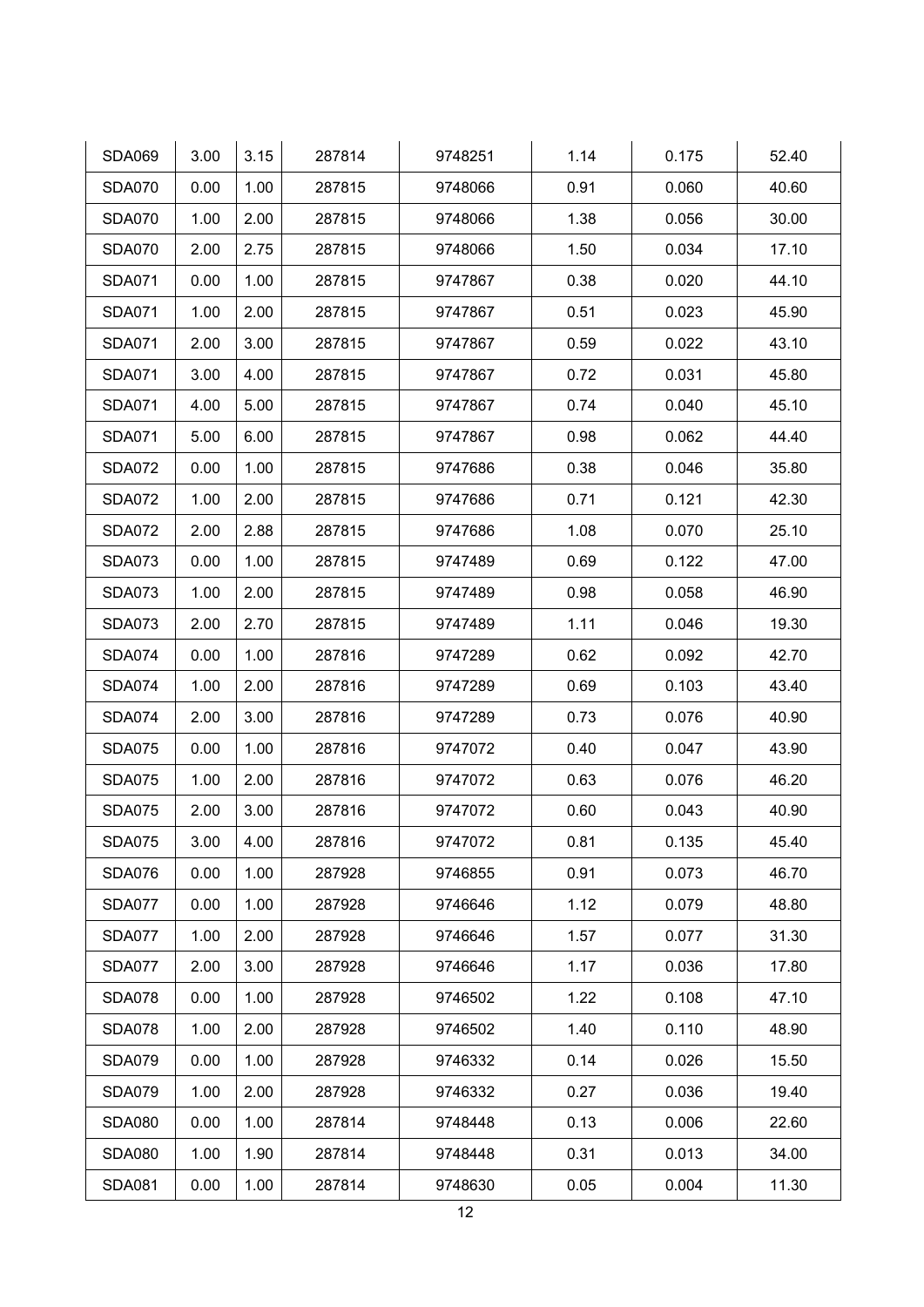| <b>SDA069</b> | 3.00 | 3.15 | 287814 | 9748251 | 1.14 | 0.175 | 52.40 |
|---------------|------|------|--------|---------|------|-------|-------|
| <b>SDA070</b> | 0.00 | 1.00 | 287815 | 9748066 | 0.91 | 0.060 | 40.60 |
| <b>SDA070</b> | 1.00 | 2.00 | 287815 | 9748066 | 1.38 | 0.056 | 30.00 |
| <b>SDA070</b> | 2.00 | 2.75 | 287815 | 9748066 | 1.50 | 0.034 | 17.10 |
| <b>SDA071</b> | 0.00 | 1.00 | 287815 | 9747867 | 0.38 | 0.020 | 44.10 |
| <b>SDA071</b> | 1.00 | 2.00 | 287815 | 9747867 | 0.51 | 0.023 | 45.90 |
| <b>SDA071</b> | 2.00 | 3.00 | 287815 | 9747867 | 0.59 | 0.022 | 43.10 |
| <b>SDA071</b> | 3.00 | 4.00 | 287815 | 9747867 | 0.72 | 0.031 | 45.80 |
| <b>SDA071</b> | 4.00 | 5.00 | 287815 | 9747867 | 0.74 | 0.040 | 45.10 |
| <b>SDA071</b> | 5.00 | 6.00 | 287815 | 9747867 | 0.98 | 0.062 | 44.40 |
| <b>SDA072</b> | 0.00 | 1.00 | 287815 | 9747686 | 0.38 | 0.046 | 35.80 |
| <b>SDA072</b> | 1.00 | 2.00 | 287815 | 9747686 | 0.71 | 0.121 | 42.30 |
| <b>SDA072</b> | 2.00 | 2.88 | 287815 | 9747686 | 1.08 | 0.070 | 25.10 |
| <b>SDA073</b> | 0.00 | 1.00 | 287815 | 9747489 | 0.69 | 0.122 | 47.00 |
| <b>SDA073</b> | 1.00 | 2.00 | 287815 | 9747489 | 0.98 | 0.058 | 46.90 |
| <b>SDA073</b> | 2.00 | 2.70 | 287815 | 9747489 | 1.11 | 0.046 | 19.30 |
| <b>SDA074</b> | 0.00 | 1.00 | 287816 | 9747289 | 0.62 | 0.092 | 42.70 |
| <b>SDA074</b> | 1.00 | 2.00 | 287816 | 9747289 | 0.69 | 0.103 | 43.40 |
| <b>SDA074</b> | 2.00 | 3.00 | 287816 | 9747289 | 0.73 | 0.076 | 40.90 |
| <b>SDA075</b> | 0.00 | 1.00 | 287816 | 9747072 | 0.40 | 0.047 | 43.90 |
| <b>SDA075</b> | 1.00 | 2.00 | 287816 | 9747072 | 0.63 | 0.076 | 46.20 |
| <b>SDA075</b> | 2.00 | 3.00 | 287816 | 9747072 | 0.60 | 0.043 | 40.90 |
| <b>SDA075</b> | 3.00 | 4.00 | 287816 | 9747072 | 0.81 | 0.135 | 45.40 |
| <b>SDA076</b> | 0.00 | 1.00 | 287928 | 9746855 | 0.91 | 0.073 | 46.70 |
| <b>SDA077</b> | 0.00 | 1.00 | 287928 | 9746646 | 1.12 | 0.079 | 48.80 |
| <b>SDA077</b> | 1.00 | 2.00 | 287928 | 9746646 | 1.57 | 0.077 | 31.30 |
| <b>SDA077</b> | 2.00 | 3.00 | 287928 | 9746646 | 1.17 | 0.036 | 17.80 |
| <b>SDA078</b> | 0.00 | 1.00 | 287928 | 9746502 | 1.22 | 0.108 | 47.10 |
| <b>SDA078</b> | 1.00 | 2.00 | 287928 | 9746502 | 1.40 | 0.110 | 48.90 |
| <b>SDA079</b> | 0.00 | 1.00 | 287928 | 9746332 | 0.14 | 0.026 | 15.50 |
| <b>SDA079</b> | 1.00 | 2.00 | 287928 | 9746332 | 0.27 | 0.036 | 19.40 |
| <b>SDA080</b> | 0.00 | 1.00 | 287814 | 9748448 | 0.13 | 0.006 | 22.60 |
| <b>SDA080</b> | 1.00 | 1.90 | 287814 | 9748448 | 0.31 | 0.013 | 34.00 |
| <b>SDA081</b> | 0.00 | 1.00 | 287814 | 9748630 | 0.05 | 0.004 | 11.30 |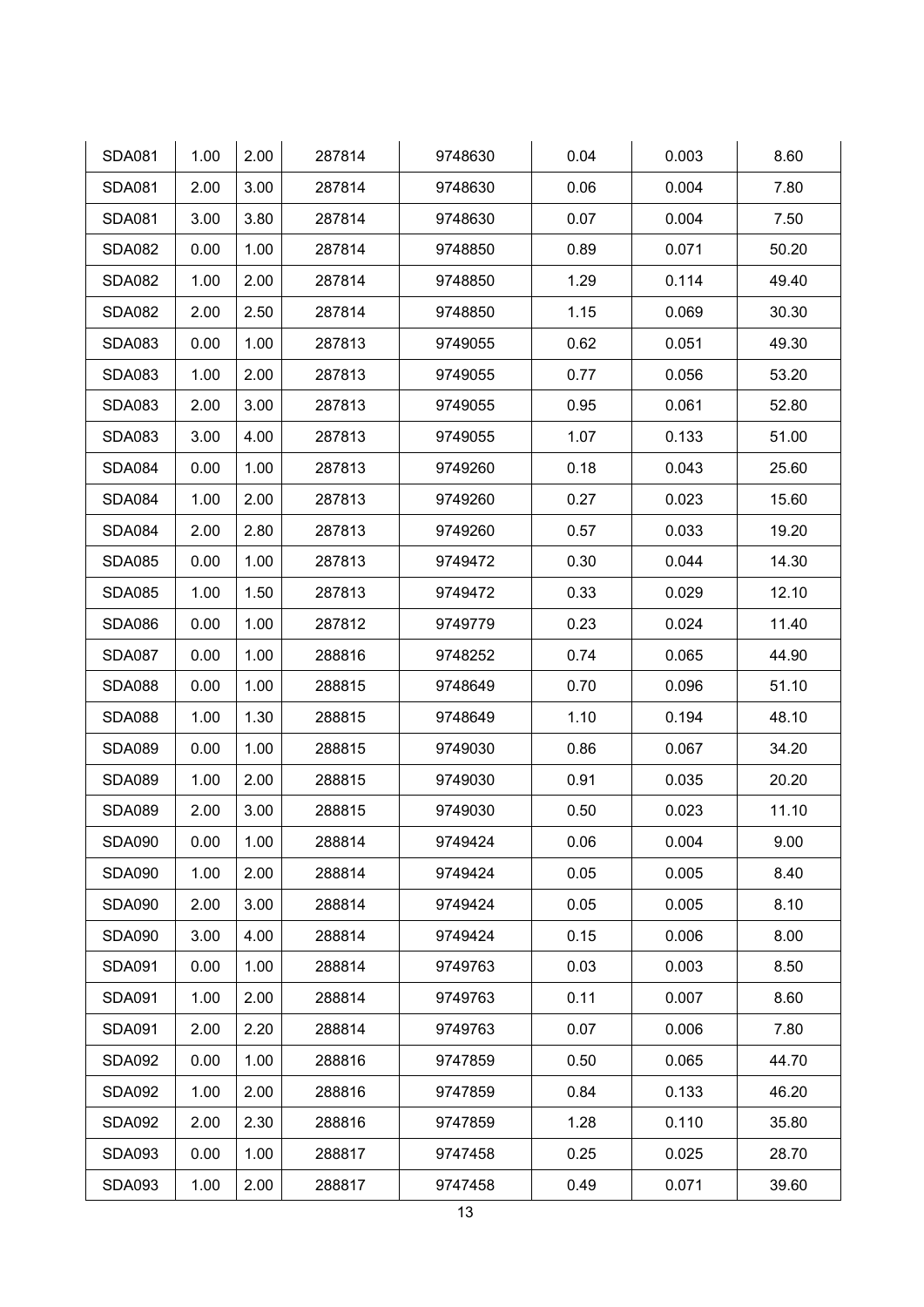| <b>SDA081</b> | 1.00 | 2.00 | 287814 | 9748630 | 0.04 | 0.003 | 8.60  |
|---------------|------|------|--------|---------|------|-------|-------|
| <b>SDA081</b> | 2.00 | 3.00 | 287814 | 9748630 | 0.06 | 0.004 | 7.80  |
| <b>SDA081</b> | 3.00 | 3.80 | 287814 | 9748630 | 0.07 | 0.004 | 7.50  |
| <b>SDA082</b> | 0.00 | 1.00 | 287814 | 9748850 | 0.89 | 0.071 | 50.20 |
| <b>SDA082</b> | 1.00 | 2.00 | 287814 | 9748850 | 1.29 | 0.114 | 49.40 |
| <b>SDA082</b> | 2.00 | 2.50 | 287814 | 9748850 | 1.15 | 0.069 | 30.30 |
| <b>SDA083</b> | 0.00 | 1.00 | 287813 | 9749055 | 0.62 | 0.051 | 49.30 |
| <b>SDA083</b> | 1.00 | 2.00 | 287813 | 9749055 | 0.77 | 0.056 | 53.20 |
| <b>SDA083</b> | 2.00 | 3.00 | 287813 | 9749055 | 0.95 | 0.061 | 52.80 |
| <b>SDA083</b> | 3.00 | 4.00 | 287813 | 9749055 | 1.07 | 0.133 | 51.00 |
| <b>SDA084</b> | 0.00 | 1.00 | 287813 | 9749260 | 0.18 | 0.043 | 25.60 |
| <b>SDA084</b> | 1.00 | 2.00 | 287813 | 9749260 | 0.27 | 0.023 | 15.60 |
| <b>SDA084</b> | 2.00 | 2.80 | 287813 | 9749260 | 0.57 | 0.033 | 19.20 |
| <b>SDA085</b> | 0.00 | 1.00 | 287813 | 9749472 | 0.30 | 0.044 | 14.30 |
| <b>SDA085</b> | 1.00 | 1.50 | 287813 | 9749472 | 0.33 | 0.029 | 12.10 |
| <b>SDA086</b> | 0.00 | 1.00 | 287812 | 9749779 | 0.23 | 0.024 | 11.40 |
| <b>SDA087</b> | 0.00 | 1.00 | 288816 | 9748252 | 0.74 | 0.065 | 44.90 |
| <b>SDA088</b> | 0.00 | 1.00 | 288815 | 9748649 | 0.70 | 0.096 | 51.10 |
| <b>SDA088</b> | 1.00 | 1.30 | 288815 | 9748649 | 1.10 | 0.194 | 48.10 |
| <b>SDA089</b> | 0.00 | 1.00 | 288815 | 9749030 | 0.86 | 0.067 | 34.20 |
| <b>SDA089</b> | 1.00 | 2.00 | 288815 | 9749030 | 0.91 | 0.035 | 20.20 |
| <b>SDA089</b> | 2.00 | 3.00 | 288815 | 9749030 | 0.50 | 0.023 | 11.10 |
| <b>SDA090</b> | 0.00 | 1.00 | 288814 | 9749424 | 0.06 | 0.004 | 9.00  |
| <b>SDA090</b> | 1.00 | 2.00 | 288814 | 9749424 | 0.05 | 0.005 | 8.40  |
| <b>SDA090</b> | 2.00 | 3.00 | 288814 | 9749424 | 0.05 | 0.005 | 8.10  |
| <b>SDA090</b> | 3.00 | 4.00 | 288814 | 9749424 | 0.15 | 0.006 | 8.00  |
| <b>SDA091</b> | 0.00 | 1.00 | 288814 | 9749763 | 0.03 | 0.003 | 8.50  |
| <b>SDA091</b> | 1.00 | 2.00 | 288814 | 9749763 | 0.11 | 0.007 | 8.60  |
| <b>SDA091</b> | 2.00 | 2.20 | 288814 | 9749763 | 0.07 | 0.006 | 7.80  |
| <b>SDA092</b> | 0.00 | 1.00 | 288816 | 9747859 | 0.50 | 0.065 | 44.70 |
| <b>SDA092</b> | 1.00 | 2.00 | 288816 | 9747859 | 0.84 | 0.133 | 46.20 |
| <b>SDA092</b> | 2.00 | 2.30 | 288816 | 9747859 | 1.28 | 0.110 | 35.80 |
| <b>SDA093</b> | 0.00 | 1.00 | 288817 | 9747458 | 0.25 | 0.025 | 28.70 |
| <b>SDA093</b> | 1.00 | 2.00 | 288817 | 9747458 | 0.49 | 0.071 | 39.60 |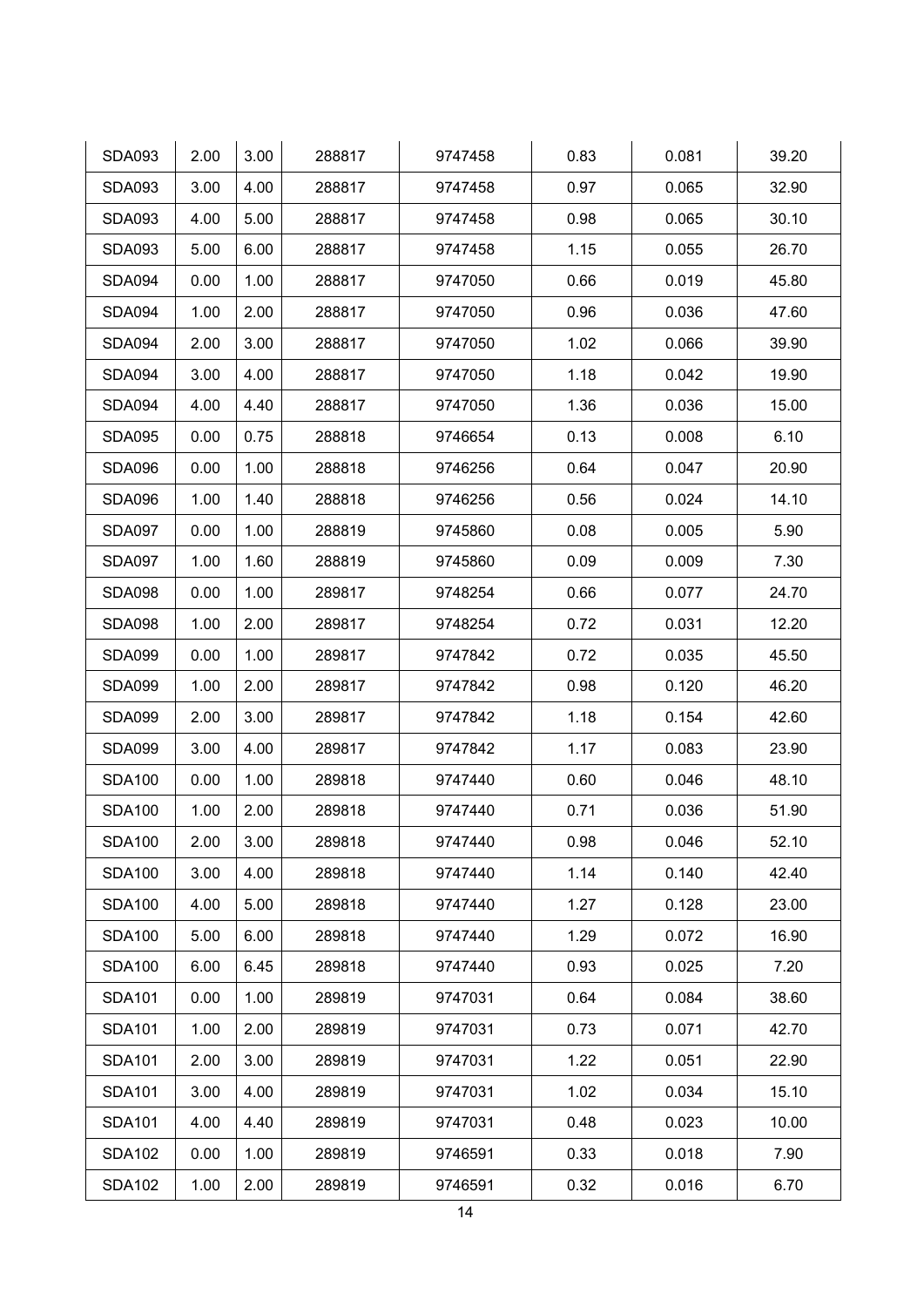| <b>SDA093</b> | 2.00 | 3.00 | 288817 | 9747458 | 0.83 | 0.081 | 39.20 |
|---------------|------|------|--------|---------|------|-------|-------|
| <b>SDA093</b> | 3.00 | 4.00 | 288817 | 9747458 | 0.97 | 0.065 | 32.90 |
| <b>SDA093</b> | 4.00 | 5.00 | 288817 | 9747458 | 0.98 | 0.065 | 30.10 |
| <b>SDA093</b> | 5.00 | 6.00 | 288817 | 9747458 | 1.15 | 0.055 | 26.70 |
| <b>SDA094</b> | 0.00 | 1.00 | 288817 | 9747050 | 0.66 | 0.019 | 45.80 |
| <b>SDA094</b> | 1.00 | 2.00 | 288817 | 9747050 | 0.96 | 0.036 | 47.60 |
| <b>SDA094</b> | 2.00 | 3.00 | 288817 | 9747050 | 1.02 | 0.066 | 39.90 |
| <b>SDA094</b> | 3.00 | 4.00 | 288817 | 9747050 | 1.18 | 0.042 | 19.90 |
| <b>SDA094</b> | 4.00 | 4.40 | 288817 | 9747050 | 1.36 | 0.036 | 15.00 |
| <b>SDA095</b> | 0.00 | 0.75 | 288818 | 9746654 | 0.13 | 0.008 | 6.10  |
| <b>SDA096</b> | 0.00 | 1.00 | 288818 | 9746256 | 0.64 | 0.047 | 20.90 |
| <b>SDA096</b> | 1.00 | 1.40 | 288818 | 9746256 | 0.56 | 0.024 | 14.10 |
| <b>SDA097</b> | 0.00 | 1.00 | 288819 | 9745860 | 0.08 | 0.005 | 5.90  |
| <b>SDA097</b> | 1.00 | 1.60 | 288819 | 9745860 | 0.09 | 0.009 | 7.30  |
| <b>SDA098</b> | 0.00 | 1.00 | 289817 | 9748254 | 0.66 | 0.077 | 24.70 |
| <b>SDA098</b> | 1.00 | 2.00 | 289817 | 9748254 | 0.72 | 0.031 | 12.20 |
| <b>SDA099</b> | 0.00 | 1.00 | 289817 | 9747842 | 0.72 | 0.035 | 45.50 |
| <b>SDA099</b> | 1.00 | 2.00 | 289817 | 9747842 | 0.98 | 0.120 | 46.20 |
| <b>SDA099</b> | 2.00 | 3.00 | 289817 | 9747842 | 1.18 | 0.154 | 42.60 |
| <b>SDA099</b> | 3.00 | 4.00 | 289817 | 9747842 | 1.17 | 0.083 | 23.90 |
| <b>SDA100</b> | 0.00 | 1.00 | 289818 | 9747440 | 0.60 | 0.046 | 48.10 |
| <b>SDA100</b> | 1.00 | 2.00 | 289818 | 9747440 | 0.71 | 0.036 | 51.90 |
| <b>SDA100</b> | 2.00 | 3.00 | 289818 | 9747440 | 0.98 | 0.046 | 52.10 |
| <b>SDA100</b> | 3.00 | 4.00 | 289818 | 9747440 | 1.14 | 0.140 | 42.40 |
| <b>SDA100</b> | 4.00 | 5.00 | 289818 | 9747440 | 1.27 | 0.128 | 23.00 |
| <b>SDA100</b> | 5.00 | 6.00 | 289818 | 9747440 | 1.29 | 0.072 | 16.90 |
| <b>SDA100</b> | 6.00 | 6.45 | 289818 | 9747440 | 0.93 | 0.025 | 7.20  |
| <b>SDA101</b> | 0.00 | 1.00 | 289819 | 9747031 | 0.64 | 0.084 | 38.60 |
| <b>SDA101</b> | 1.00 | 2.00 | 289819 | 9747031 | 0.73 | 0.071 | 42.70 |
| <b>SDA101</b> | 2.00 | 3.00 | 289819 | 9747031 | 1.22 | 0.051 | 22.90 |
| <b>SDA101</b> | 3.00 | 4.00 | 289819 | 9747031 | 1.02 | 0.034 | 15.10 |
| <b>SDA101</b> | 4.00 | 4.40 | 289819 | 9747031 | 0.48 | 0.023 | 10.00 |
| <b>SDA102</b> | 0.00 | 1.00 | 289819 | 9746591 | 0.33 | 0.018 | 7.90  |
| <b>SDA102</b> | 1.00 | 2.00 | 289819 | 9746591 | 0.32 | 0.016 | 6.70  |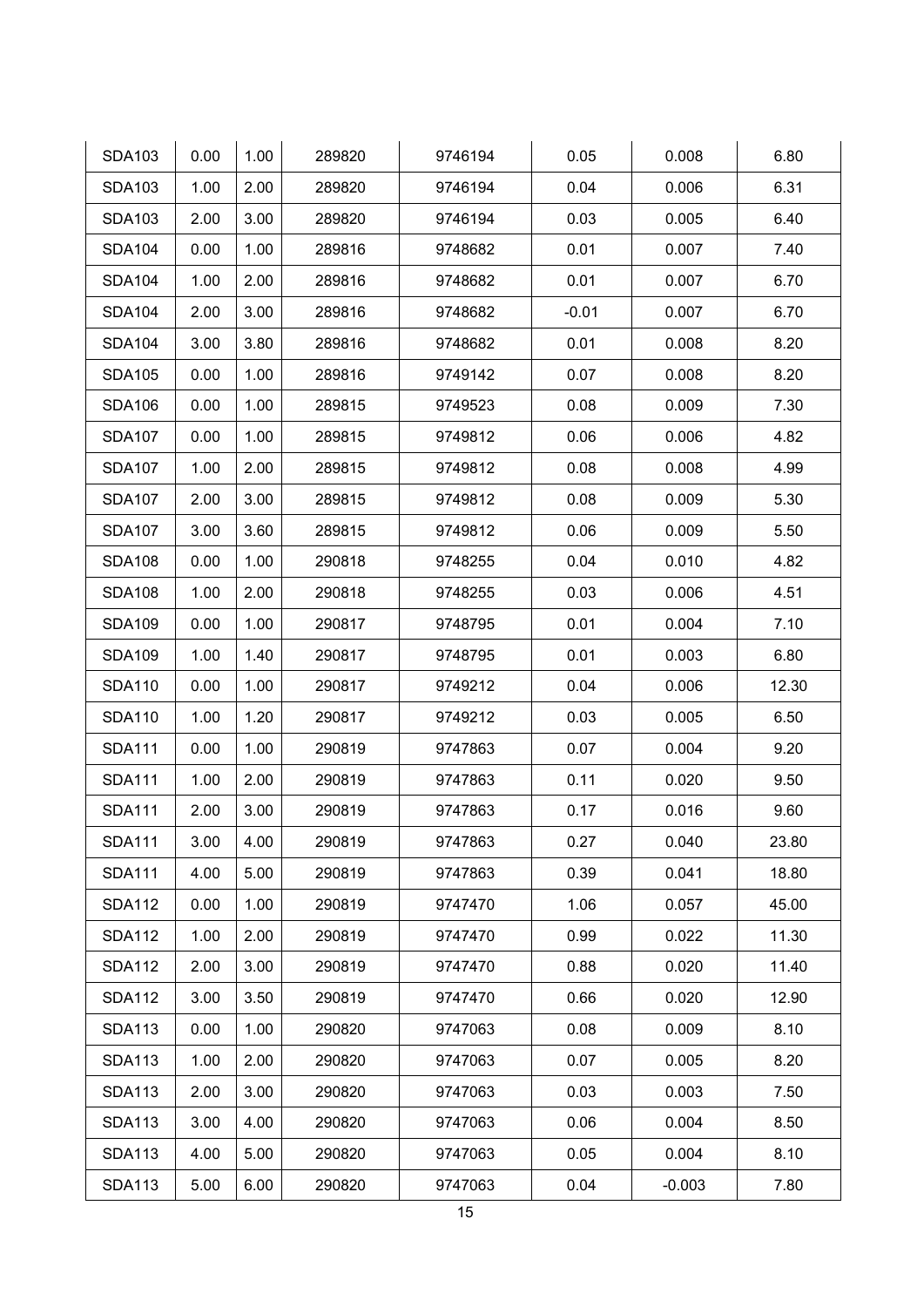| <b>SDA103</b> | 0.00 | 1.00 | 289820 | 9746194 | 0.05    | 0.008    | 6.80  |
|---------------|------|------|--------|---------|---------|----------|-------|
| <b>SDA103</b> | 1.00 | 2.00 | 289820 | 9746194 | 0.04    | 0.006    | 6.31  |
| <b>SDA103</b> | 2.00 | 3.00 | 289820 | 9746194 | 0.03    | 0.005    | 6.40  |
| <b>SDA104</b> | 0.00 | 1.00 | 289816 | 9748682 | 0.01    | 0.007    | 7.40  |
| <b>SDA104</b> | 1.00 | 2.00 | 289816 | 9748682 | 0.01    | 0.007    | 6.70  |
| <b>SDA104</b> | 2.00 | 3.00 | 289816 | 9748682 | $-0.01$ | 0.007    | 6.70  |
| <b>SDA104</b> | 3.00 | 3.80 | 289816 | 9748682 | 0.01    | 0.008    | 8.20  |
| <b>SDA105</b> | 0.00 | 1.00 | 289816 | 9749142 | 0.07    | 0.008    | 8.20  |
| <b>SDA106</b> | 0.00 | 1.00 | 289815 | 9749523 | 0.08    | 0.009    | 7.30  |
| <b>SDA107</b> | 0.00 | 1.00 | 289815 | 9749812 | 0.06    | 0.006    | 4.82  |
| <b>SDA107</b> | 1.00 | 2.00 | 289815 | 9749812 | 0.08    | 0.008    | 4.99  |
| <b>SDA107</b> | 2.00 | 3.00 | 289815 | 9749812 | 0.08    | 0.009    | 5.30  |
| <b>SDA107</b> | 3.00 | 3.60 | 289815 | 9749812 | 0.06    | 0.009    | 5.50  |
| <b>SDA108</b> | 0.00 | 1.00 | 290818 | 9748255 | 0.04    | 0.010    | 4.82  |
| <b>SDA108</b> | 1.00 | 2.00 | 290818 | 9748255 | 0.03    | 0.006    | 4.51  |
| <b>SDA109</b> | 0.00 | 1.00 | 290817 | 9748795 | 0.01    | 0.004    | 7.10  |
| <b>SDA109</b> | 1.00 | 1.40 | 290817 | 9748795 | 0.01    | 0.003    | 6.80  |
| <b>SDA110</b> | 0.00 | 1.00 | 290817 | 9749212 | 0.04    | 0.006    | 12.30 |
| <b>SDA110</b> | 1.00 | 1.20 | 290817 | 9749212 | 0.03    | 0.005    | 6.50  |
| <b>SDA111</b> | 0.00 | 1.00 | 290819 | 9747863 | 0.07    | 0.004    | 9.20  |
| <b>SDA111</b> | 1.00 | 2.00 | 290819 | 9747863 | 0.11    | 0.020    | 9.50  |
| <b>SDA111</b> | 2.00 | 3.00 | 290819 | 9747863 | 0.17    | 0.016    | 9.60  |
| <b>SDA111</b> | 3.00 | 4.00 | 290819 | 9747863 | 0.27    | 0.040    | 23.80 |
| <b>SDA111</b> | 4.00 | 5.00 | 290819 | 9747863 | 0.39    | 0.041    | 18.80 |
| <b>SDA112</b> | 0.00 | 1.00 | 290819 | 9747470 | 1.06    | 0.057    | 45.00 |
| <b>SDA112</b> | 1.00 | 2.00 | 290819 | 9747470 | 0.99    | 0.022    | 11.30 |
| <b>SDA112</b> | 2.00 | 3.00 | 290819 | 9747470 | 0.88    | 0.020    | 11.40 |
| <b>SDA112</b> | 3.00 | 3.50 | 290819 | 9747470 | 0.66    | 0.020    | 12.90 |
| <b>SDA113</b> | 0.00 | 1.00 | 290820 | 9747063 | 0.08    | 0.009    | 8.10  |
| <b>SDA113</b> | 1.00 | 2.00 | 290820 | 9747063 | 0.07    | 0.005    | 8.20  |
| <b>SDA113</b> | 2.00 | 3.00 | 290820 | 9747063 | 0.03    | 0.003    | 7.50  |
| <b>SDA113</b> | 3.00 | 4.00 | 290820 | 9747063 | 0.06    | 0.004    | 8.50  |
| <b>SDA113</b> | 4.00 | 5.00 | 290820 | 9747063 | 0.05    | 0.004    | 8.10  |
| <b>SDA113</b> | 5.00 | 6.00 | 290820 | 9747063 | 0.04    | $-0.003$ | 7.80  |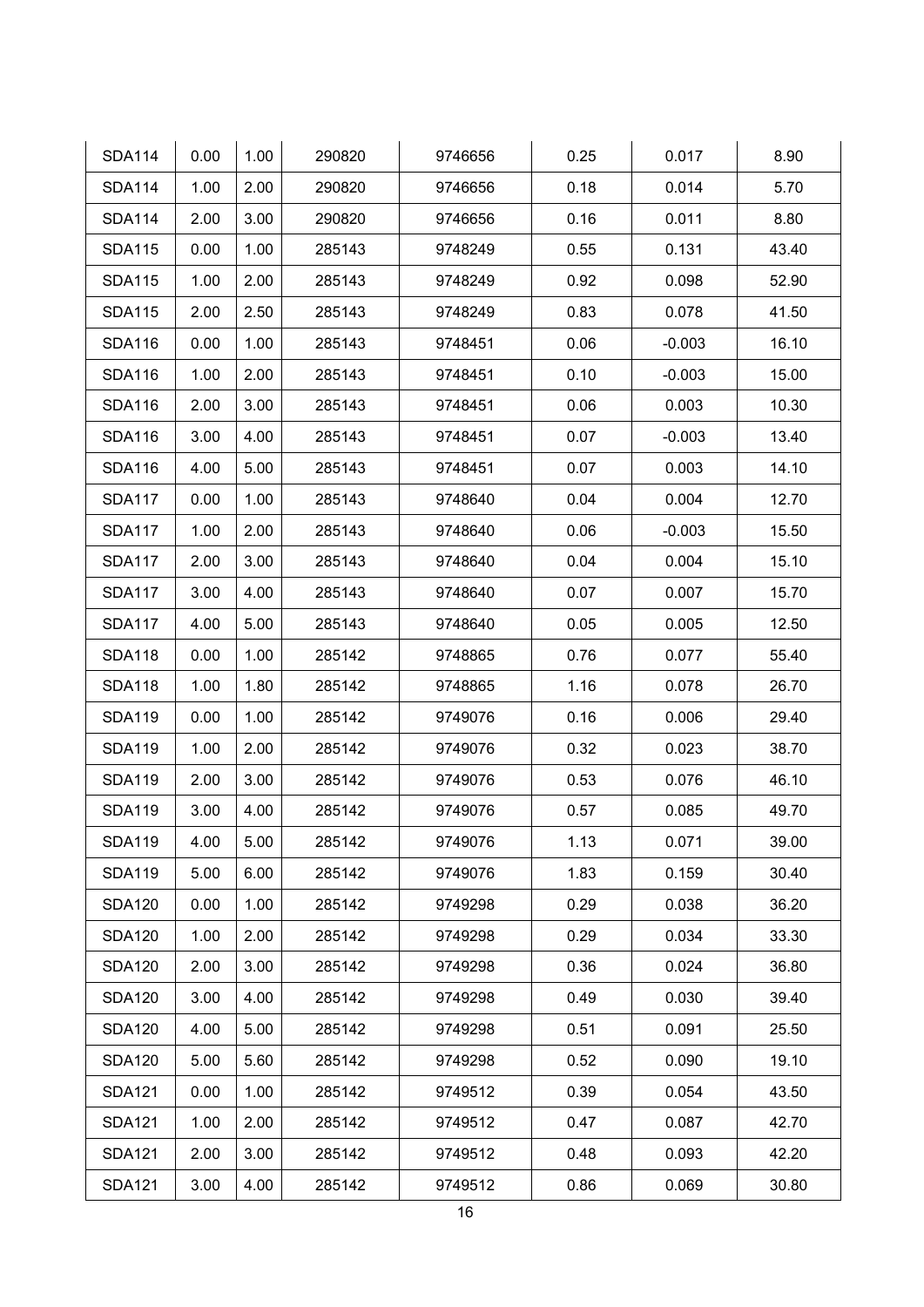| <b>SDA114</b> | 0.00 | 1.00 | 290820 | 9746656 | 0.25 | 0.017    | 8.90  |
|---------------|------|------|--------|---------|------|----------|-------|
| <b>SDA114</b> | 1.00 | 2.00 | 290820 | 9746656 | 0.18 | 0.014    | 5.70  |
| <b>SDA114</b> | 2.00 | 3.00 | 290820 | 9746656 | 0.16 | 0.011    | 8.80  |
| <b>SDA115</b> | 0.00 | 1.00 | 285143 | 9748249 | 0.55 | 0.131    | 43.40 |
| <b>SDA115</b> | 1.00 | 2.00 | 285143 | 9748249 | 0.92 | 0.098    | 52.90 |
| <b>SDA115</b> | 2.00 | 2.50 | 285143 | 9748249 | 0.83 | 0.078    | 41.50 |
| <b>SDA116</b> | 0.00 | 1.00 | 285143 | 9748451 | 0.06 | $-0.003$ | 16.10 |
| <b>SDA116</b> | 1.00 | 2.00 | 285143 | 9748451 | 0.10 | $-0.003$ | 15.00 |
| <b>SDA116</b> | 2.00 | 3.00 | 285143 | 9748451 | 0.06 | 0.003    | 10.30 |
| <b>SDA116</b> | 3.00 | 4.00 | 285143 | 9748451 | 0.07 | $-0.003$ | 13.40 |
| <b>SDA116</b> | 4.00 | 5.00 | 285143 | 9748451 | 0.07 | 0.003    | 14.10 |
| <b>SDA117</b> | 0.00 | 1.00 | 285143 | 9748640 | 0.04 | 0.004    | 12.70 |
| <b>SDA117</b> | 1.00 | 2.00 | 285143 | 9748640 | 0.06 | $-0.003$ | 15.50 |
| <b>SDA117</b> | 2.00 | 3.00 | 285143 | 9748640 | 0.04 | 0.004    | 15.10 |
| <b>SDA117</b> | 3.00 | 4.00 | 285143 | 9748640 | 0.07 | 0.007    | 15.70 |
| <b>SDA117</b> | 4.00 | 5.00 | 285143 | 9748640 | 0.05 | 0.005    | 12.50 |
| <b>SDA118</b> | 0.00 | 1.00 | 285142 | 9748865 | 0.76 | 0.077    | 55.40 |
| <b>SDA118</b> | 1.00 | 1.80 | 285142 | 9748865 | 1.16 | 0.078    | 26.70 |
| <b>SDA119</b> | 0.00 | 1.00 | 285142 | 9749076 | 0.16 | 0.006    | 29.40 |
| <b>SDA119</b> | 1.00 | 2.00 | 285142 | 9749076 | 0.32 | 0.023    | 38.70 |
| <b>SDA119</b> | 2.00 | 3.00 | 285142 | 9749076 | 0.53 | 0.076    | 46.10 |
| <b>SDA119</b> | 3.00 | 4.00 | 285142 | 9749076 | 0.57 | 0.085    | 49.70 |
| <b>SDA119</b> | 4.00 | 5.00 | 285142 | 9749076 | 1.13 | 0.071    | 39.00 |
| <b>SDA119</b> | 5.00 | 6.00 | 285142 | 9749076 | 1.83 | 0.159    | 30.40 |
| <b>SDA120</b> | 0.00 | 1.00 | 285142 | 9749298 | 0.29 | 0.038    | 36.20 |
| <b>SDA120</b> | 1.00 | 2.00 | 285142 | 9749298 | 0.29 | 0.034    | 33.30 |
| <b>SDA120</b> | 2.00 | 3.00 | 285142 | 9749298 | 0.36 | 0.024    | 36.80 |
| <b>SDA120</b> | 3.00 | 4.00 | 285142 | 9749298 | 0.49 | 0.030    | 39.40 |
| <b>SDA120</b> | 4.00 | 5.00 | 285142 | 9749298 | 0.51 | 0.091    | 25.50 |
| <b>SDA120</b> | 5.00 | 5.60 | 285142 | 9749298 | 0.52 | 0.090    | 19.10 |
| <b>SDA121</b> | 0.00 | 1.00 | 285142 | 9749512 | 0.39 | 0.054    | 43.50 |
| <b>SDA121</b> | 1.00 | 2.00 | 285142 | 9749512 | 0.47 | 0.087    | 42.70 |
| <b>SDA121</b> | 2.00 | 3.00 | 285142 | 9749512 | 0.48 | 0.093    | 42.20 |
| <b>SDA121</b> | 3.00 | 4.00 | 285142 | 9749512 | 0.86 | 0.069    | 30.80 |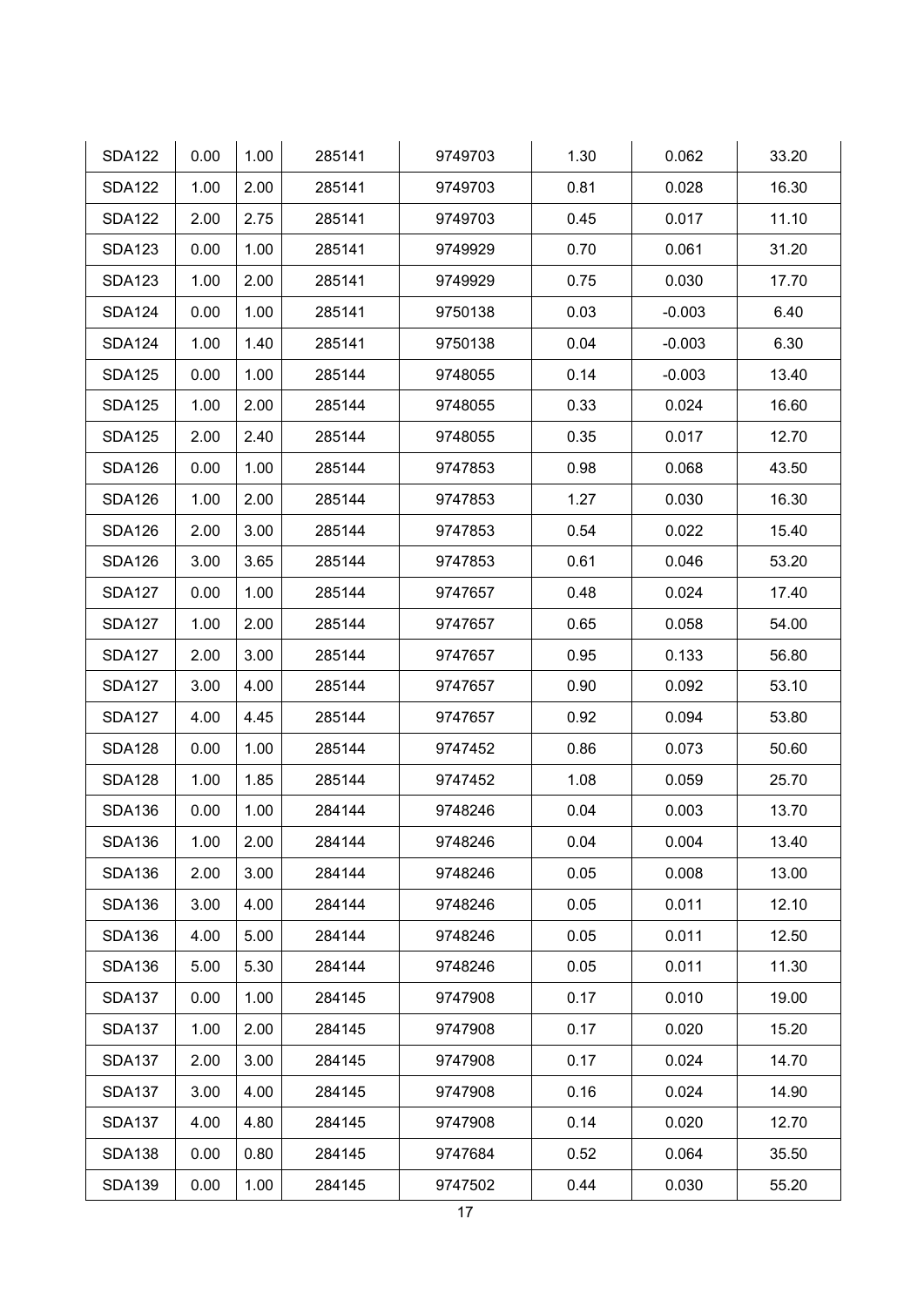| <b>SDA122</b> | 0.00 | 1.00 | 285141 | 9749703 | 1.30 | 0.062    | 33.20 |
|---------------|------|------|--------|---------|------|----------|-------|
| <b>SDA122</b> | 1.00 | 2.00 | 285141 | 9749703 | 0.81 | 0.028    | 16.30 |
| <b>SDA122</b> | 2.00 | 2.75 | 285141 | 9749703 | 0.45 | 0.017    | 11.10 |
| <b>SDA123</b> | 0.00 | 1.00 | 285141 | 9749929 | 0.70 | 0.061    | 31.20 |
| <b>SDA123</b> | 1.00 | 2.00 | 285141 | 9749929 | 0.75 | 0.030    | 17.70 |
| <b>SDA124</b> | 0.00 | 1.00 | 285141 | 9750138 | 0.03 | $-0.003$ | 6.40  |
| <b>SDA124</b> | 1.00 | 1.40 | 285141 | 9750138 | 0.04 | $-0.003$ | 6.30  |
| <b>SDA125</b> | 0.00 | 1.00 | 285144 | 9748055 | 0.14 | $-0.003$ | 13.40 |
| <b>SDA125</b> | 1.00 | 2.00 | 285144 | 9748055 | 0.33 | 0.024    | 16.60 |
| <b>SDA125</b> | 2.00 | 2.40 | 285144 | 9748055 | 0.35 | 0.017    | 12.70 |
| <b>SDA126</b> | 0.00 | 1.00 | 285144 | 9747853 | 0.98 | 0.068    | 43.50 |
| <b>SDA126</b> | 1.00 | 2.00 | 285144 | 9747853 | 1.27 | 0.030    | 16.30 |
| <b>SDA126</b> | 2.00 | 3.00 | 285144 | 9747853 | 0.54 | 0.022    | 15.40 |
| <b>SDA126</b> | 3.00 | 3.65 | 285144 | 9747853 | 0.61 | 0.046    | 53.20 |
| <b>SDA127</b> | 0.00 | 1.00 | 285144 | 9747657 | 0.48 | 0.024    | 17.40 |
| <b>SDA127</b> | 1.00 | 2.00 | 285144 | 9747657 | 0.65 | 0.058    | 54.00 |
| <b>SDA127</b> | 2.00 | 3.00 | 285144 | 9747657 | 0.95 | 0.133    | 56.80 |
| <b>SDA127</b> | 3.00 | 4.00 | 285144 | 9747657 | 0.90 | 0.092    | 53.10 |
| <b>SDA127</b> | 4.00 | 4.45 | 285144 | 9747657 | 0.92 | 0.094    | 53.80 |
| <b>SDA128</b> | 0.00 | 1.00 | 285144 | 9747452 | 0.86 | 0.073    | 50.60 |
| <b>SDA128</b> | 1.00 | 1.85 | 285144 | 9747452 | 1.08 | 0.059    | 25.70 |
| <b>SDA136</b> | 0.00 | 1.00 | 284144 | 9748246 | 0.04 | 0.003    | 13.70 |
| <b>SDA136</b> | 1.00 | 2.00 | 284144 | 9748246 | 0.04 | 0.004    | 13.40 |
| <b>SDA136</b> | 2.00 | 3.00 | 284144 | 9748246 | 0.05 | 0.008    | 13.00 |
| <b>SDA136</b> | 3.00 | 4.00 | 284144 | 9748246 | 0.05 | 0.011    | 12.10 |
| <b>SDA136</b> | 4.00 | 5.00 | 284144 | 9748246 | 0.05 | 0.011    | 12.50 |
| <b>SDA136</b> | 5.00 | 5.30 | 284144 | 9748246 | 0.05 | 0.011    | 11.30 |
| <b>SDA137</b> | 0.00 | 1.00 | 284145 | 9747908 | 0.17 | 0.010    | 19.00 |
| <b>SDA137</b> | 1.00 | 2.00 | 284145 | 9747908 | 0.17 | 0.020    | 15.20 |
| <b>SDA137</b> | 2.00 | 3.00 | 284145 | 9747908 | 0.17 | 0.024    | 14.70 |
| <b>SDA137</b> | 3.00 | 4.00 | 284145 | 9747908 | 0.16 | 0.024    | 14.90 |
| <b>SDA137</b> | 4.00 | 4.80 | 284145 | 9747908 | 0.14 | 0.020    | 12.70 |
| <b>SDA138</b> | 0.00 | 0.80 | 284145 | 9747684 | 0.52 | 0.064    | 35.50 |
| <b>SDA139</b> | 0.00 | 1.00 | 284145 | 9747502 | 0.44 | 0.030    | 55.20 |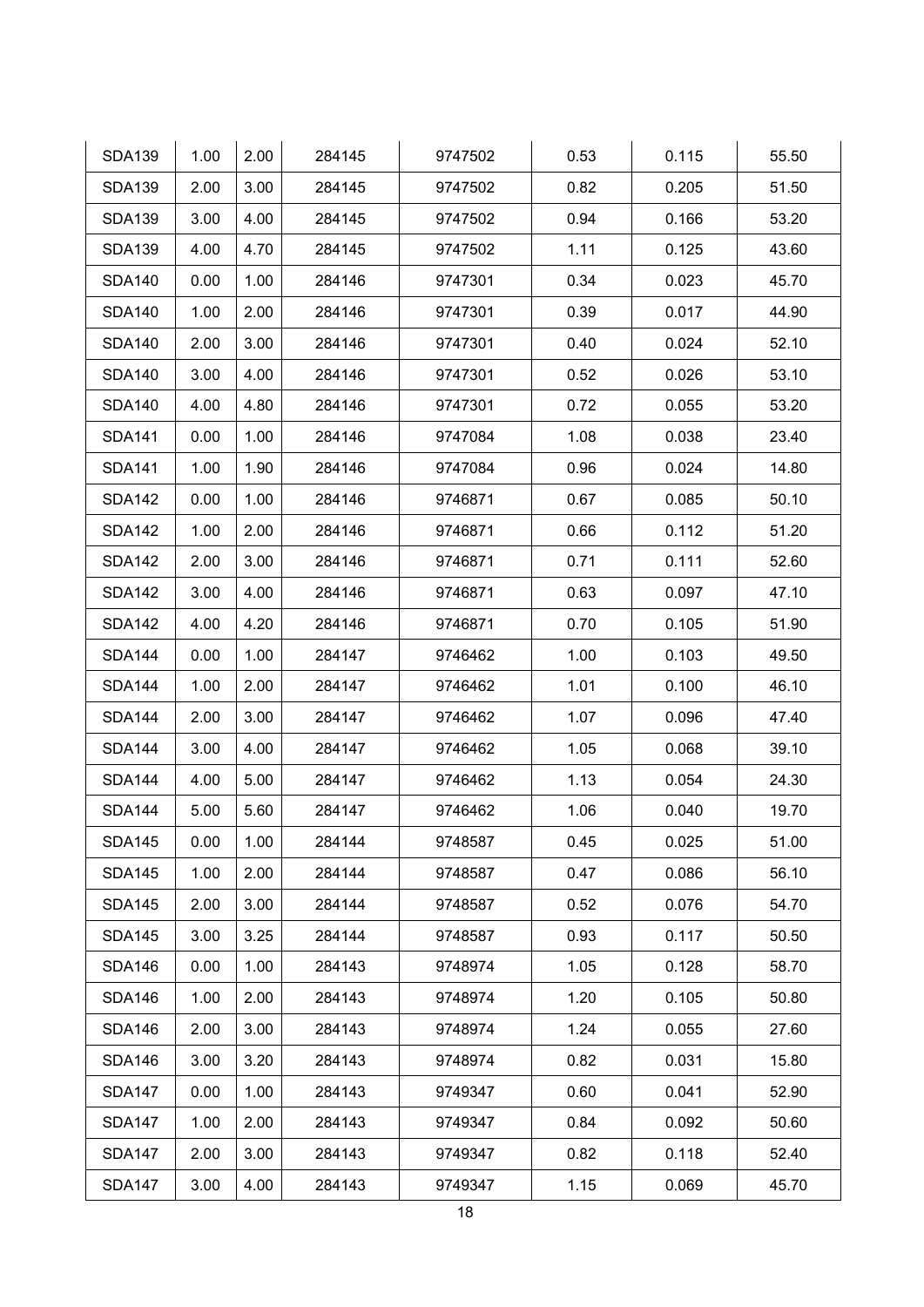| <b>SDA139</b> | 1.00 | 2.00 | 284145 | 9747502 | 0.53 | 0.115 | 55.50 |
|---------------|------|------|--------|---------|------|-------|-------|
| <b>SDA139</b> | 2.00 | 3.00 | 284145 | 9747502 | 0.82 | 0.205 | 51.50 |
| <b>SDA139</b> | 3.00 | 4.00 | 284145 | 9747502 | 0.94 | 0.166 | 53.20 |
| <b>SDA139</b> | 4.00 | 4.70 | 284145 | 9747502 | 1.11 | 0.125 | 43.60 |
| <b>SDA140</b> | 0.00 | 1.00 | 284146 | 9747301 | 0.34 | 0.023 | 45.70 |
| <b>SDA140</b> | 1.00 | 2.00 | 284146 | 9747301 | 0.39 | 0.017 | 44.90 |
| <b>SDA140</b> | 2.00 | 3.00 | 284146 | 9747301 | 0.40 | 0.024 | 52.10 |
| <b>SDA140</b> | 3.00 | 4.00 | 284146 | 9747301 | 0.52 | 0.026 | 53.10 |
| <b>SDA140</b> | 4.00 | 4.80 | 284146 | 9747301 | 0.72 | 0.055 | 53.20 |
| <b>SDA141</b> | 0.00 | 1.00 | 284146 | 9747084 | 1.08 | 0.038 | 23.40 |
| <b>SDA141</b> | 1.00 | 1.90 | 284146 | 9747084 | 0.96 | 0.024 | 14.80 |
| <b>SDA142</b> | 0.00 | 1.00 | 284146 | 9746871 | 0.67 | 0.085 | 50.10 |
| <b>SDA142</b> | 1.00 | 2.00 | 284146 | 9746871 | 0.66 | 0.112 | 51.20 |
| <b>SDA142</b> | 2.00 | 3.00 | 284146 | 9746871 | 0.71 | 0.111 | 52.60 |
| <b>SDA142</b> | 3.00 | 4.00 | 284146 | 9746871 | 0.63 | 0.097 | 47.10 |
| <b>SDA142</b> | 4.00 | 4.20 | 284146 | 9746871 | 0.70 | 0.105 | 51.90 |
| <b>SDA144</b> | 0.00 | 1.00 | 284147 | 9746462 | 1.00 | 0.103 | 49.50 |
| <b>SDA144</b> | 1.00 | 2.00 | 284147 | 9746462 | 1.01 | 0.100 | 46.10 |
| <b>SDA144</b> | 2.00 | 3.00 | 284147 | 9746462 | 1.07 | 0.096 | 47.40 |
| <b>SDA144</b> | 3.00 | 4.00 | 284147 | 9746462 | 1.05 | 0.068 | 39.10 |
| <b>SDA144</b> | 4.00 | 5.00 | 284147 | 9746462 | 1.13 | 0.054 | 24.30 |
| <b>SDA144</b> | 5.00 | 5.60 | 284147 | 9746462 | 1.06 | 0.040 | 19.70 |
| <b>SDA145</b> | 0.00 | 1.00 | 284144 | 9748587 | 0.45 | 0.025 | 51.00 |
| <b>SDA145</b> | 1.00 | 2.00 | 284144 | 9748587 | 0.47 | 0.086 | 56.10 |
| <b>SDA145</b> | 2.00 | 3.00 | 284144 | 9748587 | 0.52 | 0.076 | 54.70 |
| <b>SDA145</b> | 3.00 | 3.25 | 284144 | 9748587 | 0.93 | 0.117 | 50.50 |
| <b>SDA146</b> | 0.00 | 1.00 | 284143 | 9748974 | 1.05 | 0.128 | 58.70 |
| <b>SDA146</b> | 1.00 | 2.00 | 284143 | 9748974 | 1.20 | 0.105 | 50.80 |
| <b>SDA146</b> | 2.00 | 3.00 | 284143 | 9748974 | 1.24 | 0.055 | 27.60 |
| <b>SDA146</b> | 3.00 | 3.20 | 284143 | 9748974 | 0.82 | 0.031 | 15.80 |
| <b>SDA147</b> | 0.00 | 1.00 | 284143 | 9749347 | 0.60 | 0.041 | 52.90 |
| <b>SDA147</b> | 1.00 | 2.00 | 284143 | 9749347 | 0.84 | 0.092 | 50.60 |
| <b>SDA147</b> | 2.00 | 3.00 | 284143 | 9749347 | 0.82 | 0.118 | 52.40 |
| <b>SDA147</b> | 3.00 | 4.00 | 284143 | 9749347 | 1.15 | 0.069 | 45.70 |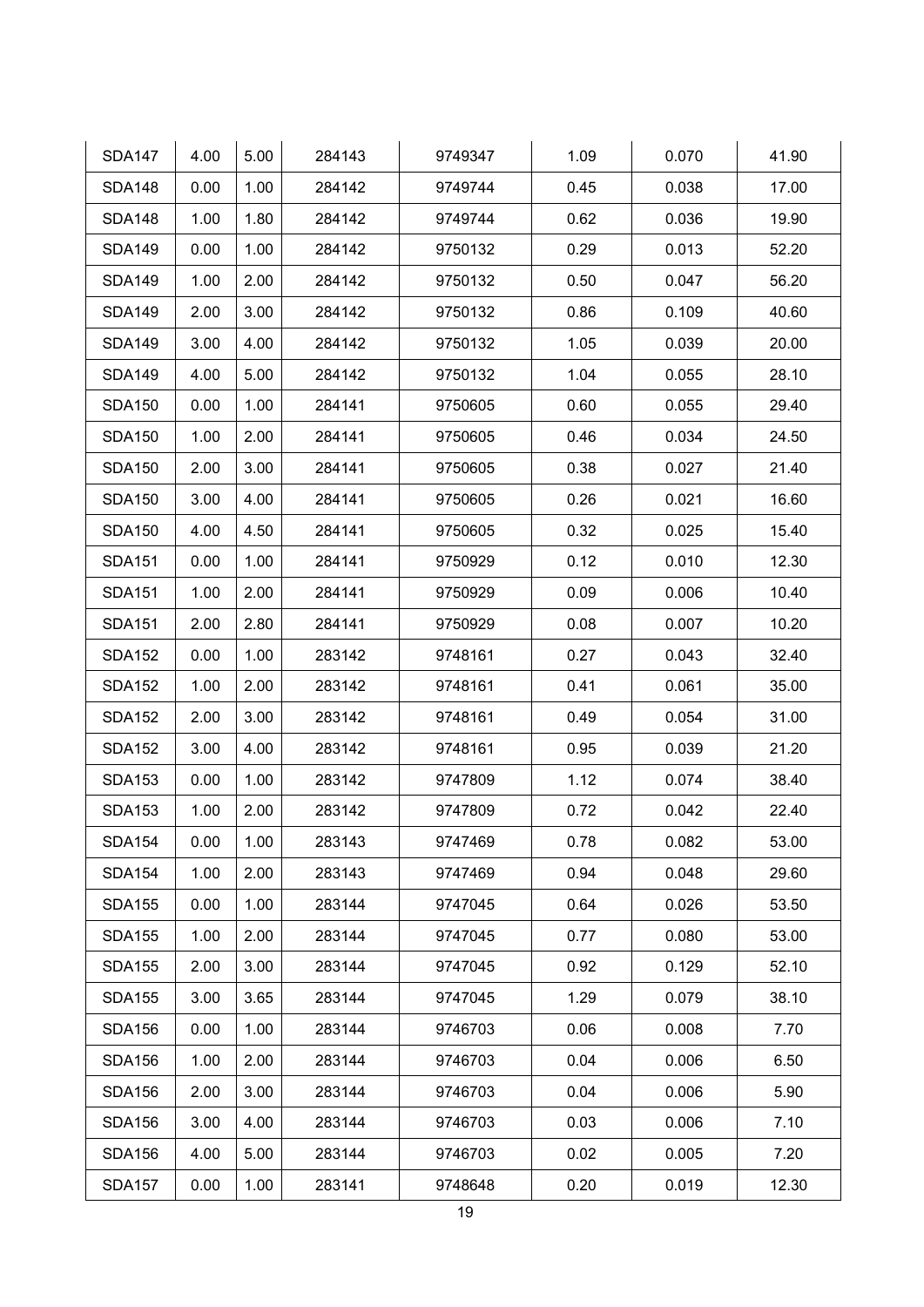| <b>SDA147</b> | 4.00 | 5.00 | 284143 | 9749347 | 1.09 | 0.070 | 41.90 |
|---------------|------|------|--------|---------|------|-------|-------|
| <b>SDA148</b> | 0.00 | 1.00 | 284142 | 9749744 | 0.45 | 0.038 | 17.00 |
| <b>SDA148</b> | 1.00 | 1.80 | 284142 | 9749744 | 0.62 | 0.036 | 19.90 |
| <b>SDA149</b> | 0.00 | 1.00 | 284142 | 9750132 | 0.29 | 0.013 | 52.20 |
| <b>SDA149</b> | 1.00 | 2.00 | 284142 | 9750132 | 0.50 | 0.047 | 56.20 |
| <b>SDA149</b> | 2.00 | 3.00 | 284142 | 9750132 | 0.86 | 0.109 | 40.60 |
| <b>SDA149</b> | 3.00 | 4.00 | 284142 | 9750132 | 1.05 | 0.039 | 20.00 |
| <b>SDA149</b> | 4.00 | 5.00 | 284142 | 9750132 | 1.04 | 0.055 | 28.10 |
| <b>SDA150</b> | 0.00 | 1.00 | 284141 | 9750605 | 0.60 | 0.055 | 29.40 |
| <b>SDA150</b> | 1.00 | 2.00 | 284141 | 9750605 | 0.46 | 0.034 | 24.50 |
| <b>SDA150</b> | 2.00 | 3.00 | 284141 | 9750605 | 0.38 | 0.027 | 21.40 |
| <b>SDA150</b> | 3.00 | 4.00 | 284141 | 9750605 | 0.26 | 0.021 | 16.60 |
| <b>SDA150</b> | 4.00 | 4.50 | 284141 | 9750605 | 0.32 | 0.025 | 15.40 |
| <b>SDA151</b> | 0.00 | 1.00 | 284141 | 9750929 | 0.12 | 0.010 | 12.30 |
| <b>SDA151</b> | 1.00 | 2.00 | 284141 | 9750929 | 0.09 | 0.006 | 10.40 |
| <b>SDA151</b> | 2.00 | 2.80 | 284141 | 9750929 | 0.08 | 0.007 | 10.20 |
| <b>SDA152</b> | 0.00 | 1.00 | 283142 | 9748161 | 0.27 | 0.043 | 32.40 |
| <b>SDA152</b> | 1.00 | 2.00 | 283142 | 9748161 | 0.41 | 0.061 | 35.00 |
| <b>SDA152</b> | 2.00 | 3.00 | 283142 | 9748161 | 0.49 | 0.054 | 31.00 |
| <b>SDA152</b> | 3.00 | 4.00 | 283142 | 9748161 | 0.95 | 0.039 | 21.20 |
| <b>SDA153</b> | 0.00 | 1.00 | 283142 | 9747809 | 1.12 | 0.074 | 38.40 |
| <b>SDA153</b> | 1.00 | 2.00 | 283142 | 9747809 | 0.72 | 0.042 | 22.40 |
| <b>SDA154</b> | 0.00 | 1.00 | 283143 | 9747469 | 0.78 | 0.082 | 53.00 |
| <b>SDA154</b> | 1.00 | 2.00 | 283143 | 9747469 | 0.94 | 0.048 | 29.60 |
| <b>SDA155</b> | 0.00 | 1.00 | 283144 | 9747045 | 0.64 | 0.026 | 53.50 |
| <b>SDA155</b> | 1.00 | 2.00 | 283144 | 9747045 | 0.77 | 0.080 | 53.00 |
| <b>SDA155</b> | 2.00 | 3.00 | 283144 | 9747045 | 0.92 | 0.129 | 52.10 |
| <b>SDA155</b> | 3.00 | 3.65 | 283144 | 9747045 | 1.29 | 0.079 | 38.10 |
| <b>SDA156</b> | 0.00 | 1.00 | 283144 | 9746703 | 0.06 | 0.008 | 7.70  |
| <b>SDA156</b> | 1.00 | 2.00 | 283144 | 9746703 | 0.04 | 0.006 | 6.50  |
| <b>SDA156</b> | 2.00 | 3.00 | 283144 | 9746703 | 0.04 | 0.006 | 5.90  |
| <b>SDA156</b> | 3.00 | 4.00 | 283144 | 9746703 | 0.03 | 0.006 | 7.10  |
| <b>SDA156</b> | 4.00 | 5.00 | 283144 | 9746703 | 0.02 | 0.005 | 7.20  |
| <b>SDA157</b> | 0.00 | 1.00 | 283141 | 9748648 | 0.20 | 0.019 | 12.30 |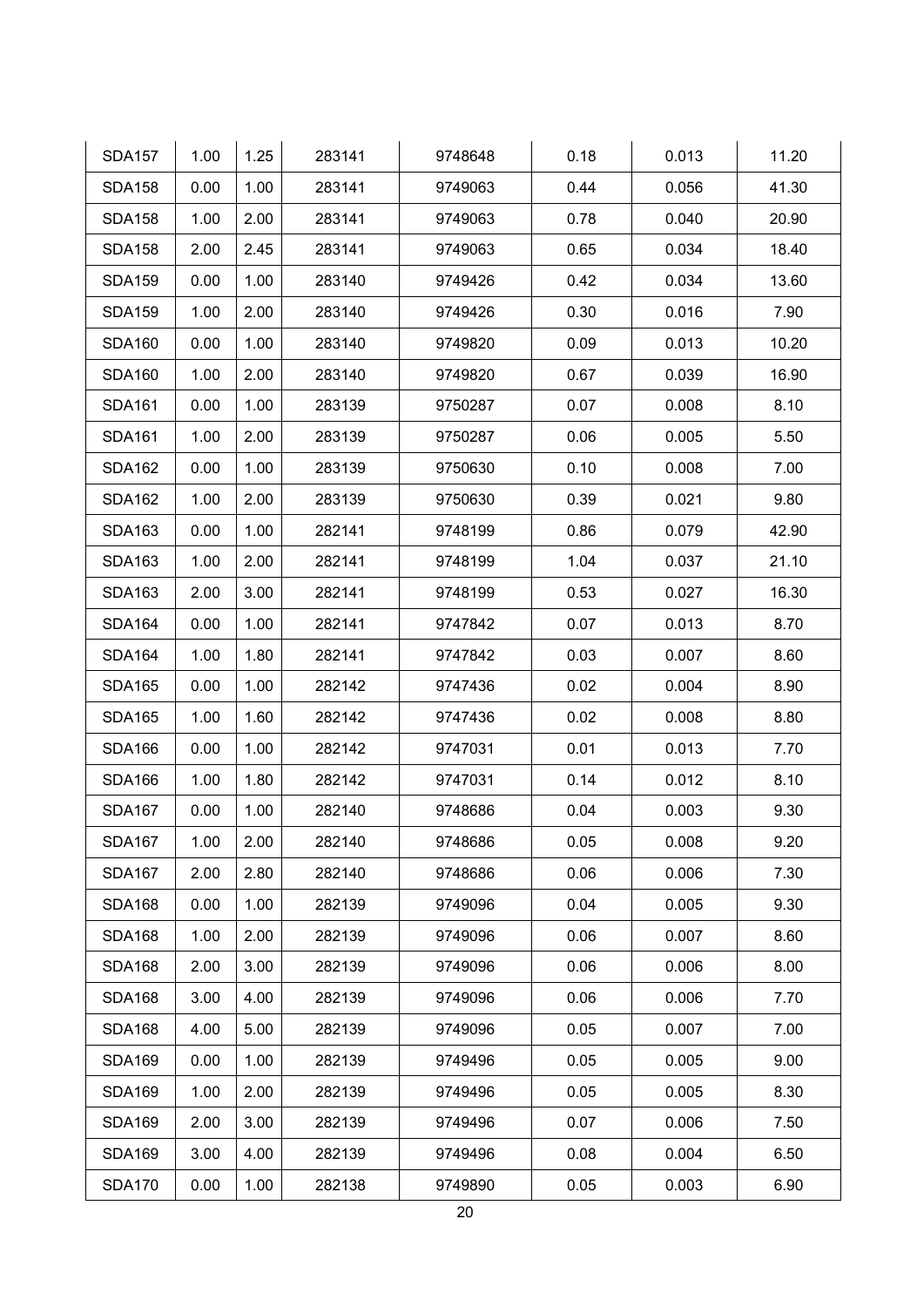| <b>SDA157</b> | 1.00 | 1.25 | 283141 | 9748648 | 0.18 | 0.013 | 11.20 |
|---------------|------|------|--------|---------|------|-------|-------|
| <b>SDA158</b> | 0.00 | 1.00 | 283141 | 9749063 | 0.44 | 0.056 | 41.30 |
| <b>SDA158</b> | 1.00 | 2.00 | 283141 | 9749063 | 0.78 | 0.040 | 20.90 |
| <b>SDA158</b> | 2.00 | 2.45 | 283141 | 9749063 | 0.65 | 0.034 | 18.40 |
| <b>SDA159</b> | 0.00 | 1.00 | 283140 | 9749426 | 0.42 | 0.034 | 13.60 |
| <b>SDA159</b> | 1.00 | 2.00 | 283140 | 9749426 | 0.30 | 0.016 | 7.90  |
| <b>SDA160</b> | 0.00 | 1.00 | 283140 | 9749820 | 0.09 | 0.013 | 10.20 |
| <b>SDA160</b> | 1.00 | 2.00 | 283140 | 9749820 | 0.67 | 0.039 | 16.90 |
| <b>SDA161</b> | 0.00 | 1.00 | 283139 | 9750287 | 0.07 | 0.008 | 8.10  |
| <b>SDA161</b> | 1.00 | 2.00 | 283139 | 9750287 | 0.06 | 0.005 | 5.50  |
| <b>SDA162</b> | 0.00 | 1.00 | 283139 | 9750630 | 0.10 | 0.008 | 7.00  |
| <b>SDA162</b> | 1.00 | 2.00 | 283139 | 9750630 | 0.39 | 0.021 | 9.80  |
| <b>SDA163</b> | 0.00 | 1.00 | 282141 | 9748199 | 0.86 | 0.079 | 42.90 |
| <b>SDA163</b> | 1.00 | 2.00 | 282141 | 9748199 | 1.04 | 0.037 | 21.10 |
| <b>SDA163</b> | 2.00 | 3.00 | 282141 | 9748199 | 0.53 | 0.027 | 16.30 |
| <b>SDA164</b> | 0.00 | 1.00 | 282141 | 9747842 | 0.07 | 0.013 | 8.70  |
| <b>SDA164</b> | 1.00 | 1.80 | 282141 | 9747842 | 0.03 | 0.007 | 8.60  |
| <b>SDA165</b> | 0.00 | 1.00 | 282142 | 9747436 | 0.02 | 0.004 | 8.90  |
| <b>SDA165</b> | 1.00 | 1.60 | 282142 | 9747436 | 0.02 | 0.008 | 8.80  |
| <b>SDA166</b> | 0.00 | 1.00 | 282142 | 9747031 | 0.01 | 0.013 | 7.70  |
| <b>SDA166</b> | 1.00 | 1.80 | 282142 | 9747031 | 0.14 | 0.012 | 8.10  |
| <b>SDA167</b> | 0.00 | 1.00 | 282140 | 9748686 | 0.04 | 0.003 | 9.30  |
| <b>SDA167</b> | 1.00 | 2.00 | 282140 | 9748686 | 0.05 | 0.008 | 9.20  |
| <b>SDA167</b> | 2.00 | 2.80 | 282140 | 9748686 | 0.06 | 0.006 | 7.30  |
| <b>SDA168</b> | 0.00 | 1.00 | 282139 | 9749096 | 0.04 | 0.005 | 9.30  |
| <b>SDA168</b> | 1.00 | 2.00 | 282139 | 9749096 | 0.06 | 0.007 | 8.60  |
| <b>SDA168</b> | 2.00 | 3.00 | 282139 | 9749096 | 0.06 | 0.006 | 8.00  |
| <b>SDA168</b> | 3.00 | 4.00 | 282139 | 9749096 | 0.06 | 0.006 | 7.70  |
| <b>SDA168</b> | 4.00 | 5.00 | 282139 | 9749096 | 0.05 | 0.007 | 7.00  |
| <b>SDA169</b> | 0.00 | 1.00 | 282139 | 9749496 | 0.05 | 0.005 | 9.00  |
| <b>SDA169</b> | 1.00 | 2.00 | 282139 | 9749496 | 0.05 | 0.005 | 8.30  |
| <b>SDA169</b> | 2.00 | 3.00 | 282139 | 9749496 | 0.07 | 0.006 | 7.50  |
| <b>SDA169</b> | 3.00 | 4.00 | 282139 | 9749496 | 0.08 | 0.004 | 6.50  |
| <b>SDA170</b> | 0.00 | 1.00 | 282138 | 9749890 | 0.05 | 0.003 | 6.90  |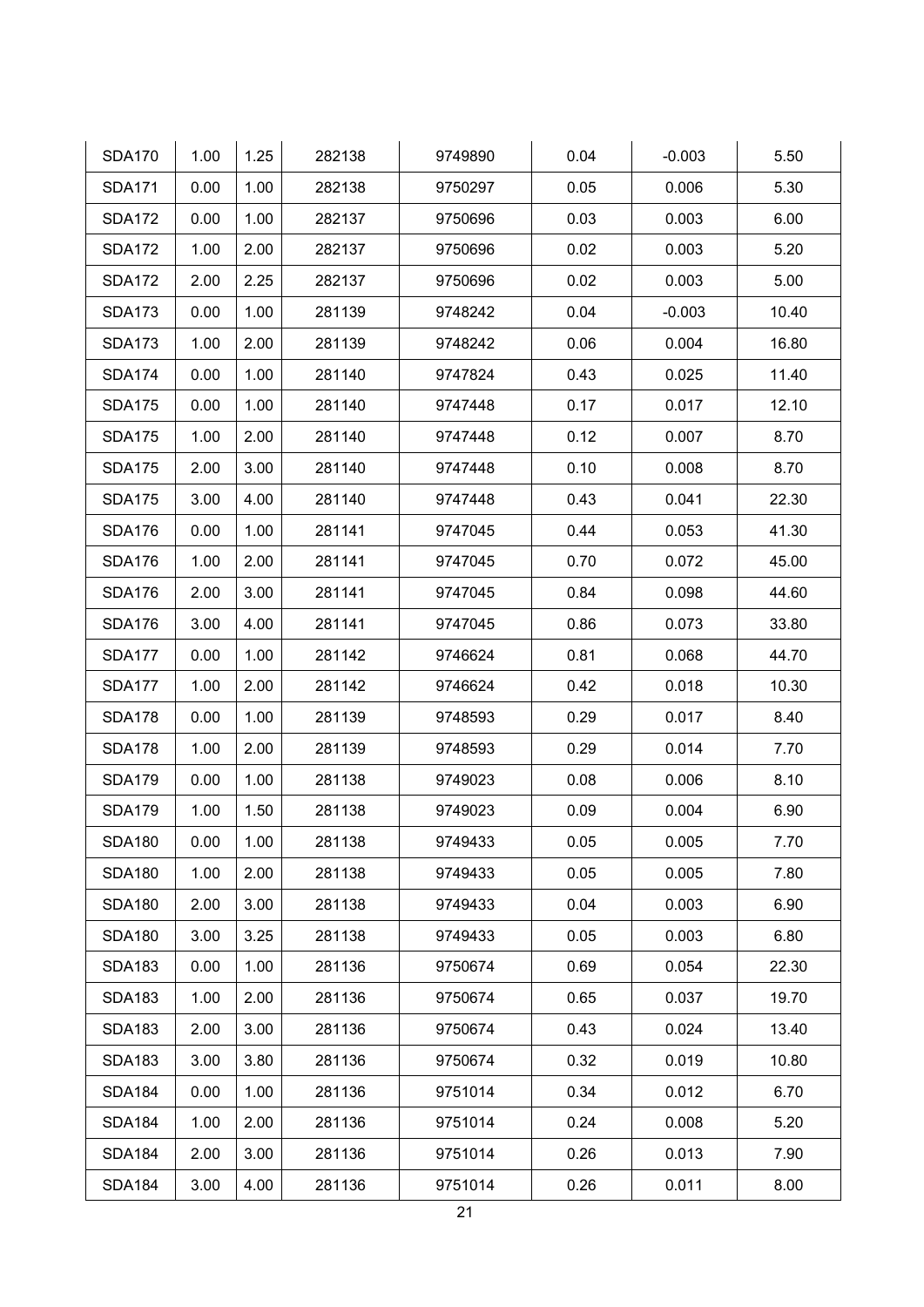| <b>SDA170</b> | 1.00 | 1.25 | 282138 | 9749890 | 0.04 | $-0.003$ | 5.50  |
|---------------|------|------|--------|---------|------|----------|-------|
| <b>SDA171</b> | 0.00 | 1.00 | 282138 | 9750297 | 0.05 | 0.006    | 5.30  |
| <b>SDA172</b> | 0.00 | 1.00 | 282137 | 9750696 | 0.03 | 0.003    | 6.00  |
| <b>SDA172</b> | 1.00 | 2.00 | 282137 | 9750696 | 0.02 | 0.003    | 5.20  |
| <b>SDA172</b> | 2.00 | 2.25 | 282137 | 9750696 | 0.02 | 0.003    | 5.00  |
| <b>SDA173</b> | 0.00 | 1.00 | 281139 | 9748242 | 0.04 | $-0.003$ | 10.40 |
| <b>SDA173</b> | 1.00 | 2.00 | 281139 | 9748242 | 0.06 | 0.004    | 16.80 |
| <b>SDA174</b> | 0.00 | 1.00 | 281140 | 9747824 | 0.43 | 0.025    | 11.40 |
| <b>SDA175</b> | 0.00 | 1.00 | 281140 | 9747448 | 0.17 | 0.017    | 12.10 |
| <b>SDA175</b> | 1.00 | 2.00 | 281140 | 9747448 | 0.12 | 0.007    | 8.70  |
| <b>SDA175</b> | 2.00 | 3.00 | 281140 | 9747448 | 0.10 | 0.008    | 8.70  |
| <b>SDA175</b> | 3.00 | 4.00 | 281140 | 9747448 | 0.43 | 0.041    | 22.30 |
| <b>SDA176</b> | 0.00 | 1.00 | 281141 | 9747045 | 0.44 | 0.053    | 41.30 |
| <b>SDA176</b> | 1.00 | 2.00 | 281141 | 9747045 | 0.70 | 0.072    | 45.00 |
| <b>SDA176</b> | 2.00 | 3.00 | 281141 | 9747045 | 0.84 | 0.098    | 44.60 |
| <b>SDA176</b> | 3.00 | 4.00 | 281141 | 9747045 | 0.86 | 0.073    | 33.80 |
| <b>SDA177</b> | 0.00 | 1.00 | 281142 | 9746624 | 0.81 | 0.068    | 44.70 |
| <b>SDA177</b> | 1.00 | 2.00 | 281142 | 9746624 | 0.42 | 0.018    | 10.30 |
| <b>SDA178</b> | 0.00 | 1.00 | 281139 | 9748593 | 0.29 | 0.017    | 8.40  |
| <b>SDA178</b> | 1.00 | 2.00 | 281139 | 9748593 | 0.29 | 0.014    | 7.70  |
| <b>SDA179</b> | 0.00 | 1.00 | 281138 | 9749023 | 0.08 | 0.006    | 8.10  |
| <b>SDA179</b> | 1.00 | 1.50 | 281138 | 9749023 | 0.09 | 0.004    | 6.90  |
| <b>SDA180</b> | 0.00 | 1.00 | 281138 | 9749433 | 0.05 | 0.005    | 7.70  |
| <b>SDA180</b> | 1.00 | 2.00 | 281138 | 9749433 | 0.05 | 0.005    | 7.80  |
| <b>SDA180</b> | 2.00 | 3.00 | 281138 | 9749433 | 0.04 | 0.003    | 6.90  |
| <b>SDA180</b> | 3.00 | 3.25 | 281138 | 9749433 | 0.05 | 0.003    | 6.80  |
| <b>SDA183</b> | 0.00 | 1.00 | 281136 | 9750674 | 0.69 | 0.054    | 22.30 |
| <b>SDA183</b> | 1.00 | 2.00 | 281136 | 9750674 | 0.65 | 0.037    | 19.70 |
| <b>SDA183</b> | 2.00 | 3.00 | 281136 | 9750674 | 0.43 | 0.024    | 13.40 |
| <b>SDA183</b> | 3.00 | 3.80 | 281136 | 9750674 | 0.32 | 0.019    | 10.80 |
| <b>SDA184</b> | 0.00 | 1.00 | 281136 | 9751014 | 0.34 | 0.012    | 6.70  |
| <b>SDA184</b> | 1.00 | 2.00 | 281136 | 9751014 | 0.24 | 0.008    | 5.20  |
| <b>SDA184</b> | 2.00 | 3.00 | 281136 | 9751014 | 0.26 | 0.013    | 7.90  |
| <b>SDA184</b> | 3.00 | 4.00 | 281136 | 9751014 | 0.26 | 0.011    | 8.00  |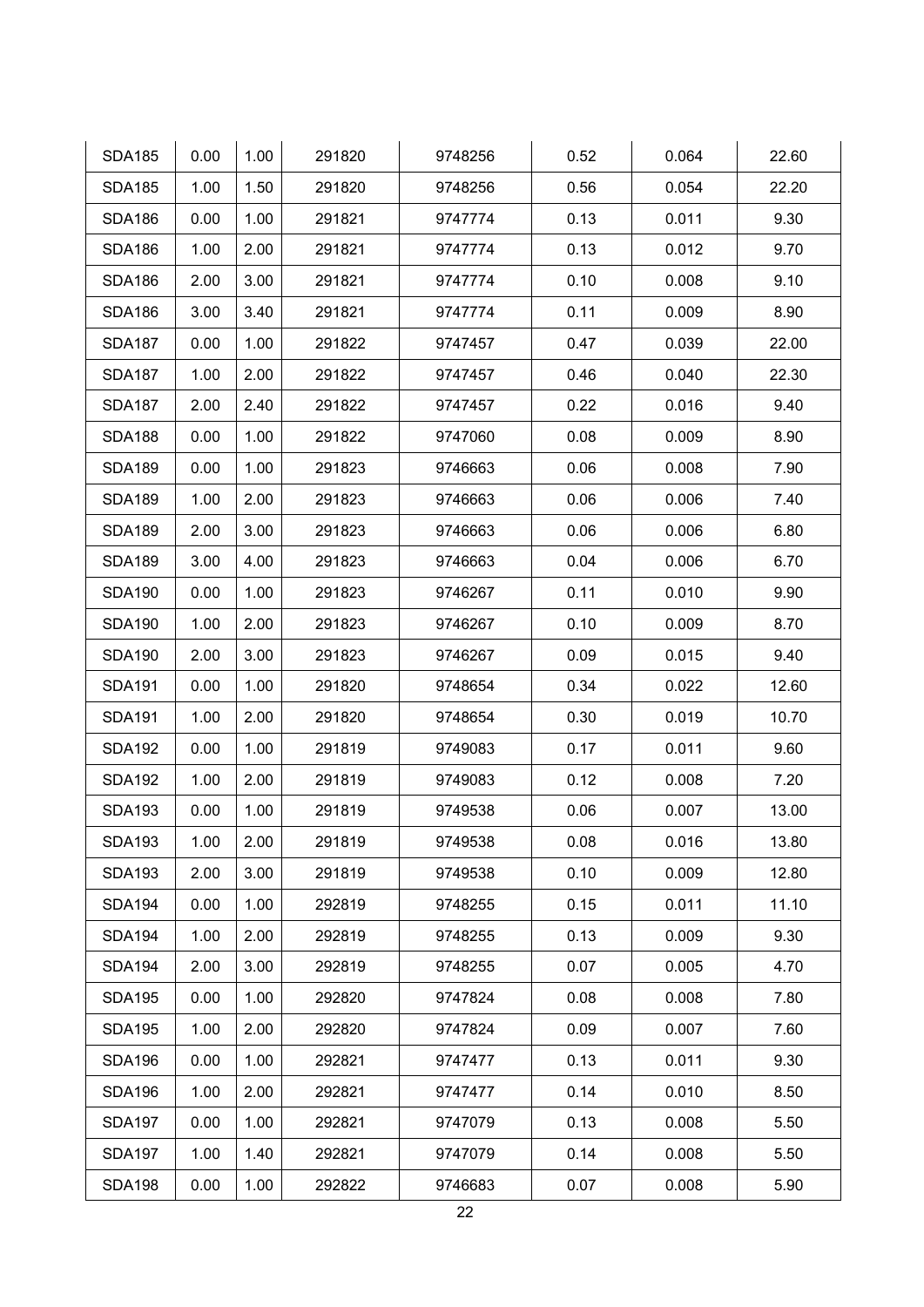| <b>SDA185</b> | 0.00 | 1.00 | 291820 | 9748256 | 0.52 | 0.064 | 22.60 |
|---------------|------|------|--------|---------|------|-------|-------|
| <b>SDA185</b> | 1.00 | 1.50 | 291820 | 9748256 | 0.56 | 0.054 | 22.20 |
| <b>SDA186</b> | 0.00 | 1.00 | 291821 | 9747774 | 0.13 | 0.011 | 9.30  |
| <b>SDA186</b> | 1.00 | 2.00 | 291821 | 9747774 | 0.13 | 0.012 | 9.70  |
| <b>SDA186</b> | 2.00 | 3.00 | 291821 | 9747774 | 0.10 | 0.008 | 9.10  |
| <b>SDA186</b> | 3.00 | 3.40 | 291821 | 9747774 | 0.11 | 0.009 | 8.90  |
| <b>SDA187</b> | 0.00 | 1.00 | 291822 | 9747457 | 0.47 | 0.039 | 22.00 |
| <b>SDA187</b> | 1.00 | 2.00 | 291822 | 9747457 | 0.46 | 0.040 | 22.30 |
| <b>SDA187</b> | 2.00 | 2.40 | 291822 | 9747457 | 0.22 | 0.016 | 9.40  |
| <b>SDA188</b> | 0.00 | 1.00 | 291822 | 9747060 | 0.08 | 0.009 | 8.90  |
| <b>SDA189</b> | 0.00 | 1.00 | 291823 | 9746663 | 0.06 | 0.008 | 7.90  |
| <b>SDA189</b> | 1.00 | 2.00 | 291823 | 9746663 | 0.06 | 0.006 | 7.40  |
| <b>SDA189</b> | 2.00 | 3.00 | 291823 | 9746663 | 0.06 | 0.006 | 6.80  |
| <b>SDA189</b> | 3.00 | 4.00 | 291823 | 9746663 | 0.04 | 0.006 | 6.70  |
| <b>SDA190</b> | 0.00 | 1.00 | 291823 | 9746267 | 0.11 | 0.010 | 9.90  |
| <b>SDA190</b> | 1.00 | 2.00 | 291823 | 9746267 | 0.10 | 0.009 | 8.70  |
| <b>SDA190</b> | 2.00 | 3.00 | 291823 | 9746267 | 0.09 | 0.015 | 9.40  |
| <b>SDA191</b> | 0.00 | 1.00 | 291820 | 9748654 | 0.34 | 0.022 | 12.60 |
| <b>SDA191</b> | 1.00 | 2.00 | 291820 | 9748654 | 0.30 | 0.019 | 10.70 |
| <b>SDA192</b> | 0.00 | 1.00 | 291819 | 9749083 | 0.17 | 0.011 | 9.60  |
| <b>SDA192</b> | 1.00 | 2.00 | 291819 | 9749083 | 0.12 | 0.008 | 7.20  |
| <b>SDA193</b> | 0.00 | 1.00 | 291819 | 9749538 | 0.06 | 0.007 | 13.00 |
| <b>SDA193</b> | 1.00 | 2.00 | 291819 | 9749538 | 0.08 | 0.016 | 13.80 |
| <b>SDA193</b> | 2.00 | 3.00 | 291819 | 9749538 | 0.10 | 0.009 | 12.80 |
| <b>SDA194</b> | 0.00 | 1.00 | 292819 | 9748255 | 0.15 | 0.011 | 11.10 |
| <b>SDA194</b> | 1.00 | 2.00 | 292819 | 9748255 | 0.13 | 0.009 | 9.30  |
| <b>SDA194</b> | 2.00 | 3.00 | 292819 | 9748255 | 0.07 | 0.005 | 4.70  |
| <b>SDA195</b> | 0.00 | 1.00 | 292820 | 9747824 | 0.08 | 0.008 | 7.80  |
| <b>SDA195</b> | 1.00 | 2.00 | 292820 | 9747824 | 0.09 | 0.007 | 7.60  |
| <b>SDA196</b> | 0.00 | 1.00 | 292821 | 9747477 | 0.13 | 0.011 | 9.30  |
| <b>SDA196</b> | 1.00 | 2.00 | 292821 | 9747477 | 0.14 | 0.010 | 8.50  |
| <b>SDA197</b> | 0.00 | 1.00 | 292821 | 9747079 | 0.13 | 0.008 | 5.50  |
| <b>SDA197</b> | 1.00 | 1.40 | 292821 | 9747079 | 0.14 | 0.008 | 5.50  |
| <b>SDA198</b> | 0.00 | 1.00 | 292822 | 9746683 | 0.07 | 0.008 | 5.90  |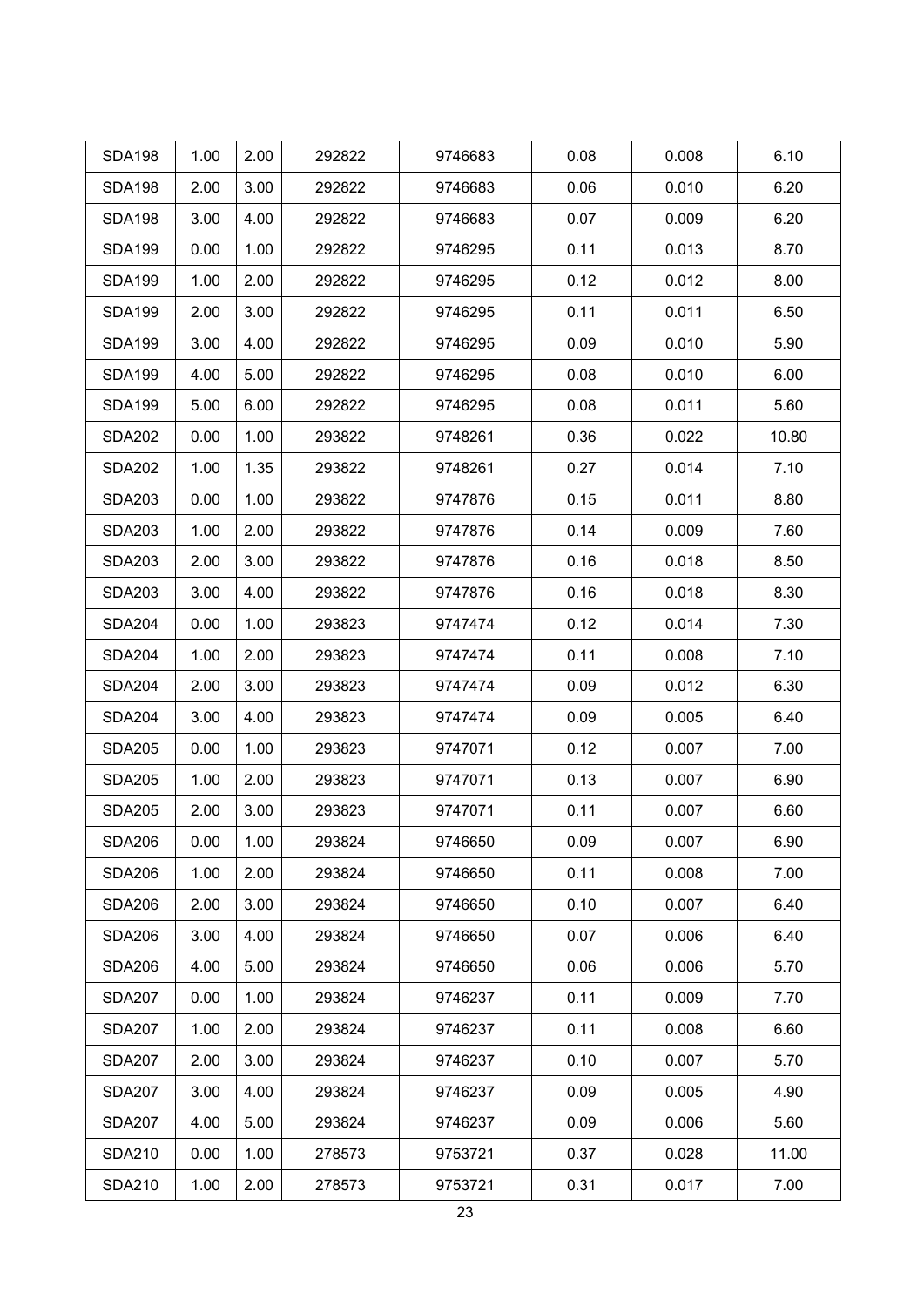| <b>SDA198</b> | 1.00 | 2.00 | 292822 | 9746683 | 0.08 | 0.008 | 6.10  |
|---------------|------|------|--------|---------|------|-------|-------|
| <b>SDA198</b> | 2.00 | 3.00 | 292822 | 9746683 | 0.06 | 0.010 | 6.20  |
| <b>SDA198</b> | 3.00 | 4.00 | 292822 | 9746683 | 0.07 | 0.009 | 6.20  |
| <b>SDA199</b> | 0.00 | 1.00 | 292822 | 9746295 | 0.11 | 0.013 | 8.70  |
| <b>SDA199</b> | 1.00 | 2.00 | 292822 | 9746295 | 0.12 | 0.012 | 8.00  |
| <b>SDA199</b> | 2.00 | 3.00 | 292822 | 9746295 | 0.11 | 0.011 | 6.50  |
| <b>SDA199</b> | 3.00 | 4.00 | 292822 | 9746295 | 0.09 | 0.010 | 5.90  |
| <b>SDA199</b> | 4.00 | 5.00 | 292822 | 9746295 | 0.08 | 0.010 | 6.00  |
| <b>SDA199</b> | 5.00 | 6.00 | 292822 | 9746295 | 0.08 | 0.011 | 5.60  |
| <b>SDA202</b> | 0.00 | 1.00 | 293822 | 9748261 | 0.36 | 0.022 | 10.80 |
| <b>SDA202</b> | 1.00 | 1.35 | 293822 | 9748261 | 0.27 | 0.014 | 7.10  |
| <b>SDA203</b> | 0.00 | 1.00 | 293822 | 9747876 | 0.15 | 0.011 | 8.80  |
| <b>SDA203</b> | 1.00 | 2.00 | 293822 | 9747876 | 0.14 | 0.009 | 7.60  |
| <b>SDA203</b> | 2.00 | 3.00 | 293822 | 9747876 | 0.16 | 0.018 | 8.50  |
| <b>SDA203</b> | 3.00 | 4.00 | 293822 | 9747876 | 0.16 | 0.018 | 8.30  |
| <b>SDA204</b> | 0.00 | 1.00 | 293823 | 9747474 | 0.12 | 0.014 | 7.30  |
| <b>SDA204</b> | 1.00 | 2.00 | 293823 | 9747474 | 0.11 | 0.008 | 7.10  |
| <b>SDA204</b> | 2.00 | 3.00 | 293823 | 9747474 | 0.09 | 0.012 | 6.30  |
| <b>SDA204</b> | 3.00 | 4.00 | 293823 | 9747474 | 0.09 | 0.005 | 6.40  |
| <b>SDA205</b> | 0.00 | 1.00 | 293823 | 9747071 | 0.12 | 0.007 | 7.00  |
| <b>SDA205</b> | 1.00 | 2.00 | 293823 | 9747071 | 0.13 | 0.007 | 6.90  |
| <b>SDA205</b> | 2.00 | 3.00 | 293823 | 9747071 | 0.11 | 0.007 | 6.60  |
| <b>SDA206</b> | 0.00 | 1.00 | 293824 | 9746650 | 0.09 | 0.007 | 6.90  |
| <b>SDA206</b> | 1.00 | 2.00 | 293824 | 9746650 | 0.11 | 0.008 | 7.00  |
| <b>SDA206</b> | 2.00 | 3.00 | 293824 | 9746650 | 0.10 | 0.007 | 6.40  |
| <b>SDA206</b> | 3.00 | 4.00 | 293824 | 9746650 | 0.07 | 0.006 | 6.40  |
| <b>SDA206</b> | 4.00 | 5.00 | 293824 | 9746650 | 0.06 | 0.006 | 5.70  |
| <b>SDA207</b> | 0.00 | 1.00 | 293824 | 9746237 | 0.11 | 0.009 | 7.70  |
| <b>SDA207</b> | 1.00 | 2.00 | 293824 | 9746237 | 0.11 | 0.008 | 6.60  |
| <b>SDA207</b> | 2.00 | 3.00 | 293824 | 9746237 | 0.10 | 0.007 | 5.70  |
| <b>SDA207</b> | 3.00 | 4.00 | 293824 | 9746237 | 0.09 | 0.005 | 4.90  |
| <b>SDA207</b> | 4.00 | 5.00 | 293824 | 9746237 | 0.09 | 0.006 | 5.60  |
| <b>SDA210</b> | 0.00 | 1.00 | 278573 | 9753721 | 0.37 | 0.028 | 11.00 |
| <b>SDA210</b> | 1.00 | 2.00 | 278573 | 9753721 | 0.31 | 0.017 | 7.00  |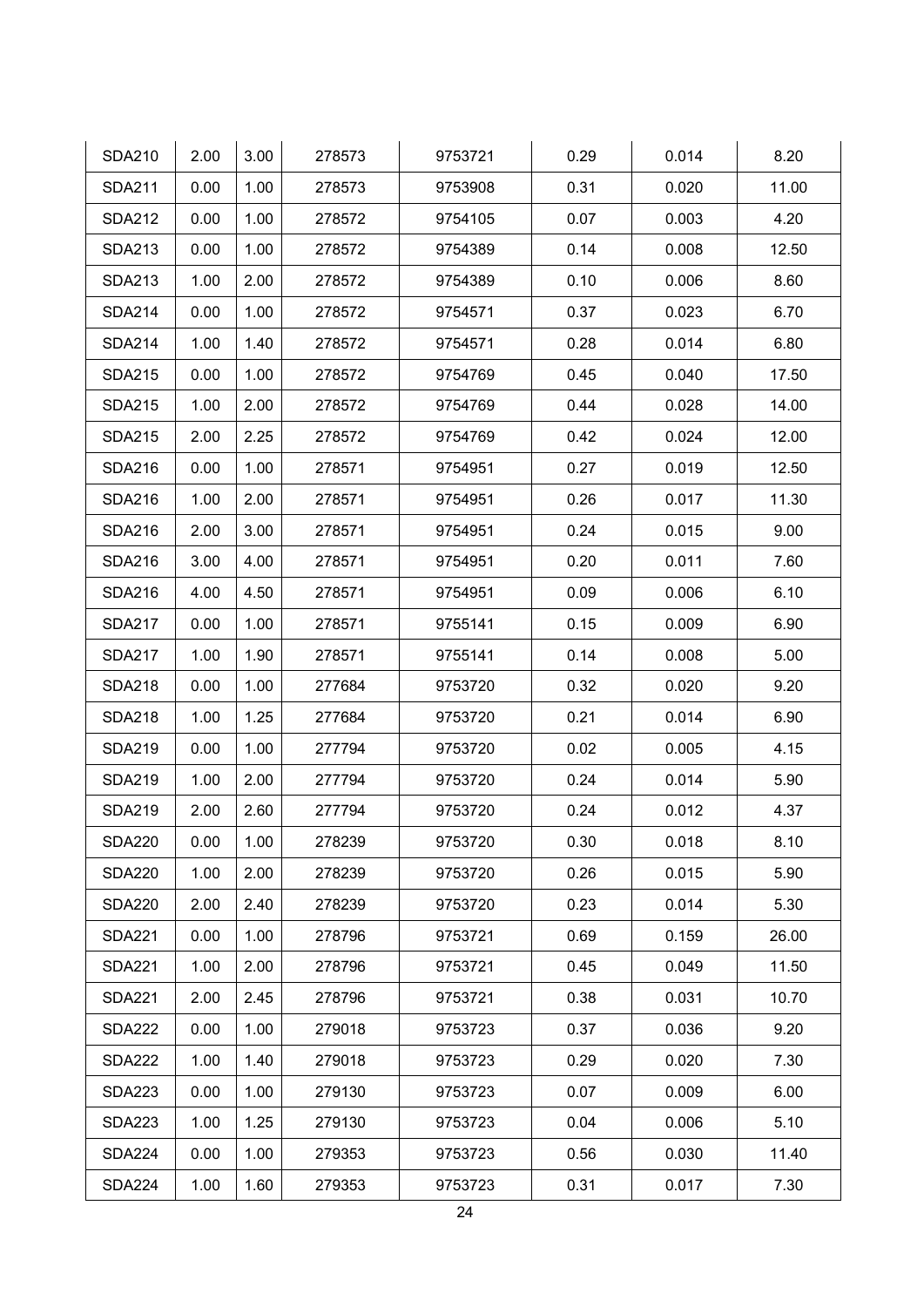| <b>SDA210</b> | 2.00 | 3.00 | 278573 | 9753721 | 0.29 | 0.014 | 8.20  |
|---------------|------|------|--------|---------|------|-------|-------|
| <b>SDA211</b> | 0.00 | 1.00 | 278573 | 9753908 | 0.31 | 0.020 | 11.00 |
| <b>SDA212</b> | 0.00 | 1.00 | 278572 | 9754105 | 0.07 | 0.003 | 4.20  |
| <b>SDA213</b> | 0.00 | 1.00 | 278572 | 9754389 | 0.14 | 0.008 | 12.50 |
| <b>SDA213</b> | 1.00 | 2.00 | 278572 | 9754389 | 0.10 | 0.006 | 8.60  |
| <b>SDA214</b> | 0.00 | 1.00 | 278572 | 9754571 | 0.37 | 0.023 | 6.70  |
| <b>SDA214</b> | 1.00 | 1.40 | 278572 | 9754571 | 0.28 | 0.014 | 6.80  |
| <b>SDA215</b> | 0.00 | 1.00 | 278572 | 9754769 | 0.45 | 0.040 | 17.50 |
| <b>SDA215</b> | 1.00 | 2.00 | 278572 | 9754769 | 0.44 | 0.028 | 14.00 |
| <b>SDA215</b> | 2.00 | 2.25 | 278572 | 9754769 | 0.42 | 0.024 | 12.00 |
| <b>SDA216</b> | 0.00 | 1.00 | 278571 | 9754951 | 0.27 | 0.019 | 12.50 |
| <b>SDA216</b> | 1.00 | 2.00 | 278571 | 9754951 | 0.26 | 0.017 | 11.30 |
| <b>SDA216</b> | 2.00 | 3.00 | 278571 | 9754951 | 0.24 | 0.015 | 9.00  |
| <b>SDA216</b> | 3.00 | 4.00 | 278571 | 9754951 | 0.20 | 0.011 | 7.60  |
| <b>SDA216</b> | 4.00 | 4.50 | 278571 | 9754951 | 0.09 | 0.006 | 6.10  |
| <b>SDA217</b> | 0.00 | 1.00 | 278571 | 9755141 | 0.15 | 0.009 | 6.90  |
| <b>SDA217</b> | 1.00 | 1.90 | 278571 | 9755141 | 0.14 | 0.008 | 5.00  |
| <b>SDA218</b> | 0.00 | 1.00 | 277684 | 9753720 | 0.32 | 0.020 | 9.20  |
| <b>SDA218</b> | 1.00 | 1.25 | 277684 | 9753720 | 0.21 | 0.014 | 6.90  |
| <b>SDA219</b> | 0.00 | 1.00 | 277794 | 9753720 | 0.02 | 0.005 | 4.15  |
| <b>SDA219</b> | 1.00 | 2.00 | 277794 | 9753720 | 0.24 | 0.014 | 5.90  |
| <b>SDA219</b> | 2.00 | 2.60 | 277794 | 9753720 | 0.24 | 0.012 | 4.37  |
| <b>SDA220</b> | 0.00 | 1.00 | 278239 | 9753720 | 0.30 | 0.018 | 8.10  |
| <b>SDA220</b> | 1.00 | 2.00 | 278239 | 9753720 | 0.26 | 0.015 | 5.90  |
| <b>SDA220</b> | 2.00 | 2.40 | 278239 | 9753720 | 0.23 | 0.014 | 5.30  |
| <b>SDA221</b> | 0.00 | 1.00 | 278796 | 9753721 | 0.69 | 0.159 | 26.00 |
| <b>SDA221</b> | 1.00 | 2.00 | 278796 | 9753721 | 0.45 | 0.049 | 11.50 |
| <b>SDA221</b> | 2.00 | 2.45 | 278796 | 9753721 | 0.38 | 0.031 | 10.70 |
| <b>SDA222</b> | 0.00 | 1.00 | 279018 | 9753723 | 0.37 | 0.036 | 9.20  |
| <b>SDA222</b> | 1.00 | 1.40 | 279018 | 9753723 | 0.29 | 0.020 | 7.30  |
| <b>SDA223</b> | 0.00 | 1.00 | 279130 | 9753723 | 0.07 | 0.009 | 6.00  |
| <b>SDA223</b> | 1.00 | 1.25 | 279130 | 9753723 | 0.04 | 0.006 | 5.10  |
| <b>SDA224</b> | 0.00 | 1.00 | 279353 | 9753723 | 0.56 | 0.030 | 11.40 |
| <b>SDA224</b> | 1.00 | 1.60 | 279353 | 9753723 | 0.31 | 0.017 | 7.30  |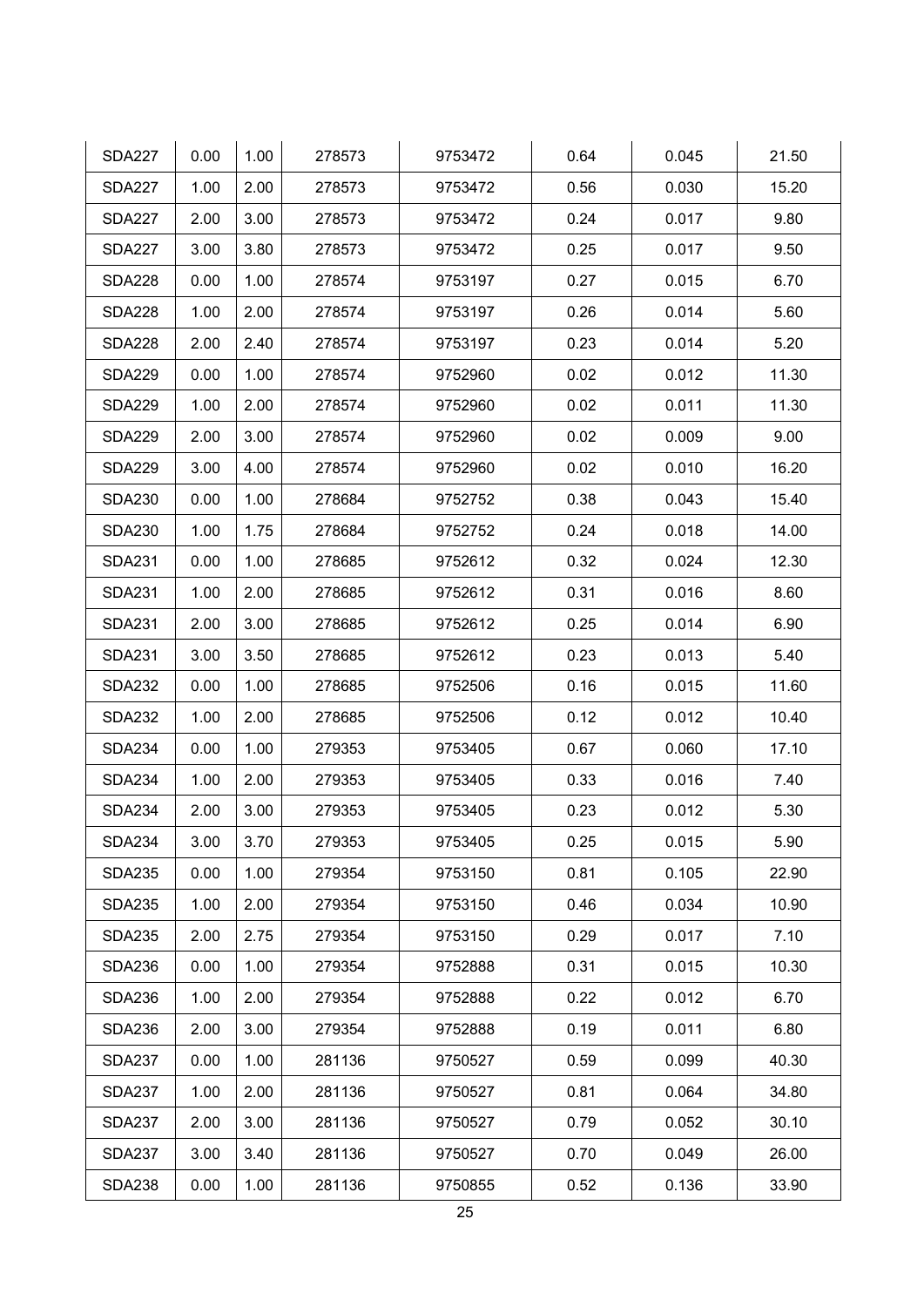| <b>SDA227</b> | 0.00 | 1.00 | 278573 | 9753472 | 0.64 | 0.045 | 21.50 |
|---------------|------|------|--------|---------|------|-------|-------|
| <b>SDA227</b> | 1.00 | 2.00 | 278573 | 9753472 | 0.56 | 0.030 | 15.20 |
| <b>SDA227</b> | 2.00 | 3.00 | 278573 | 9753472 | 0.24 | 0.017 | 9.80  |
| <b>SDA227</b> | 3.00 | 3.80 | 278573 | 9753472 | 0.25 | 0.017 | 9.50  |
| <b>SDA228</b> | 0.00 | 1.00 | 278574 | 9753197 | 0.27 | 0.015 | 6.70  |
| <b>SDA228</b> | 1.00 | 2.00 | 278574 | 9753197 | 0.26 | 0.014 | 5.60  |
| <b>SDA228</b> | 2.00 | 2.40 | 278574 | 9753197 | 0.23 | 0.014 | 5.20  |
| <b>SDA229</b> | 0.00 | 1.00 | 278574 | 9752960 | 0.02 | 0.012 | 11.30 |
| <b>SDA229</b> | 1.00 | 2.00 | 278574 | 9752960 | 0.02 | 0.011 | 11.30 |
| <b>SDA229</b> | 2.00 | 3.00 | 278574 | 9752960 | 0.02 | 0.009 | 9.00  |
| <b>SDA229</b> | 3.00 | 4.00 | 278574 | 9752960 | 0.02 | 0.010 | 16.20 |
| <b>SDA230</b> | 0.00 | 1.00 | 278684 | 9752752 | 0.38 | 0.043 | 15.40 |
| <b>SDA230</b> | 1.00 | 1.75 | 278684 | 9752752 | 0.24 | 0.018 | 14.00 |
| <b>SDA231</b> | 0.00 | 1.00 | 278685 | 9752612 | 0.32 | 0.024 | 12.30 |
| <b>SDA231</b> | 1.00 | 2.00 | 278685 | 9752612 | 0.31 | 0.016 | 8.60  |
| <b>SDA231</b> | 2.00 | 3.00 | 278685 | 9752612 | 0.25 | 0.014 | 6.90  |
| <b>SDA231</b> | 3.00 | 3.50 | 278685 | 9752612 | 0.23 | 0.013 | 5.40  |
| <b>SDA232</b> | 0.00 | 1.00 | 278685 | 9752506 | 0.16 | 0.015 | 11.60 |
| <b>SDA232</b> | 1.00 | 2.00 | 278685 | 9752506 | 0.12 | 0.012 | 10.40 |
| <b>SDA234</b> | 0.00 | 1.00 | 279353 | 9753405 | 0.67 | 0.060 | 17.10 |
| <b>SDA234</b> | 1.00 | 2.00 | 279353 | 9753405 | 0.33 | 0.016 | 7.40  |
| <b>SDA234</b> | 2.00 | 3.00 | 279353 | 9753405 | 0.23 | 0.012 | 5.30  |
| <b>SDA234</b> | 3.00 | 3.70 | 279353 | 9753405 | 0.25 | 0.015 | 5.90  |
| <b>SDA235</b> | 0.00 | 1.00 | 279354 | 9753150 | 0.81 | 0.105 | 22.90 |
| <b>SDA235</b> | 1.00 | 2.00 | 279354 | 9753150 | 0.46 | 0.034 | 10.90 |
| <b>SDA235</b> | 2.00 | 2.75 | 279354 | 9753150 | 0.29 | 0.017 | 7.10  |
| <b>SDA236</b> | 0.00 | 1.00 | 279354 | 9752888 | 0.31 | 0.015 | 10.30 |
| <b>SDA236</b> | 1.00 | 2.00 | 279354 | 9752888 | 0.22 | 0.012 | 6.70  |
| <b>SDA236</b> | 2.00 | 3.00 | 279354 | 9752888 | 0.19 | 0.011 | 6.80  |
| <b>SDA237</b> | 0.00 | 1.00 | 281136 | 9750527 | 0.59 | 0.099 | 40.30 |
| <b>SDA237</b> | 1.00 | 2.00 | 281136 | 9750527 | 0.81 | 0.064 | 34.80 |
| <b>SDA237</b> | 2.00 | 3.00 | 281136 | 9750527 | 0.79 | 0.052 | 30.10 |
| <b>SDA237</b> | 3.00 | 3.40 | 281136 | 9750527 | 0.70 | 0.049 | 26.00 |
| <b>SDA238</b> | 0.00 | 1.00 | 281136 | 9750855 | 0.52 | 0.136 | 33.90 |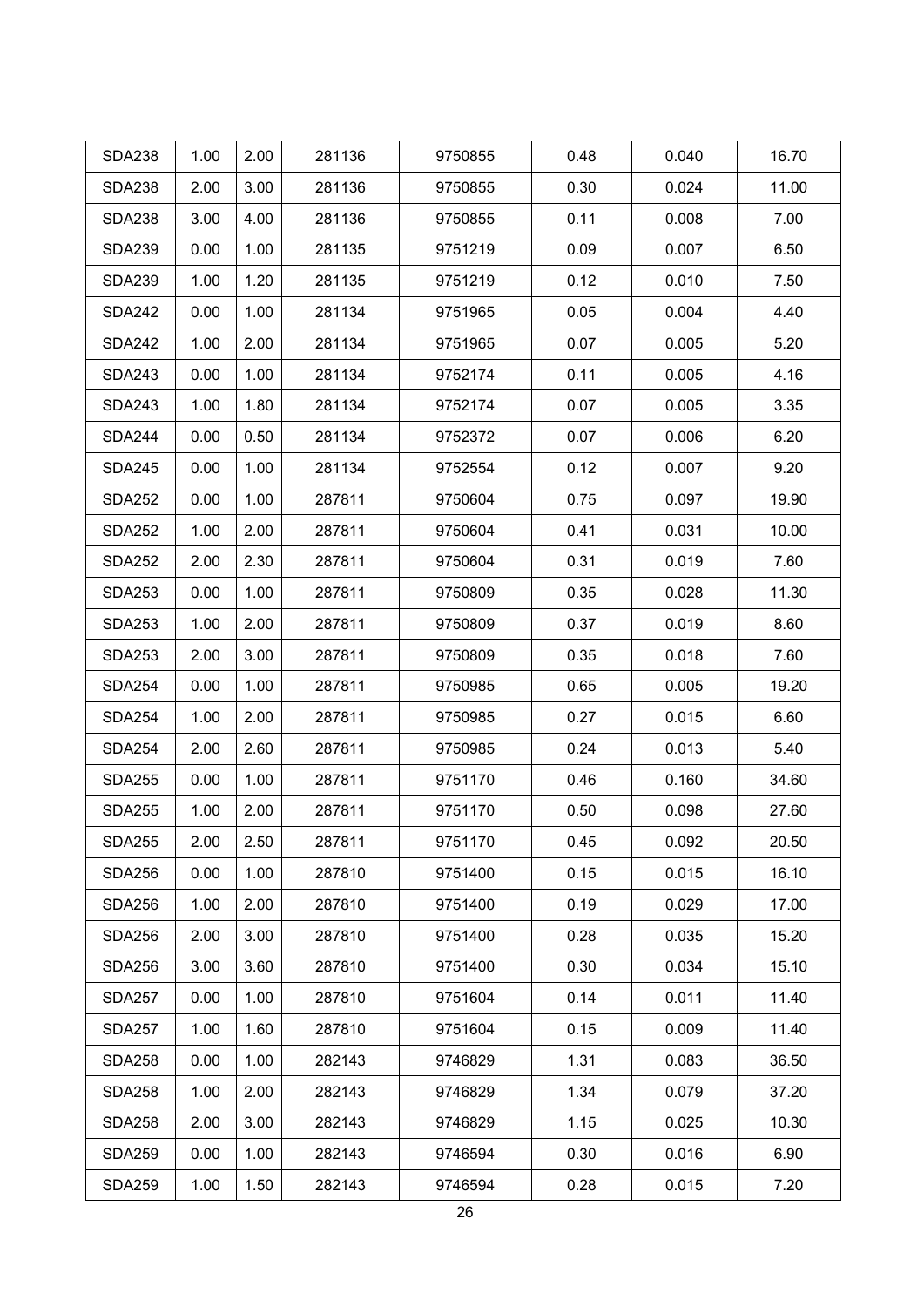| <b>SDA238</b> | 1.00 | 2.00 | 281136 | 9750855 | 0.48 | 0.040 | 16.70 |
|---------------|------|------|--------|---------|------|-------|-------|
| <b>SDA238</b> | 2.00 | 3.00 | 281136 | 9750855 | 0.30 | 0.024 | 11.00 |
| <b>SDA238</b> | 3.00 | 4.00 | 281136 | 9750855 | 0.11 | 0.008 | 7.00  |
| <b>SDA239</b> | 0.00 | 1.00 | 281135 | 9751219 | 0.09 | 0.007 | 6.50  |
| <b>SDA239</b> | 1.00 | 1.20 | 281135 | 9751219 | 0.12 | 0.010 | 7.50  |
| <b>SDA242</b> | 0.00 | 1.00 | 281134 | 9751965 | 0.05 | 0.004 | 4.40  |
| <b>SDA242</b> | 1.00 | 2.00 | 281134 | 9751965 | 0.07 | 0.005 | 5.20  |
| <b>SDA243</b> | 0.00 | 1.00 | 281134 | 9752174 | 0.11 | 0.005 | 4.16  |
| <b>SDA243</b> | 1.00 | 1.80 | 281134 | 9752174 | 0.07 | 0.005 | 3.35  |
| <b>SDA244</b> | 0.00 | 0.50 | 281134 | 9752372 | 0.07 | 0.006 | 6.20  |
| <b>SDA245</b> | 0.00 | 1.00 | 281134 | 9752554 | 0.12 | 0.007 | 9.20  |
| <b>SDA252</b> | 0.00 | 1.00 | 287811 | 9750604 | 0.75 | 0.097 | 19.90 |
| <b>SDA252</b> | 1.00 | 2.00 | 287811 | 9750604 | 0.41 | 0.031 | 10.00 |
| <b>SDA252</b> | 2.00 | 2.30 | 287811 | 9750604 | 0.31 | 0.019 | 7.60  |
| <b>SDA253</b> | 0.00 | 1.00 | 287811 | 9750809 | 0.35 | 0.028 | 11.30 |
| <b>SDA253</b> | 1.00 | 2.00 | 287811 | 9750809 | 0.37 | 0.019 | 8.60  |
| <b>SDA253</b> | 2.00 | 3.00 | 287811 | 9750809 | 0.35 | 0.018 | 7.60  |
| <b>SDA254</b> | 0.00 | 1.00 | 287811 | 9750985 | 0.65 | 0.005 | 19.20 |
| <b>SDA254</b> | 1.00 | 2.00 | 287811 | 9750985 | 0.27 | 0.015 | 6.60  |
| <b>SDA254</b> | 2.00 | 2.60 | 287811 | 9750985 | 0.24 | 0.013 | 5.40  |
| <b>SDA255</b> | 0.00 | 1.00 | 287811 | 9751170 | 0.46 | 0.160 | 34.60 |
| <b>SDA255</b> | 1.00 | 2.00 | 287811 | 9751170 | 0.50 | 0.098 | 27.60 |
| <b>SDA255</b> | 2.00 | 2.50 | 287811 | 9751170 | 0.45 | 0.092 | 20.50 |
| <b>SDA256</b> | 0.00 | 1.00 | 287810 | 9751400 | 0.15 | 0.015 | 16.10 |
| <b>SDA256</b> | 1.00 | 2.00 | 287810 | 9751400 | 0.19 | 0.029 | 17.00 |
| <b>SDA256</b> | 2.00 | 3.00 | 287810 | 9751400 | 0.28 | 0.035 | 15.20 |
| <b>SDA256</b> | 3.00 | 3.60 | 287810 | 9751400 | 0.30 | 0.034 | 15.10 |
| <b>SDA257</b> | 0.00 | 1.00 | 287810 | 9751604 | 0.14 | 0.011 | 11.40 |
| <b>SDA257</b> | 1.00 | 1.60 | 287810 | 9751604 | 0.15 | 0.009 | 11.40 |
| <b>SDA258</b> | 0.00 | 1.00 | 282143 | 9746829 | 1.31 | 0.083 | 36.50 |
| <b>SDA258</b> | 1.00 | 2.00 | 282143 | 9746829 | 1.34 | 0.079 | 37.20 |
| <b>SDA258</b> | 2.00 | 3.00 | 282143 | 9746829 | 1.15 | 0.025 | 10.30 |
| <b>SDA259</b> | 0.00 | 1.00 | 282143 | 9746594 | 0.30 | 0.016 | 6.90  |
| <b>SDA259</b> | 1.00 | 1.50 | 282143 | 9746594 | 0.28 | 0.015 | 7.20  |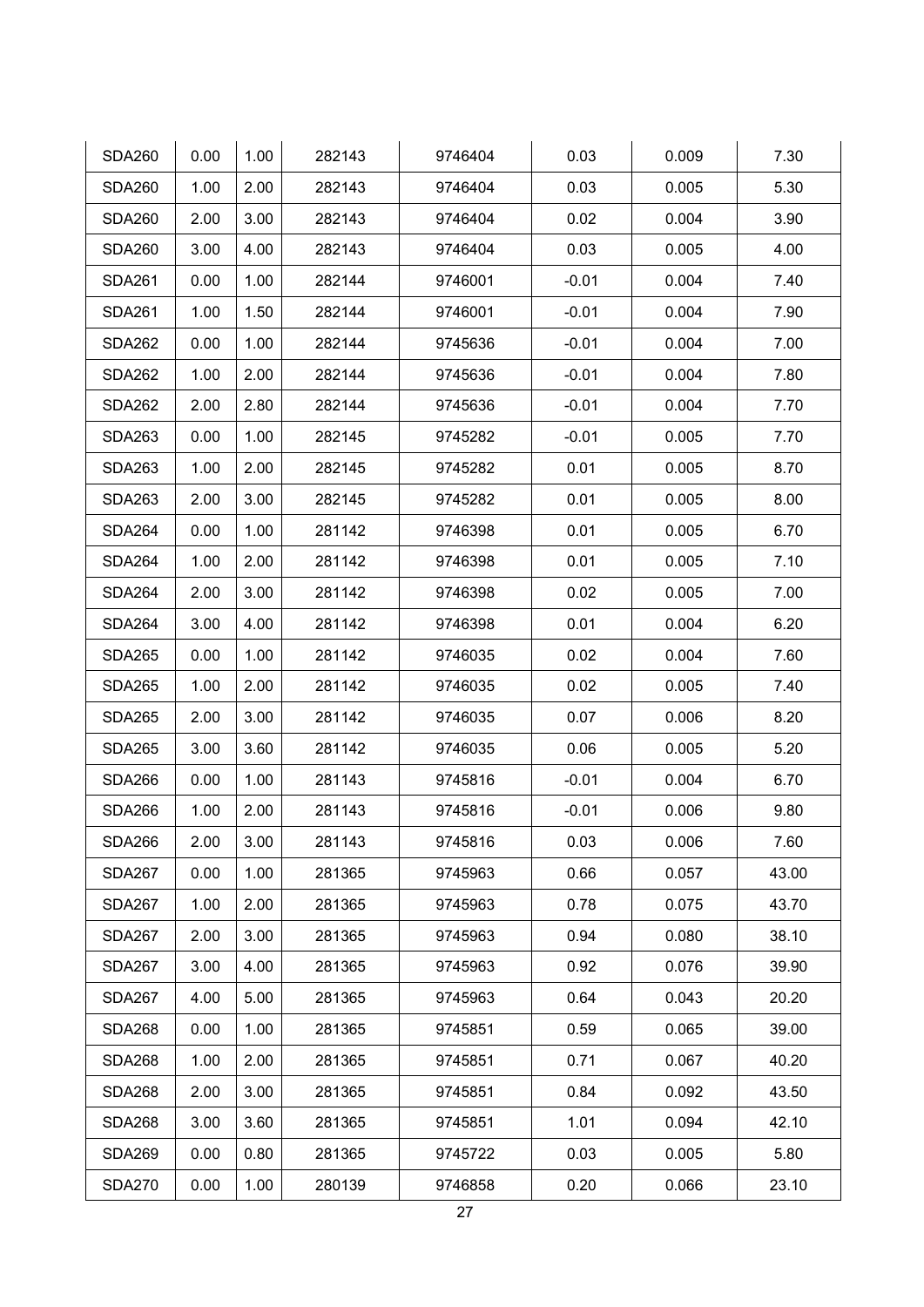| <b>SDA260</b> | 0.00 | 1.00 | 282143 | 9746404 | 0.03    | 0.009 | 7.30  |
|---------------|------|------|--------|---------|---------|-------|-------|
| <b>SDA260</b> | 1.00 | 2.00 | 282143 | 9746404 | 0.03    | 0.005 | 5.30  |
| <b>SDA260</b> | 2.00 | 3.00 | 282143 | 9746404 | 0.02    | 0.004 | 3.90  |
| <b>SDA260</b> | 3.00 | 4.00 | 282143 | 9746404 | 0.03    | 0.005 | 4.00  |
| <b>SDA261</b> | 0.00 | 1.00 | 282144 | 9746001 | $-0.01$ | 0.004 | 7.40  |
| <b>SDA261</b> | 1.00 | 1.50 | 282144 | 9746001 | $-0.01$ | 0.004 | 7.90  |
| <b>SDA262</b> | 0.00 | 1.00 | 282144 | 9745636 | $-0.01$ | 0.004 | 7.00  |
| <b>SDA262</b> | 1.00 | 2.00 | 282144 | 9745636 | $-0.01$ | 0.004 | 7.80  |
| <b>SDA262</b> | 2.00 | 2.80 | 282144 | 9745636 | $-0.01$ | 0.004 | 7.70  |
| <b>SDA263</b> | 0.00 | 1.00 | 282145 | 9745282 | $-0.01$ | 0.005 | 7.70  |
| <b>SDA263</b> | 1.00 | 2.00 | 282145 | 9745282 | 0.01    | 0.005 | 8.70  |
| <b>SDA263</b> | 2.00 | 3.00 | 282145 | 9745282 | 0.01    | 0.005 | 8.00  |
| <b>SDA264</b> | 0.00 | 1.00 | 281142 | 9746398 | 0.01    | 0.005 | 6.70  |
| <b>SDA264</b> | 1.00 | 2.00 | 281142 | 9746398 | 0.01    | 0.005 | 7.10  |
| <b>SDA264</b> | 2.00 | 3.00 | 281142 | 9746398 | 0.02    | 0.005 | 7.00  |
| <b>SDA264</b> | 3.00 | 4.00 | 281142 | 9746398 | 0.01    | 0.004 | 6.20  |
| <b>SDA265</b> | 0.00 | 1.00 | 281142 | 9746035 | 0.02    | 0.004 | 7.60  |
| <b>SDA265</b> | 1.00 | 2.00 | 281142 | 9746035 | 0.02    | 0.005 | 7.40  |
| <b>SDA265</b> | 2.00 | 3.00 | 281142 | 9746035 | 0.07    | 0.006 | 8.20  |
| <b>SDA265</b> | 3.00 | 3.60 | 281142 | 9746035 | 0.06    | 0.005 | 5.20  |
| <b>SDA266</b> | 0.00 | 1.00 | 281143 | 9745816 | $-0.01$ | 0.004 | 6.70  |
| <b>SDA266</b> | 1.00 | 2.00 | 281143 | 9745816 | $-0.01$ | 0.006 | 9.80  |
| <b>SDA266</b> | 2.00 | 3.00 | 281143 | 9745816 | 0.03    | 0.006 | 7.60  |
| <b>SDA267</b> | 0.00 | 1.00 | 281365 | 9745963 | 0.66    | 0.057 | 43.00 |
| <b>SDA267</b> | 1.00 | 2.00 | 281365 | 9745963 | 0.78    | 0.075 | 43.70 |
| <b>SDA267</b> | 2.00 | 3.00 | 281365 | 9745963 | 0.94    | 0.080 | 38.10 |
| <b>SDA267</b> | 3.00 | 4.00 | 281365 | 9745963 | 0.92    | 0.076 | 39.90 |
| <b>SDA267</b> | 4.00 | 5.00 | 281365 | 9745963 | 0.64    | 0.043 | 20.20 |
| <b>SDA268</b> | 0.00 | 1.00 | 281365 | 9745851 | 0.59    | 0.065 | 39.00 |
| <b>SDA268</b> | 1.00 | 2.00 | 281365 | 9745851 | 0.71    | 0.067 | 40.20 |
| <b>SDA268</b> | 2.00 | 3.00 | 281365 | 9745851 | 0.84    | 0.092 | 43.50 |
| <b>SDA268</b> | 3.00 | 3.60 | 281365 | 9745851 | 1.01    | 0.094 | 42.10 |
| <b>SDA269</b> | 0.00 | 0.80 | 281365 | 9745722 | 0.03    | 0.005 | 5.80  |
| <b>SDA270</b> | 0.00 | 1.00 | 280139 | 9746858 | 0.20    | 0.066 | 23.10 |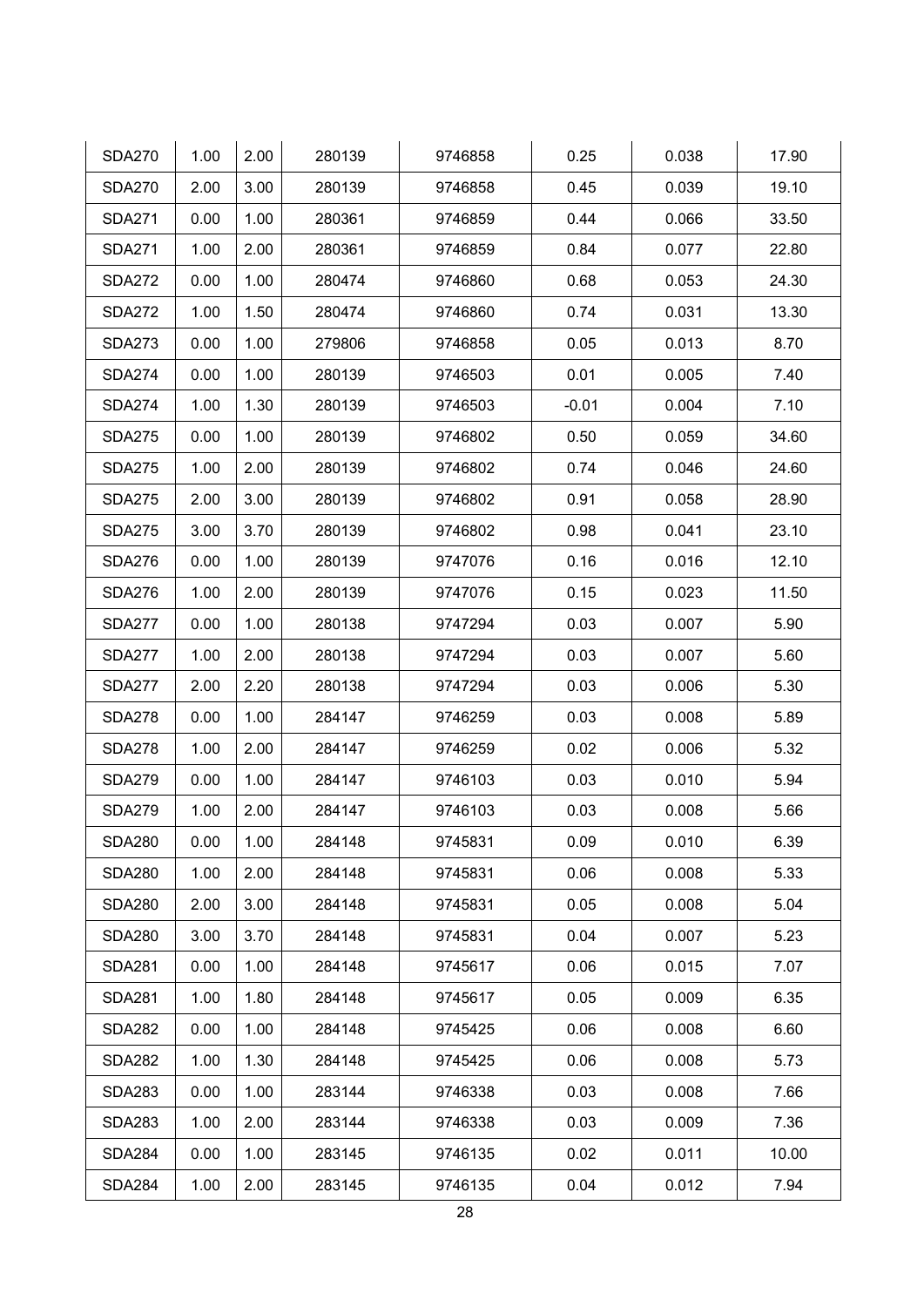| <b>SDA270</b> | 1.00 | 2.00 | 280139 | 9746858 | 0.25    | 0.038 | 17.90 |
|---------------|------|------|--------|---------|---------|-------|-------|
| <b>SDA270</b> | 2.00 | 3.00 | 280139 | 9746858 | 0.45    | 0.039 | 19.10 |
| <b>SDA271</b> | 0.00 | 1.00 | 280361 | 9746859 | 0.44    | 0.066 | 33.50 |
| <b>SDA271</b> | 1.00 | 2.00 | 280361 | 9746859 | 0.84    | 0.077 | 22.80 |
| <b>SDA272</b> | 0.00 | 1.00 | 280474 | 9746860 | 0.68    | 0.053 | 24.30 |
| <b>SDA272</b> | 1.00 | 1.50 | 280474 | 9746860 | 0.74    | 0.031 | 13.30 |
| <b>SDA273</b> | 0.00 | 1.00 | 279806 | 9746858 | 0.05    | 0.013 | 8.70  |
| <b>SDA274</b> | 0.00 | 1.00 | 280139 | 9746503 | 0.01    | 0.005 | 7.40  |
| <b>SDA274</b> | 1.00 | 1.30 | 280139 | 9746503 | $-0.01$ | 0.004 | 7.10  |
| <b>SDA275</b> | 0.00 | 1.00 | 280139 | 9746802 | 0.50    | 0.059 | 34.60 |
| <b>SDA275</b> | 1.00 | 2.00 | 280139 | 9746802 | 0.74    | 0.046 | 24.60 |
| <b>SDA275</b> | 2.00 | 3.00 | 280139 | 9746802 | 0.91    | 0.058 | 28.90 |
| <b>SDA275</b> | 3.00 | 3.70 | 280139 | 9746802 | 0.98    | 0.041 | 23.10 |
| <b>SDA276</b> | 0.00 | 1.00 | 280139 | 9747076 | 0.16    | 0.016 | 12.10 |
| <b>SDA276</b> | 1.00 | 2.00 | 280139 | 9747076 | 0.15    | 0.023 | 11.50 |
| <b>SDA277</b> | 0.00 | 1.00 | 280138 | 9747294 | 0.03    | 0.007 | 5.90  |
| <b>SDA277</b> | 1.00 | 2.00 | 280138 | 9747294 | 0.03    | 0.007 | 5.60  |
| <b>SDA277</b> | 2.00 | 2.20 | 280138 | 9747294 | 0.03    | 0.006 | 5.30  |
| <b>SDA278</b> | 0.00 | 1.00 | 284147 | 9746259 | 0.03    | 0.008 | 5.89  |
| <b>SDA278</b> | 1.00 | 2.00 | 284147 | 9746259 | 0.02    | 0.006 | 5.32  |
| <b>SDA279</b> | 0.00 | 1.00 | 284147 | 9746103 | 0.03    | 0.010 | 5.94  |
| <b>SDA279</b> | 1.00 | 2.00 | 284147 | 9746103 | 0.03    | 0.008 | 5.66  |
| <b>SDA280</b> | 0.00 | 1.00 | 284148 | 9745831 | 0.09    | 0.010 | 6.39  |
| <b>SDA280</b> | 1.00 | 2.00 | 284148 | 9745831 | 0.06    | 0.008 | 5.33  |
| <b>SDA280</b> | 2.00 | 3.00 | 284148 | 9745831 | 0.05    | 0.008 | 5.04  |
| <b>SDA280</b> | 3.00 | 3.70 | 284148 | 9745831 | 0.04    | 0.007 | 5.23  |
| <b>SDA281</b> | 0.00 | 1.00 | 284148 | 9745617 | 0.06    | 0.015 | 7.07  |
| <b>SDA281</b> | 1.00 | 1.80 | 284148 | 9745617 | 0.05    | 0.009 | 6.35  |
| <b>SDA282</b> | 0.00 | 1.00 | 284148 | 9745425 | 0.06    | 0.008 | 6.60  |
| <b>SDA282</b> | 1.00 | 1.30 | 284148 | 9745425 | 0.06    | 0.008 | 5.73  |
| <b>SDA283</b> | 0.00 | 1.00 | 283144 | 9746338 | 0.03    | 0.008 | 7.66  |
| <b>SDA283</b> | 1.00 | 2.00 | 283144 | 9746338 | 0.03    | 0.009 | 7.36  |
| <b>SDA284</b> | 0.00 | 1.00 | 283145 | 9746135 | 0.02    | 0.011 | 10.00 |
| <b>SDA284</b> | 1.00 | 2.00 | 283145 | 9746135 | 0.04    | 0.012 | 7.94  |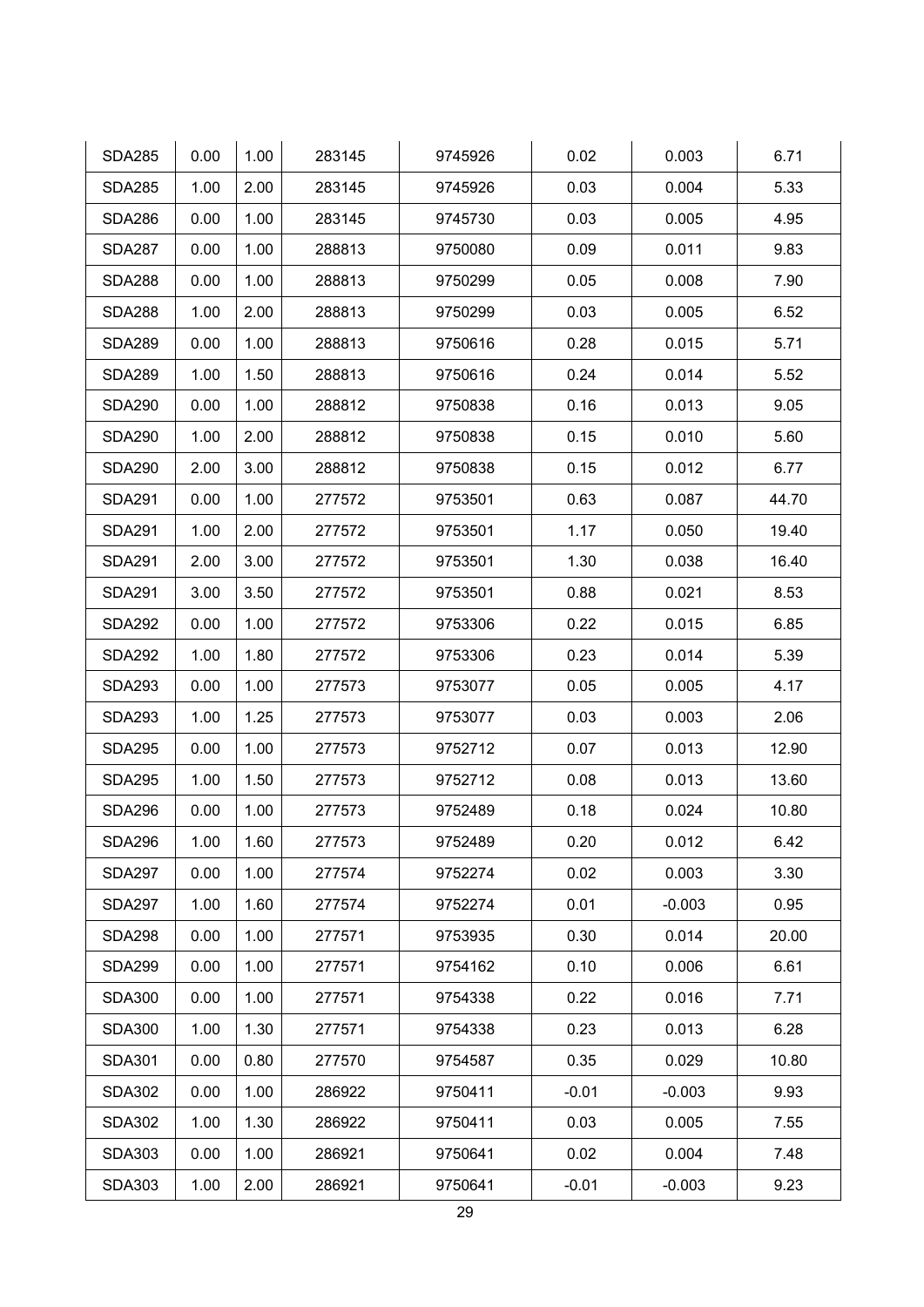| <b>SDA285</b> | 0.00 | 1.00 | 283145 | 9745926 | 0.02    | 0.003    | 6.71  |
|---------------|------|------|--------|---------|---------|----------|-------|
| <b>SDA285</b> | 1.00 | 2.00 | 283145 | 9745926 | 0.03    | 0.004    | 5.33  |
| <b>SDA286</b> | 0.00 | 1.00 | 283145 | 9745730 | 0.03    | 0.005    | 4.95  |
| <b>SDA287</b> | 0.00 | 1.00 | 288813 | 9750080 | 0.09    | 0.011    | 9.83  |
| <b>SDA288</b> | 0.00 | 1.00 | 288813 | 9750299 | 0.05    | 0.008    | 7.90  |
| <b>SDA288</b> | 1.00 | 2.00 | 288813 | 9750299 | 0.03    | 0.005    | 6.52  |
| <b>SDA289</b> | 0.00 | 1.00 | 288813 | 9750616 | 0.28    | 0.015    | 5.71  |
| <b>SDA289</b> | 1.00 | 1.50 | 288813 | 9750616 | 0.24    | 0.014    | 5.52  |
| <b>SDA290</b> | 0.00 | 1.00 | 288812 | 9750838 | 0.16    | 0.013    | 9.05  |
| <b>SDA290</b> | 1.00 | 2.00 | 288812 | 9750838 | 0.15    | 0.010    | 5.60  |
| <b>SDA290</b> | 2.00 | 3.00 | 288812 | 9750838 | 0.15    | 0.012    | 6.77  |
| <b>SDA291</b> | 0.00 | 1.00 | 277572 | 9753501 | 0.63    | 0.087    | 44.70 |
| <b>SDA291</b> | 1.00 | 2.00 | 277572 | 9753501 | 1.17    | 0.050    | 19.40 |
| <b>SDA291</b> | 2.00 | 3.00 | 277572 | 9753501 | 1.30    | 0.038    | 16.40 |
| <b>SDA291</b> | 3.00 | 3.50 | 277572 | 9753501 | 0.88    | 0.021    | 8.53  |
| <b>SDA292</b> | 0.00 | 1.00 | 277572 | 9753306 | 0.22    | 0.015    | 6.85  |
| <b>SDA292</b> | 1.00 | 1.80 | 277572 | 9753306 | 0.23    |          | 5.39  |
| <b>SDA293</b> | 0.00 | 1.00 | 277573 | 9753077 | 0.05    | 0.005    | 4.17  |
| <b>SDA293</b> | 1.00 | 1.25 | 277573 | 9753077 | 0.03    | 0.003    | 2.06  |
| <b>SDA295</b> | 0.00 | 1.00 | 277573 | 9752712 | 0.07    | 0.013    | 12.90 |
| <b>SDA295</b> | 1.00 | 1.50 | 277573 | 9752712 | 0.08    | 0.013    | 13.60 |
| <b>SDA296</b> | 0.00 | 1.00 | 277573 | 9752489 | 0.18    | 0.024    | 10.80 |
| <b>SDA296</b> | 1.00 | 1.60 | 277573 | 9752489 | 0.20    | 0.012    | 6.42  |
| <b>SDA297</b> | 0.00 | 1.00 | 277574 | 9752274 | 0.02    | 0.003    | 3.30  |
| <b>SDA297</b> | 1.00 | 1.60 | 277574 | 9752274 | 0.01    | $-0.003$ | 0.95  |
| <b>SDA298</b> | 0.00 | 1.00 | 277571 | 9753935 | 0.30    | 0.014    | 20.00 |
| <b>SDA299</b> | 0.00 | 1.00 | 277571 | 9754162 | 0.10    | 0.006    | 6.61  |
| <b>SDA300</b> | 0.00 | 1.00 | 277571 | 9754338 | 0.22    | 0.016    | 7.71  |
| <b>SDA300</b> | 1.00 | 1.30 | 277571 | 9754338 | 0.23    | 0.013    | 6.28  |
| <b>SDA301</b> | 0.00 | 0.80 | 277570 | 9754587 | 0.35    | 0.029    | 10.80 |
| <b>SDA302</b> | 0.00 | 1.00 | 286922 | 9750411 | $-0.01$ | $-0.003$ | 9.93  |
| <b>SDA302</b> | 1.00 | 1.30 | 286922 | 9750411 | 0.03    | 0.005    | 7.55  |
| <b>SDA303</b> | 0.00 | 1.00 | 286921 | 9750641 | 0.02    | 0.004    | 7.48  |
| <b>SDA303</b> | 1.00 | 2.00 | 286921 | 9750641 | $-0.01$ | $-0.003$ | 9.23  |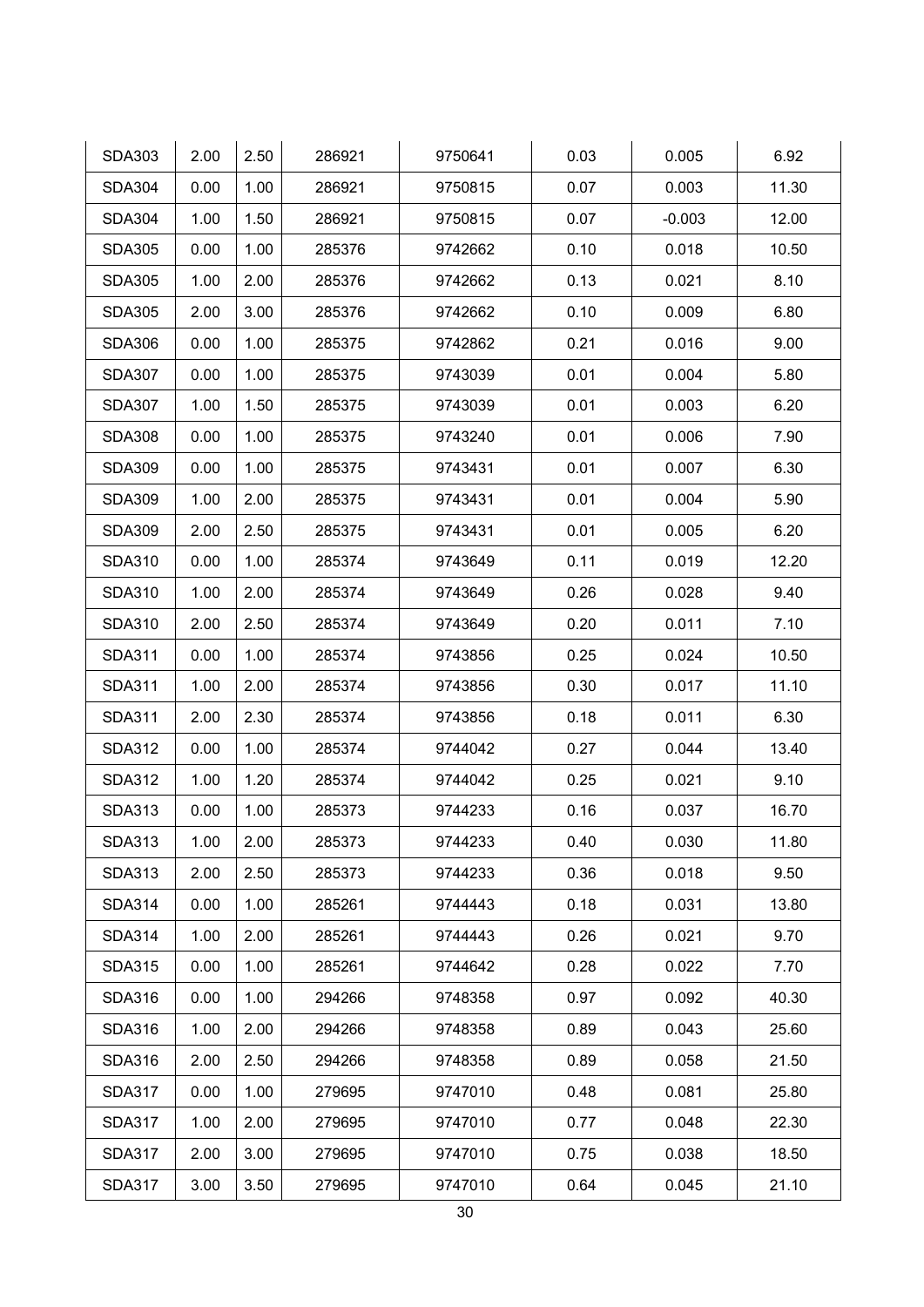| <b>SDA303</b> | 2.00 | 2.50 | 286921 | 9750641 | 0.03 | 0.005    | 6.92  |
|---------------|------|------|--------|---------|------|----------|-------|
| <b>SDA304</b> | 0.00 | 1.00 | 286921 | 9750815 | 0.07 | 0.003    | 11.30 |
| <b>SDA304</b> | 1.00 | 1.50 | 286921 | 9750815 | 0.07 | $-0.003$ | 12.00 |
| <b>SDA305</b> | 0.00 | 1.00 | 285376 | 9742662 | 0.10 | 0.018    | 10.50 |
| <b>SDA305</b> | 1.00 | 2.00 | 285376 | 9742662 | 0.13 | 0.021    | 8.10  |
| <b>SDA305</b> | 2.00 | 3.00 | 285376 | 9742662 | 0.10 | 0.009    | 6.80  |
| <b>SDA306</b> | 0.00 | 1.00 | 285375 | 9742862 | 0.21 | 0.016    | 9.00  |
| <b>SDA307</b> | 0.00 | 1.00 | 285375 | 9743039 | 0.01 | 0.004    | 5.80  |
| <b>SDA307</b> | 1.00 | 1.50 | 285375 | 9743039 | 0.01 | 0.003    | 6.20  |
| <b>SDA308</b> | 0.00 | 1.00 | 285375 | 9743240 | 0.01 | 0.006    | 7.90  |
| <b>SDA309</b> | 0.00 | 1.00 | 285375 | 9743431 | 0.01 | 0.007    | 6.30  |
| <b>SDA309</b> | 1.00 | 2.00 | 285375 | 9743431 | 0.01 | 0.004    | 5.90  |
| <b>SDA309</b> | 2.00 | 2.50 | 285375 | 9743431 | 0.01 | 0.005    | 6.20  |
| <b>SDA310</b> | 0.00 | 1.00 | 285374 | 9743649 | 0.11 | 0.019    | 12.20 |
| <b>SDA310</b> | 1.00 | 2.00 | 285374 | 9743649 | 0.26 | 0.028    | 9.40  |
| <b>SDA310</b> | 2.00 | 2.50 | 285374 | 9743649 | 0.20 | 0.011    | 7.10  |
| <b>SDA311</b> | 0.00 | 1.00 | 285374 | 9743856 | 0.25 | 0.024    | 10.50 |
| <b>SDA311</b> | 1.00 | 2.00 | 285374 | 9743856 | 0.30 | 0.017    | 11.10 |
| <b>SDA311</b> | 2.00 | 2.30 | 285374 | 9743856 | 0.18 | 0.011    | 6.30  |
| <b>SDA312</b> | 0.00 | 1.00 | 285374 | 9744042 | 0.27 | 0.044    | 13.40 |
| <b>SDA312</b> | 1.00 | 1.20 | 285374 | 9744042 | 0.25 | 0.021    | 9.10  |
| <b>SDA313</b> | 0.00 | 1.00 | 285373 | 9744233 | 0.16 | 0.037    | 16.70 |
| <b>SDA313</b> | 1.00 | 2.00 | 285373 | 9744233 | 0.40 | 0.030    | 11.80 |
| <b>SDA313</b> | 2.00 | 2.50 | 285373 | 9744233 | 0.36 | 0.018    | 9.50  |
| <b>SDA314</b> | 0.00 | 1.00 | 285261 | 9744443 | 0.18 | 0.031    | 13.80 |
| <b>SDA314</b> | 1.00 | 2.00 | 285261 | 9744443 | 0.26 | 0.021    | 9.70  |
| <b>SDA315</b> | 0.00 | 1.00 | 285261 | 9744642 | 0.28 | 0.022    | 7.70  |
| <b>SDA316</b> | 0.00 | 1.00 | 294266 | 9748358 | 0.97 | 0.092    | 40.30 |
| <b>SDA316</b> | 1.00 | 2.00 | 294266 | 9748358 | 0.89 | 0.043    | 25.60 |
| <b>SDA316</b> | 2.00 | 2.50 | 294266 | 9748358 | 0.89 | 0.058    | 21.50 |
| <b>SDA317</b> | 0.00 | 1.00 | 279695 | 9747010 | 0.48 | 0.081    | 25.80 |
| <b>SDA317</b> | 1.00 | 2.00 | 279695 | 9747010 | 0.77 | 0.048    | 22.30 |
| <b>SDA317</b> | 2.00 | 3.00 | 279695 | 9747010 | 0.75 | 0.038    | 18.50 |
| <b>SDA317</b> | 3.00 | 3.50 | 279695 | 9747010 | 0.64 | 0.045    | 21.10 |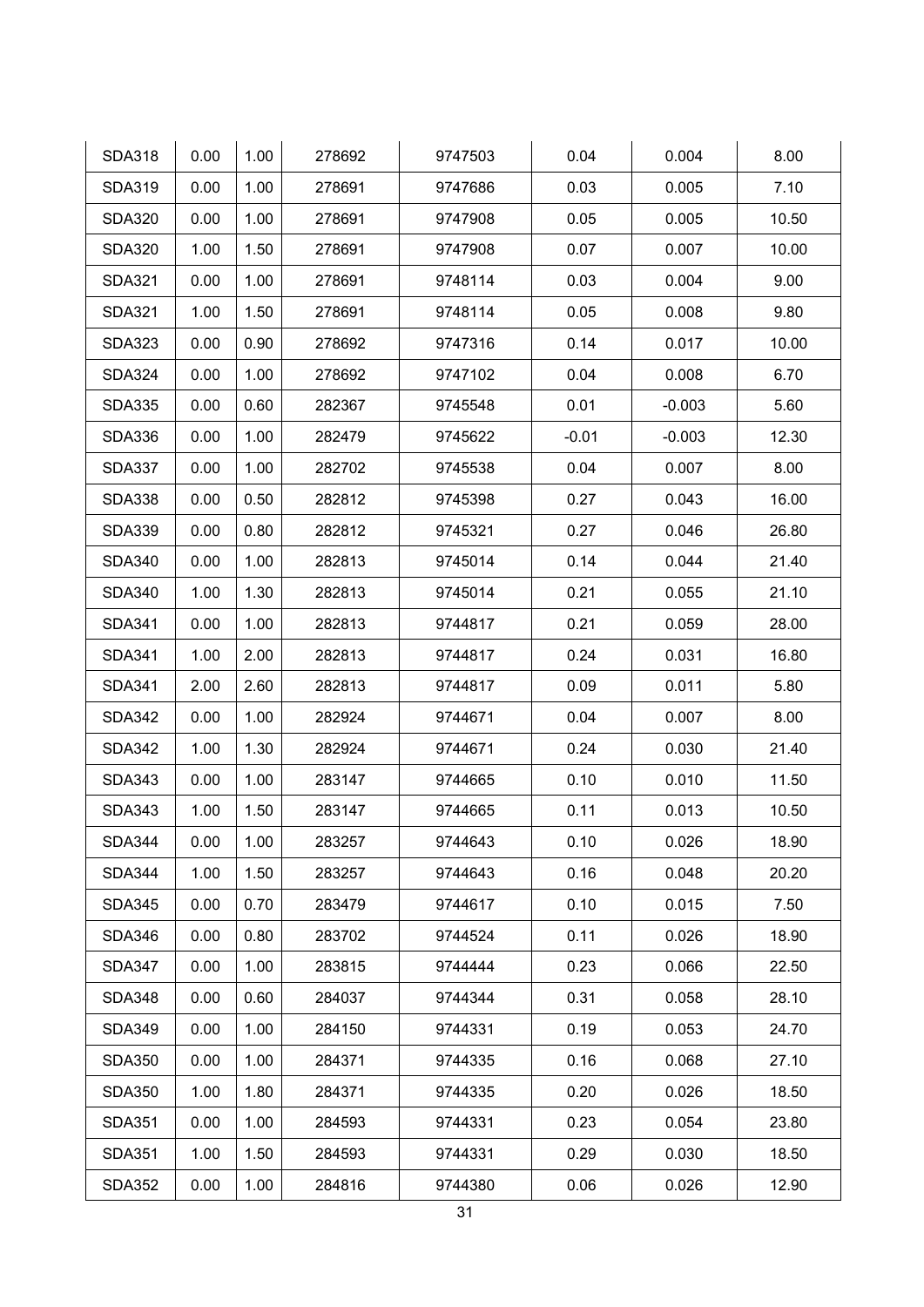| <b>SDA318</b> | 0.00 | 1.00 | 278692 | 9747503 | 0.04    | 0.004    | 8.00  |
|---------------|------|------|--------|---------|---------|----------|-------|
| <b>SDA319</b> | 0.00 | 1.00 | 278691 | 9747686 | 0.03    | 0.005    | 7.10  |
| <b>SDA320</b> | 0.00 | 1.00 | 278691 | 9747908 | 0.05    | 0.005    | 10.50 |
| <b>SDA320</b> | 1.00 | 1.50 | 278691 | 9747908 | 0.07    | 0.007    | 10.00 |
| <b>SDA321</b> | 0.00 | 1.00 | 278691 | 9748114 | 0.03    | 0.004    | 9.00  |
| <b>SDA321</b> | 1.00 | 1.50 | 278691 | 9748114 | 0.05    | 0.008    | 9.80  |
| <b>SDA323</b> | 0.00 | 0.90 | 278692 | 9747316 | 0.14    | 0.017    | 10.00 |
| <b>SDA324</b> | 0.00 | 1.00 | 278692 | 9747102 | 0.04    | 0.008    | 6.70  |
| <b>SDA335</b> | 0.00 | 0.60 | 282367 | 9745548 | 0.01    | $-0.003$ | 5.60  |
| <b>SDA336</b> | 0.00 | 1.00 | 282479 | 9745622 | $-0.01$ | $-0.003$ | 12.30 |
| <b>SDA337</b> | 0.00 | 1.00 | 282702 | 9745538 | 0.04    | 0.007    | 8.00  |
| <b>SDA338</b> | 0.00 | 0.50 | 282812 | 9745398 | 0.27    | 0.043    | 16.00 |
| <b>SDA339</b> | 0.00 | 0.80 | 282812 | 9745321 | 0.27    | 0.046    | 26.80 |
| <b>SDA340</b> | 0.00 | 1.00 | 282813 | 9745014 | 0.14    | 0.044    | 21.40 |
| <b>SDA340</b> | 1.00 | 1.30 | 282813 | 9745014 | 0.21    | 0.055    | 21.10 |
| <b>SDA341</b> | 0.00 | 1.00 | 282813 | 9744817 | 0.21    | 0.059    | 28.00 |
| <b>SDA341</b> | 1.00 | 2.00 | 282813 | 9744817 | 0.24    | 0.031    | 16.80 |
| <b>SDA341</b> | 2.00 | 2.60 | 282813 | 9744817 | 0.09    | 0.011    | 5.80  |
| <b>SDA342</b> | 0.00 | 1.00 | 282924 | 9744671 | 0.04    | 0.007    | 8.00  |
| <b>SDA342</b> | 1.00 | 1.30 | 282924 | 9744671 | 0.24    | 0.030    | 21.40 |
| <b>SDA343</b> | 0.00 | 1.00 | 283147 | 9744665 | 0.10    | 0.010    | 11.50 |
| <b>SDA343</b> | 1.00 | 1.50 | 283147 | 9744665 | 0.11    | 0.013    | 10.50 |
| <b>SDA344</b> | 0.00 | 1.00 | 283257 | 9744643 | 0.10    | 0.026    | 18.90 |
| <b>SDA344</b> | 1.00 | 1.50 | 283257 | 9744643 | 0.16    | 0.048    | 20.20 |
| <b>SDA345</b> | 0.00 | 0.70 | 283479 | 9744617 | 0.10    | 0.015    | 7.50  |
| <b>SDA346</b> | 0.00 | 0.80 | 283702 | 9744524 | 0.11    | 0.026    | 18.90 |
| <b>SDA347</b> | 0.00 | 1.00 | 283815 | 9744444 | 0.23    | 0.066    | 22.50 |
| <b>SDA348</b> | 0.00 | 0.60 | 284037 | 9744344 | 0.31    | 0.058    | 28.10 |
| <b>SDA349</b> | 0.00 | 1.00 | 284150 | 9744331 | 0.19    | 0.053    | 24.70 |
| <b>SDA350</b> | 0.00 | 1.00 | 284371 | 9744335 | 0.16    | 0.068    | 27.10 |
| <b>SDA350</b> | 1.00 | 1.80 | 284371 | 9744335 | 0.20    | 0.026    | 18.50 |
| <b>SDA351</b> | 0.00 | 1.00 | 284593 | 9744331 | 0.23    | 0.054    | 23.80 |
| <b>SDA351</b> | 1.00 | 1.50 | 284593 | 9744331 | 0.29    | 0.030    | 18.50 |
| <b>SDA352</b> | 0.00 | 1.00 | 284816 | 9744380 | 0.06    | 0.026    | 12.90 |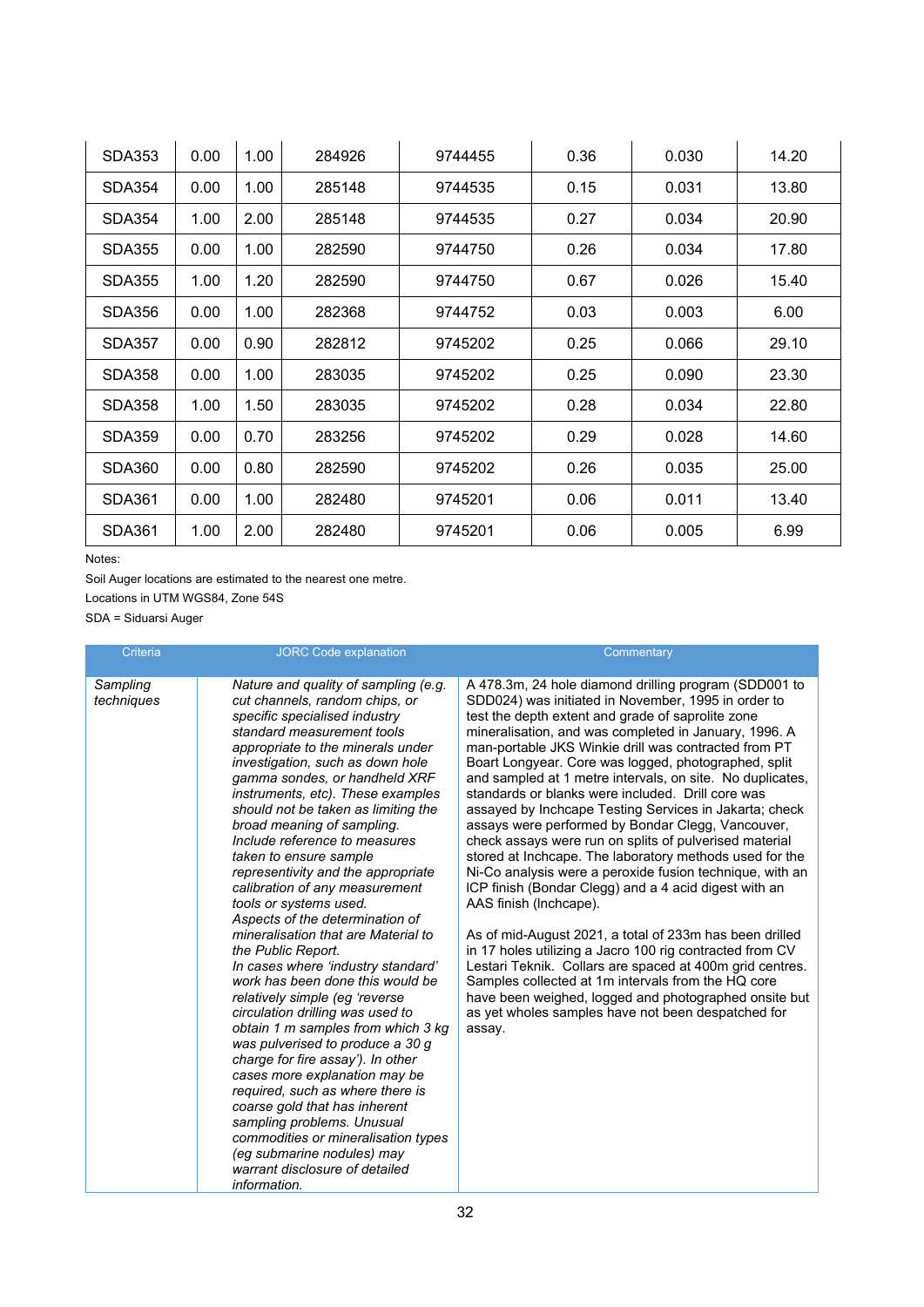| <b>SDA353</b> | 0.00 | 1.00 | 284926 | 9744455 | 0.36 | 0.030 | 14.20 |
|---------------|------|------|--------|---------|------|-------|-------|
| SDA354        | 0.00 | 1.00 | 285148 | 9744535 | 0.15 | 0.031 | 13.80 |
| SDA354        | 1.00 | 2.00 | 285148 | 9744535 | 0.27 | 0.034 | 20.90 |
| SDA355        | 0.00 | 1.00 | 282590 | 9744750 | 0.26 | 0.034 | 17.80 |
| <b>SDA355</b> | 1.00 | 1.20 | 282590 | 9744750 | 0.67 | 0.026 | 15.40 |
| SDA356        | 0.00 | 1.00 | 282368 | 9744752 | 0.03 | 0.003 | 6.00  |
| SDA357        | 0.00 | 0.90 | 282812 | 9745202 | 0.25 | 0.066 | 29.10 |
| <b>SDA358</b> | 0.00 | 1.00 | 283035 | 9745202 | 0.25 | 0.090 | 23.30 |
| SDA358        | 1.00 | 1.50 | 283035 | 9745202 | 0.28 | 0.034 | 22.80 |
| <b>SDA359</b> | 0.00 | 0.70 | 283256 | 9745202 | 0.29 | 0.028 | 14.60 |
| SDA360        | 0.00 | 0.80 | 282590 | 9745202 | 0.26 | 0.035 | 25.00 |
| <b>SDA361</b> | 0.00 | 1.00 | 282480 | 9745201 | 0.06 | 0.011 | 13.40 |
| SDA361        | 1.00 | 2.00 | 282480 | 9745201 | 0.06 | 0.005 | 6.99  |

Notes:

Soil Auger locations are estimated to the nearest one metre.

Locations in UTM WGS84, Zone 54S

SDA = Siduarsi Auger

| Criteria               | <b>JORC Code explanation</b>                                                                                                                                                                                                                                                                                                                                                                                                                                                                                                                                                                                                                                                                                                                                                                                                                                                                                                                                                                                                                                                                                                                     | Commentary                                                                                                                                                                                                                                                                                                                                                                                                                                                                                                                                                                                                                                                                                                                                                                                                                                                                                                                                                                                                                                                                                                                                                                                                        |
|------------------------|--------------------------------------------------------------------------------------------------------------------------------------------------------------------------------------------------------------------------------------------------------------------------------------------------------------------------------------------------------------------------------------------------------------------------------------------------------------------------------------------------------------------------------------------------------------------------------------------------------------------------------------------------------------------------------------------------------------------------------------------------------------------------------------------------------------------------------------------------------------------------------------------------------------------------------------------------------------------------------------------------------------------------------------------------------------------------------------------------------------------------------------------------|-------------------------------------------------------------------------------------------------------------------------------------------------------------------------------------------------------------------------------------------------------------------------------------------------------------------------------------------------------------------------------------------------------------------------------------------------------------------------------------------------------------------------------------------------------------------------------------------------------------------------------------------------------------------------------------------------------------------------------------------------------------------------------------------------------------------------------------------------------------------------------------------------------------------------------------------------------------------------------------------------------------------------------------------------------------------------------------------------------------------------------------------------------------------------------------------------------------------|
| Sampling<br>techniques | Nature and quality of sampling (e.g.<br>cut channels, random chips, or<br>specific specialised industry<br>standard measurement tools<br>appropriate to the minerals under<br>investigation, such as down hole<br>gamma sondes, or handheld XRF<br>instruments, etc). These examples<br>should not be taken as limiting the<br>broad meaning of sampling.<br>Include reference to measures<br>taken to ensure sample<br>representivity and the appropriate<br>calibration of any measurement<br>tools or systems used.<br>Aspects of the determination of<br>mineralisation that are Material to<br>the Public Report.<br>In cases where 'industry standard'<br>work has been done this would be<br>relatively simple (eg 'reverse<br>circulation drilling was used to<br>obtain 1 m samples from which 3 kg<br>was pulverised to produce a 30 g<br>charge for fire assay'). In other<br>cases more explanation may be<br>required, such as where there is<br>coarse gold that has inherent<br>sampling problems. Unusual<br>commodities or mineralisation types<br>(eg submarine nodules) may<br>warrant disclosure of detailed<br>information. | A 478.3m, 24 hole diamond drilling program (SDD001 to<br>SDD024) was initiated in November, 1995 in order to<br>test the depth extent and grade of saprolite zone<br>mineralisation, and was completed in January, 1996. A<br>man-portable JKS Winkie drill was contracted from PT<br>Boart Longyear. Core was logged, photographed, split<br>and sampled at 1 metre intervals, on site. No duplicates,<br>standards or blanks were included. Drill core was<br>assayed by Inchcape Testing Services in Jakarta; check<br>assays were performed by Bondar Clegg, Vancouver,<br>check assays were run on splits of pulverised material<br>stored at Inchcape. The laboratory methods used for the<br>Ni-Co analysis were a peroxide fusion technique, with an<br>ICP finish (Bondar Clegg) and a 4 acid digest with an<br>AAS finish (Inchcape).<br>As of mid-August 2021, a total of 233m has been drilled<br>in 17 holes utilizing a Jacro 100 rig contracted from CV<br>Lestari Teknik. Collars are spaced at 400m grid centres.<br>Samples collected at 1m intervals from the HQ core<br>have been weighed, logged and photographed onsite but<br>as yet wholes samples have not been despatched for<br>assay. |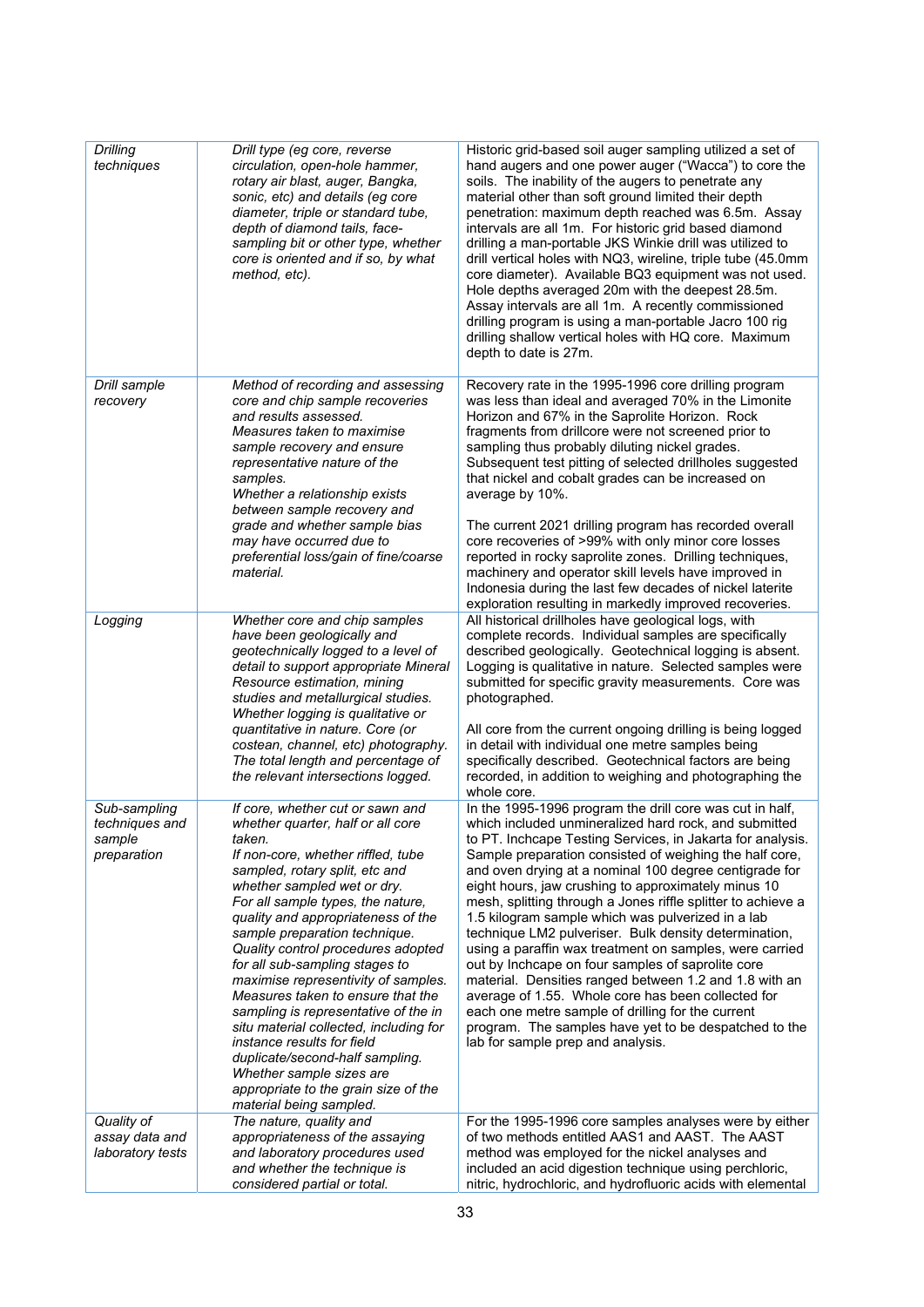| Drilling<br>techniques                                  | Drill type (eg core, reverse<br>circulation, open-hole hammer,<br>rotary air blast, auger, Bangka,<br>sonic, etc) and details (eg core<br>diameter, triple or standard tube,<br>depth of diamond tails, face-<br>sampling bit or other type, whether<br>core is oriented and if so, by what<br>method, etc).                                                                                                                                                                                                                                                                                                                                                                                             | Historic grid-based soil auger sampling utilized a set of<br>hand augers and one power auger ("Wacca") to core the<br>soils. The inability of the augers to penetrate any<br>material other than soft ground limited their depth<br>penetration: maximum depth reached was 6.5m. Assay<br>intervals are all 1m. For historic grid based diamond<br>drilling a man-portable JKS Winkie drill was utilized to<br>drill vertical holes with NQ3, wireline, triple tube (45.0mm<br>core diameter). Available BQ3 equipment was not used.<br>Hole depths averaged 20m with the deepest 28.5m.<br>Assay intervals are all 1m. A recently commissioned<br>drilling program is using a man-portable Jacro 100 rig<br>drilling shallow vertical holes with HQ core. Maximum<br>depth to date is 27m.                                                                                                                                  |
|---------------------------------------------------------|----------------------------------------------------------------------------------------------------------------------------------------------------------------------------------------------------------------------------------------------------------------------------------------------------------------------------------------------------------------------------------------------------------------------------------------------------------------------------------------------------------------------------------------------------------------------------------------------------------------------------------------------------------------------------------------------------------|------------------------------------------------------------------------------------------------------------------------------------------------------------------------------------------------------------------------------------------------------------------------------------------------------------------------------------------------------------------------------------------------------------------------------------------------------------------------------------------------------------------------------------------------------------------------------------------------------------------------------------------------------------------------------------------------------------------------------------------------------------------------------------------------------------------------------------------------------------------------------------------------------------------------------|
| Drill sample<br>recovery                                | Method of recording and assessing<br>core and chip sample recoveries<br>and results assessed.<br>Measures taken to maximise<br>sample recovery and ensure<br>representative nature of the<br>samples.<br>Whether a relationship exists<br>between sample recovery and<br>grade and whether sample bias<br>may have occurred due to<br>preferential loss/gain of fine/coarse<br>material.                                                                                                                                                                                                                                                                                                                 | Recovery rate in the 1995-1996 core drilling program<br>was less than ideal and averaged 70% in the Limonite<br>Horizon and 67% in the Saprolite Horizon. Rock<br>fragments from drillcore were not screened prior to<br>sampling thus probably diluting nickel grades.<br>Subsequent test pitting of selected drillholes suggested<br>that nickel and cobalt grades can be increased on<br>average by 10%.<br>The current 2021 drilling program has recorded overall<br>core recoveries of >99% with only minor core losses<br>reported in rocky saprolite zones. Drilling techniques,<br>machinery and operator skill levels have improved in<br>Indonesia during the last few decades of nickel laterite<br>exploration resulting in markedly improved recoveries.                                                                                                                                                        |
| Logging                                                 | Whether core and chip samples<br>have been geologically and<br>geotechnically logged to a level of<br>detail to support appropriate Mineral<br>Resource estimation, mining<br>studies and metallurgical studies.<br>Whether logging is qualitative or<br>quantitative in nature. Core (or<br>costean, channel, etc) photography.<br>The total length and percentage of<br>the relevant intersections logged.                                                                                                                                                                                                                                                                                             | All historical drillholes have geological logs, with<br>complete records. Individual samples are specifically<br>described geologically. Geotechnical logging is absent.<br>Logging is qualitative in nature. Selected samples were<br>submitted for specific gravity measurements. Core was<br>photographed.<br>All core from the current ongoing drilling is being logged<br>in detail with individual one metre samples being<br>specifically described. Geotechnical factors are being<br>recorded, in addition to weighing and photographing the<br>whole core.                                                                                                                                                                                                                                                                                                                                                         |
| Sub-sampling<br>techniques and<br>sample<br>preparation | If core, whether cut or sawn and<br>whether quarter, half or all core<br>taken.<br>If non-core, whether riffled, tube<br>sampled, rotary split, etc and<br>whether sampled wet or dry.<br>For all sample types, the nature,<br>quality and appropriateness of the<br>sample preparation technique.<br>Quality control procedures adopted<br>for all sub-sampling stages to<br>maximise representivity of samples.<br>Measures taken to ensure that the<br>sampling is representative of the in<br>situ material collected, including for<br>instance results for field<br>duplicate/second-half sampling.<br>Whether sample sizes are<br>appropriate to the grain size of the<br>material being sampled. | In the 1995-1996 program the drill core was cut in half,<br>which included unmineralized hard rock, and submitted<br>to PT. Inchcape Testing Services, in Jakarta for analysis.<br>Sample preparation consisted of weighing the half core,<br>and oven drying at a nominal 100 degree centigrade for<br>eight hours, jaw crushing to approximately minus 10<br>mesh, splitting through a Jones riffle splitter to achieve a<br>1.5 kilogram sample which was pulverized in a lab<br>technique LM2 pulveriser. Bulk density determination,<br>using a paraffin wax treatment on samples, were carried<br>out by Inchcape on four samples of saprolite core<br>material. Densities ranged between 1.2 and 1.8 with an<br>average of 1.55. Whole core has been collected for<br>each one metre sample of drilling for the current<br>program. The samples have yet to be despatched to the<br>lab for sample prep and analysis. |
| Quality of<br>assay data and<br>laboratory tests        | The nature, quality and<br>appropriateness of the assaying<br>and laboratory procedures used<br>and whether the technique is<br>considered partial or total.                                                                                                                                                                                                                                                                                                                                                                                                                                                                                                                                             | For the 1995-1996 core samples analyses were by either<br>of two methods entitled AAS1 and AAST. The AAST<br>method was employed for the nickel analyses and<br>included an acid digestion technique using perchloric,<br>nitric, hydrochloric, and hydrofluoric acids with elemental                                                                                                                                                                                                                                                                                                                                                                                                                                                                                                                                                                                                                                        |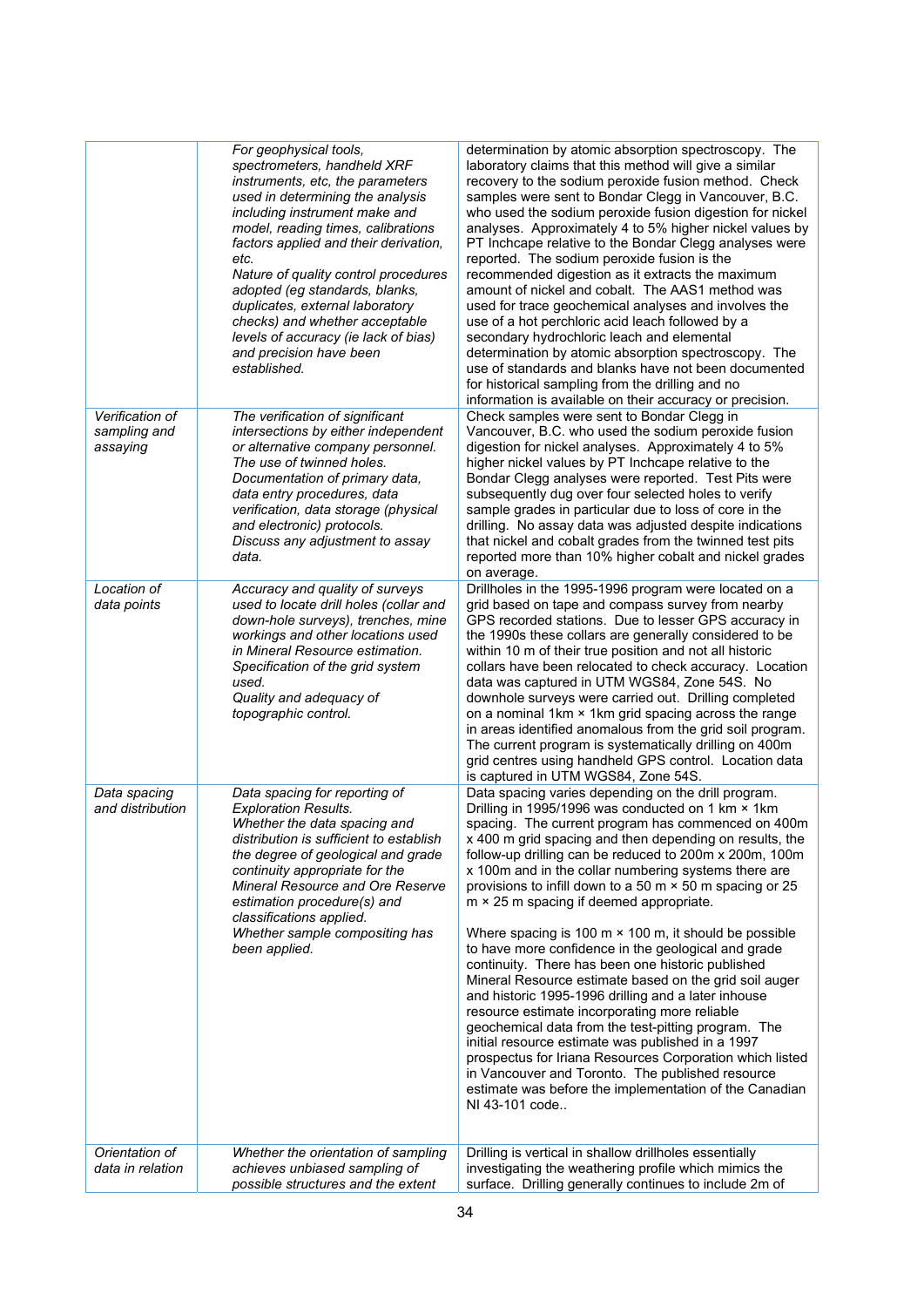|                                             | For geophysical tools,<br>spectrometers, handheld XRF<br>instruments, etc, the parameters<br>used in determining the analysis<br>including instrument make and<br>model, reading times, calibrations<br>factors applied and their derivation,<br>etc.<br>Nature of quality control procedures<br>adopted (eg standards, blanks,<br>duplicates, external laboratory<br>checks) and whether acceptable<br>levels of accuracy (ie lack of bias)<br>and precision have been<br>established. | determination by atomic absorption spectroscopy. The<br>laboratory claims that this method will give a similar<br>recovery to the sodium peroxide fusion method. Check<br>samples were sent to Bondar Clegg in Vancouver, B.C.<br>who used the sodium peroxide fusion digestion for nickel<br>analyses. Approximately 4 to 5% higher nickel values by<br>PT Inchcape relative to the Bondar Clegg analyses were<br>reported. The sodium peroxide fusion is the<br>recommended digestion as it extracts the maximum<br>amount of nickel and cobalt. The AAS1 method was<br>used for trace geochemical analyses and involves the<br>use of a hot perchloric acid leach followed by a<br>secondary hydrochloric leach and elemental<br>determination by atomic absorption spectroscopy. The<br>use of standards and blanks have not been documented<br>for historical sampling from the drilling and no<br>information is available on their accuracy or precision.                                                                                                                                                |
|---------------------------------------------|-----------------------------------------------------------------------------------------------------------------------------------------------------------------------------------------------------------------------------------------------------------------------------------------------------------------------------------------------------------------------------------------------------------------------------------------------------------------------------------------|-----------------------------------------------------------------------------------------------------------------------------------------------------------------------------------------------------------------------------------------------------------------------------------------------------------------------------------------------------------------------------------------------------------------------------------------------------------------------------------------------------------------------------------------------------------------------------------------------------------------------------------------------------------------------------------------------------------------------------------------------------------------------------------------------------------------------------------------------------------------------------------------------------------------------------------------------------------------------------------------------------------------------------------------------------------------------------------------------------------------|
| Verification of<br>sampling and<br>assaying | The verification of significant<br>intersections by either independent<br>or alternative company personnel.<br>The use of twinned holes.<br>Documentation of primary data,<br>data entry procedures, data<br>verification, data storage (physical<br>and electronic) protocols.<br>Discuss any adjustment to assay<br>data.                                                                                                                                                             | Check samples were sent to Bondar Clegg in<br>Vancouver, B.C. who used the sodium peroxide fusion<br>digestion for nickel analyses. Approximately 4 to 5%<br>higher nickel values by PT Inchcape relative to the<br>Bondar Clegg analyses were reported. Test Pits were<br>subsequently dug over four selected holes to verify<br>sample grades in particular due to loss of core in the<br>drilling. No assay data was adjusted despite indications<br>that nickel and cobalt grades from the twinned test pits<br>reported more than 10% higher cobalt and nickel grades<br>on average.                                                                                                                                                                                                                                                                                                                                                                                                                                                                                                                       |
| Location of<br>data points                  | Accuracy and quality of surveys<br>used to locate drill holes (collar and<br>down-hole surveys), trenches, mine<br>workings and other locations used<br>in Mineral Resource estimation.<br>Specification of the grid system<br>used.<br>Quality and adequacy of<br>topographic control.                                                                                                                                                                                                 | Drillholes in the 1995-1996 program were located on a<br>grid based on tape and compass survey from nearby<br>GPS recorded stations. Due to lesser GPS accuracy in<br>the 1990s these collars are generally considered to be<br>within 10 m of their true position and not all historic<br>collars have been relocated to check accuracy. Location<br>data was captured in UTM WGS84, Zone 54S. No<br>downhole surveys were carried out. Drilling completed<br>on a nominal 1km × 1km grid spacing across the range<br>in areas identified anomalous from the grid soil program.<br>The current program is systematically drilling on 400m<br>grid centres using handheld GPS control. Location data<br>is captured in UTM WGS84, Zone 54S.                                                                                                                                                                                                                                                                                                                                                                     |
| Data spacing<br>and distribution            | Data spacing for reporting of<br><b>Exploration Results.</b><br>Whether the data spacing and<br>distribution is sufficient to establish<br>the degree of geological and grade<br>continuity appropriate for the<br>Mineral Resource and Ore Reserve<br>estimation procedure(s) and<br>classifications applied.<br>Whether sample compositing has<br>been applied.                                                                                                                       | Data spacing varies depending on the drill program.<br>Drilling in 1995/1996 was conducted on 1 km × 1km<br>spacing. The current program has commenced on 400m<br>x 400 m grid spacing and then depending on results, the<br>follow-up drilling can be reduced to 200m x 200m, 100m<br>x 100m and in the collar numbering systems there are<br>provisions to infill down to a 50 m $\times$ 50 m spacing or 25<br>m × 25 m spacing if deemed appropriate.<br>Where spacing is 100 m $\times$ 100 m, it should be possible<br>to have more confidence in the geological and grade<br>continuity. There has been one historic published<br>Mineral Resource estimate based on the grid soil auger<br>and historic 1995-1996 drilling and a later inhouse<br>resource estimate incorporating more reliable<br>geochemical data from the test-pitting program. The<br>initial resource estimate was published in a 1997<br>prospectus for Iriana Resources Corporation which listed<br>in Vancouver and Toronto. The published resource<br>estimate was before the implementation of the Canadian<br>NI 43-101 code |
| Orientation of<br>data in relation          | Whether the orientation of sampling<br>achieves unbiased sampling of<br>possible structures and the extent                                                                                                                                                                                                                                                                                                                                                                              | Drilling is vertical in shallow drillholes essentially<br>investigating the weathering profile which mimics the<br>surface. Drilling generally continues to include 2m of                                                                                                                                                                                                                                                                                                                                                                                                                                                                                                                                                                                                                                                                                                                                                                                                                                                                                                                                       |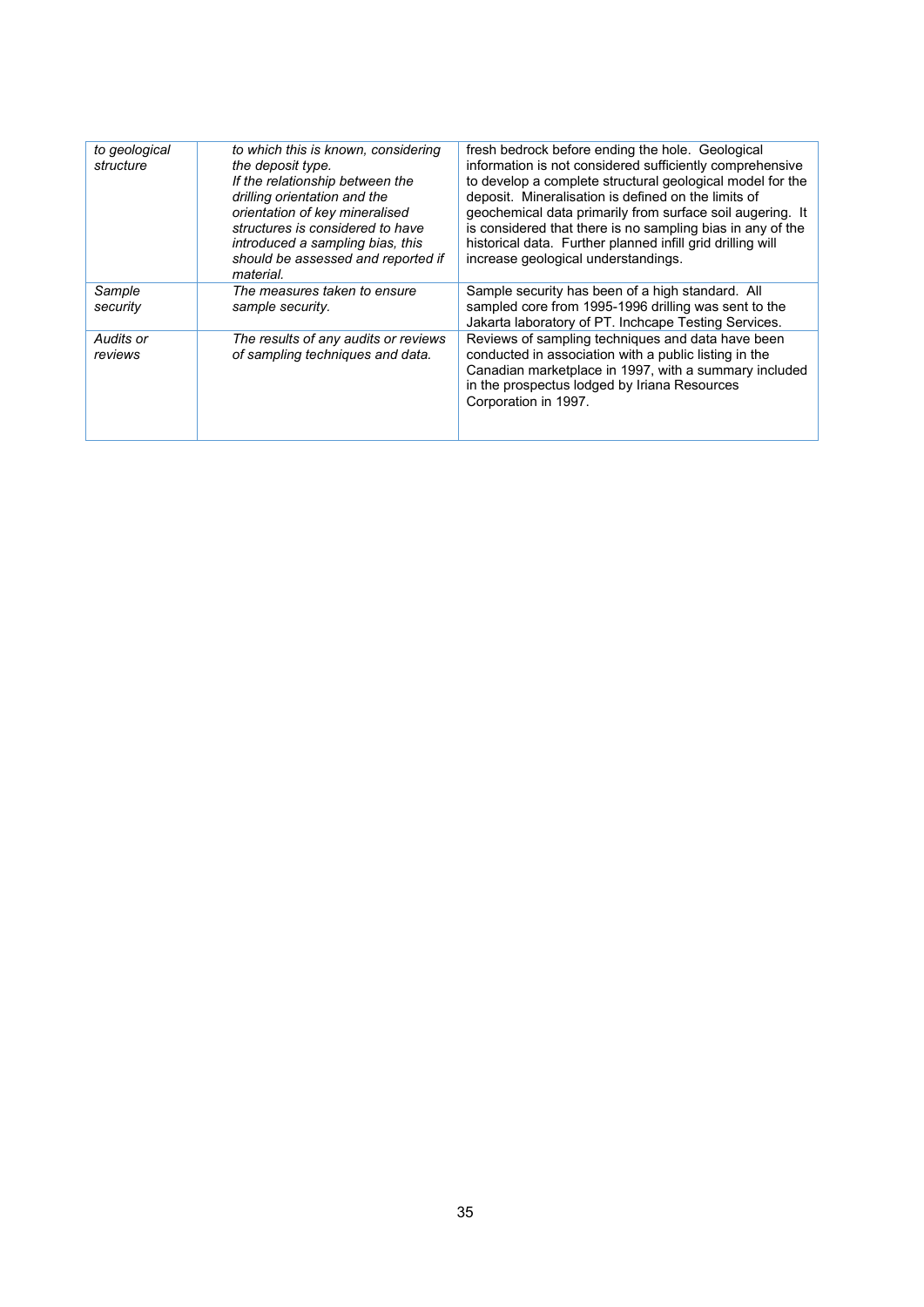| to geological<br>structure | to which this is known, considering<br>the deposit type.<br>If the relationship between the<br>drilling orientation and the<br>orientation of key mineralised<br>structures is considered to have<br>introduced a sampling bias, this<br>should be assessed and reported if<br>material. | fresh bedrock before ending the hole. Geological<br>information is not considered sufficiently comprehensive<br>to develop a complete structural geological model for the<br>deposit. Mineralisation is defined on the limits of<br>geochemical data primarily from surface soil augering. It<br>is considered that there is no sampling bias in any of the<br>historical data. Further planned infill grid drilling will<br>increase geological understandings. |
|----------------------------|------------------------------------------------------------------------------------------------------------------------------------------------------------------------------------------------------------------------------------------------------------------------------------------|------------------------------------------------------------------------------------------------------------------------------------------------------------------------------------------------------------------------------------------------------------------------------------------------------------------------------------------------------------------------------------------------------------------------------------------------------------------|
| Sample<br>security         | The measures taken to ensure<br>sample security.                                                                                                                                                                                                                                         | Sample security has been of a high standard. All<br>sampled core from 1995-1996 drilling was sent to the<br>Jakarta laboratory of PT. Inchcape Testing Services.                                                                                                                                                                                                                                                                                                 |
| Audits or<br>reviews       | The results of any audits or reviews<br>of sampling techniques and data.                                                                                                                                                                                                                 | Reviews of sampling techniques and data have been<br>conducted in association with a public listing in the<br>Canadian marketplace in 1997, with a summary included<br>in the prospectus lodged by Iriana Resources<br>Corporation in 1997.                                                                                                                                                                                                                      |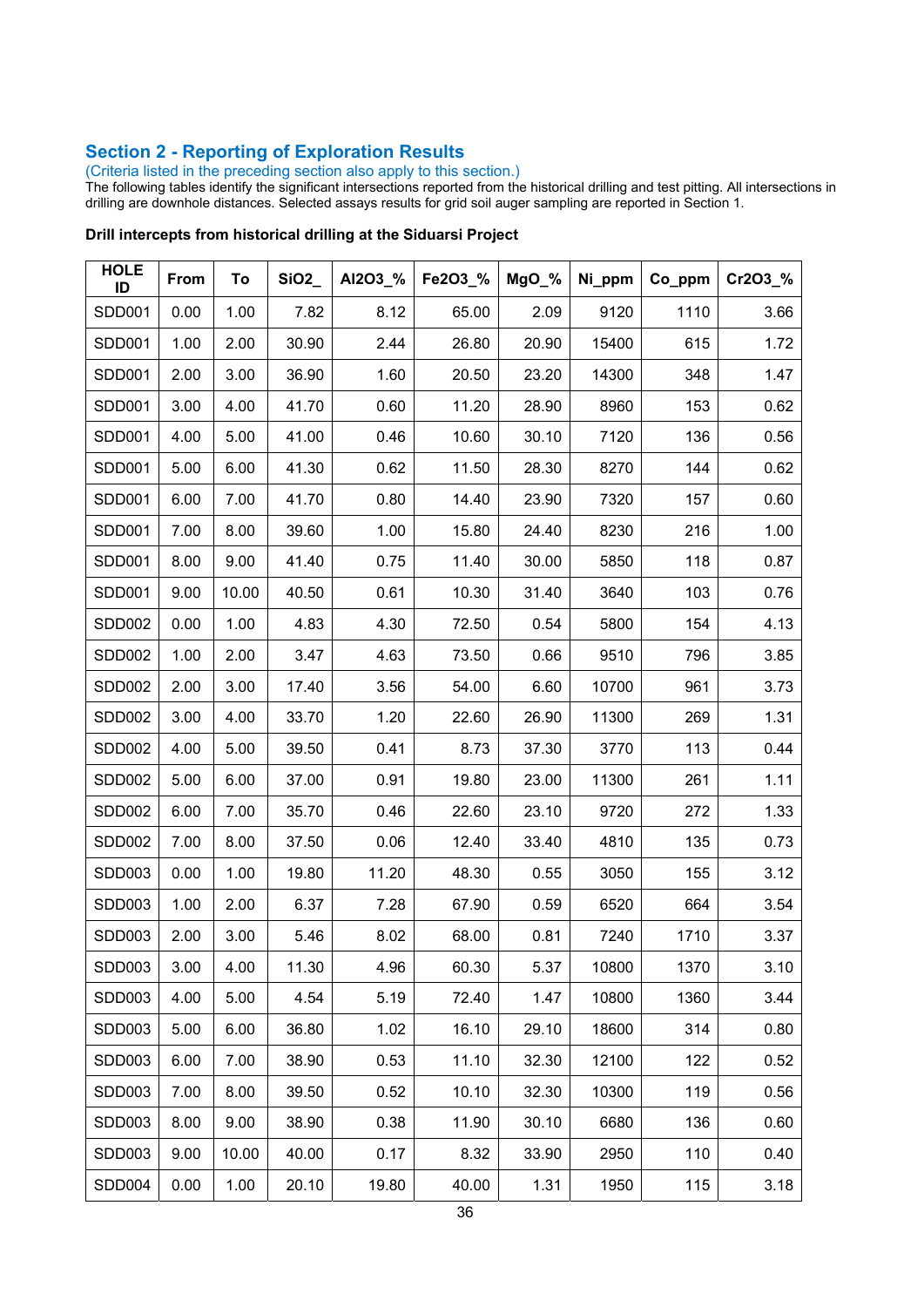### **Section 2 - Reporting of Exploration Results**

(Criteria listed in the preceding section also apply to this section.)

The following tables identify the significant intersections reported from the historical drilling and test pitting. All intersections in drilling are downhole distances. Selected assays results for grid soil auger sampling are reported in Section 1.

| <b>HOLE</b><br>ID | From | To    | SiO2  | AI2O3_% | Fe2O3_% | MgO_% | Ni_ppm | Co_ppm | Cr2O3_% |
|-------------------|------|-------|-------|---------|---------|-------|--------|--------|---------|
| <b>SDD001</b>     | 0.00 | 1.00  | 7.82  | 8.12    | 65.00   | 2.09  | 9120   | 1110   | 3.66    |
| SDD001            | 1.00 | 2.00  | 30.90 | 2.44    | 26.80   | 20.90 | 15400  | 615    | 1.72    |
| SDD001            | 2.00 | 3.00  | 36.90 | 1.60    | 20.50   | 23.20 | 14300  | 348    | 1.47    |
| SDD001            | 3.00 | 4.00  | 41.70 | 0.60    | 11.20   | 28.90 | 8960   | 153    | 0.62    |
| <b>SDD001</b>     | 4.00 | 5.00  | 41.00 | 0.46    | 10.60   | 30.10 | 7120   | 136    | 0.56    |
| SDD001            | 5.00 | 6.00  | 41.30 | 0.62    | 11.50   | 28.30 | 8270   | 144    | 0.62    |
| SDD001            | 6.00 | 7.00  | 41.70 | 0.80    | 14.40   | 23.90 | 7320   | 157    | 0.60    |
| SDD001            | 7.00 | 8.00  | 39.60 | 1.00    | 15.80   | 24.40 | 8230   | 216    | 1.00    |
| SDD001            | 8.00 | 9.00  | 41.40 | 0.75    | 11.40   | 30.00 | 5850   | 118    | 0.87    |
| SDD001            | 9.00 | 10.00 | 40.50 | 0.61    | 10.30   | 31.40 | 3640   | 103    | 0.76    |
| <b>SDD002</b>     | 0.00 | 1.00  | 4.83  | 4.30    | 72.50   | 0.54  | 5800   | 154    | 4.13    |
| <b>SDD002</b>     | 1.00 | 2.00  | 3.47  | 4.63    | 73.50   | 0.66  | 9510   | 796    | 3.85    |
| SDD002            | 2.00 | 3.00  | 17.40 | 3.56    | 54.00   | 6.60  | 10700  | 961    | 3.73    |
| SDD002            | 3.00 | 4.00  | 33.70 | 1.20    | 22.60   | 26.90 | 11300  | 269    | 1.31    |
| <b>SDD002</b>     | 4.00 | 5.00  | 39.50 | 0.41    | 8.73    | 37.30 | 3770   | 113    | 0.44    |
| SDD002            | 5.00 | 6.00  | 37.00 | 0.91    | 19.80   | 23.00 | 11300  | 261    | 1.11    |
| <b>SDD002</b>     | 6.00 | 7.00  | 35.70 | 0.46    | 22.60   | 23.10 | 9720   | 272    | 1.33    |
| <b>SDD002</b>     | 7.00 | 8.00  | 37.50 | 0.06    | 12.40   | 33.40 | 4810   | 135    | 0.73    |
| SDD003            | 0.00 | 1.00  | 19.80 | 11.20   | 48.30   | 0.55  | 3050   | 155    | 3.12    |
| <b>SDD003</b>     | 1.00 | 2.00  | 6.37  | 7.28    | 67.90   | 0.59  | 6520   | 664    | 3.54    |
| SDD003            | 2.00 | 3.00  | 5.46  | 8.02    | 68.00   | 0.81  | 7240   | 1710   | 3.37    |
| SDD003            | 3.00 | 4.00  | 11.30 | 4.96    | 60.30   | 5.37  | 10800  | 1370   | 3.10    |
| <b>SDD003</b>     | 4.00 | 5.00  | 4.54  | 5.19    | 72.40   | 1.47  | 10800  | 1360   | 3.44    |
| SDD003            | 5.00 | 6.00  | 36.80 | 1.02    | 16.10   | 29.10 | 18600  | 314    | 0.80    |
| SDD003            | 6.00 | 7.00  | 38.90 | 0.53    | 11.10   | 32.30 | 12100  | 122    | 0.52    |
| SDD003            | 7.00 | 8.00  | 39.50 | 0.52    | 10.10   | 32.30 | 10300  | 119    | 0.56    |
| SDD003            | 8.00 | 9.00  | 38.90 | 0.38    | 11.90   | 30.10 | 6680   | 136    | 0.60    |
| SDD003            | 9.00 | 10.00 | 40.00 | 0.17    | 8.32    | 33.90 | 2950   | 110    | 0.40    |
| <b>SDD004</b>     | 0.00 | 1.00  | 20.10 | 19.80   | 40.00   | 1.31  | 1950   | 115    | 3.18    |

#### **Drill intercepts from historical drilling at the Siduarsi Project**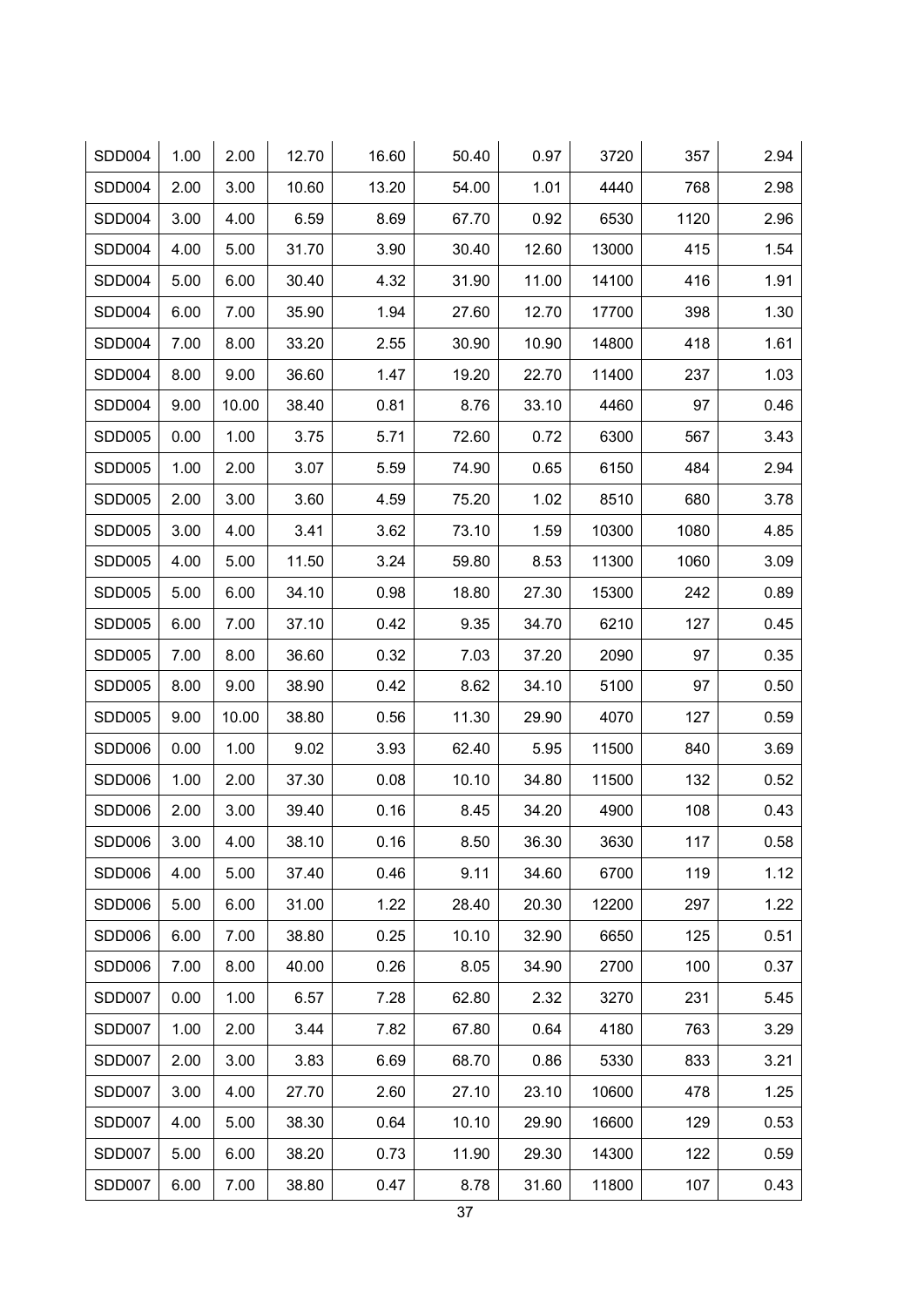| SDD004        | 1.00 | 2.00  | 12.70 | 16.60 | 50.40 | 0.97  | 3720  | 357  | 2.94 |
|---------------|------|-------|-------|-------|-------|-------|-------|------|------|
| <b>SDD004</b> | 2.00 | 3.00  | 10.60 | 13.20 | 54.00 | 1.01  | 4440  | 768  | 2.98 |
| SDD004        | 3.00 | 4.00  | 6.59  | 8.69  | 67.70 | 0.92  | 6530  | 1120 | 2.96 |
| SDD004        | 4.00 | 5.00  | 31.70 | 3.90  | 30.40 | 12.60 | 13000 | 415  | 1.54 |
| SDD004        | 5.00 | 6.00  | 30.40 | 4.32  | 31.90 | 11.00 | 14100 | 416  | 1.91 |
| SDD004        | 6.00 | 7.00  | 35.90 | 1.94  | 27.60 | 12.70 | 17700 | 398  | 1.30 |
| SDD004        | 7.00 | 8.00  | 33.20 | 2.55  | 30.90 | 10.90 | 14800 | 418  | 1.61 |
| SDD004        | 8.00 | 9.00  | 36.60 | 1.47  | 19.20 | 22.70 | 11400 | 237  | 1.03 |
| SDD004        | 9.00 | 10.00 | 38.40 | 0.81  | 8.76  | 33.10 | 4460  | 97   | 0.46 |
| <b>SDD005</b> | 0.00 | 1.00  | 3.75  | 5.71  | 72.60 | 0.72  | 6300  | 567  | 3.43 |
| SDD005        | 1.00 | 2.00  | 3.07  | 5.59  | 74.90 | 0.65  | 6150  | 484  | 2.94 |
| SDD005        | 2.00 | 3.00  | 3.60  | 4.59  | 75.20 | 1.02  | 8510  | 680  | 3.78 |
| <b>SDD005</b> | 3.00 | 4.00  | 3.41  | 3.62  | 73.10 | 1.59  | 10300 | 1080 | 4.85 |
| SDD005        | 4.00 | 5.00  | 11.50 | 3.24  | 59.80 | 8.53  | 11300 | 1060 | 3.09 |
| SDD005        | 5.00 | 6.00  | 34.10 | 0.98  | 18.80 | 27.30 | 15300 | 242  | 0.89 |
| <b>SDD005</b> | 6.00 | 7.00  | 37.10 | 0.42  | 9.35  | 34.70 | 6210  | 127  | 0.45 |
| SDD005        | 7.00 | 8.00  | 36.60 | 0.32  | 7.03  | 37.20 | 2090  | 97   | 0.35 |
| <b>SDD005</b> | 8.00 | 9.00  | 38.90 | 0.42  | 8.62  | 34.10 | 5100  | 97   | 0.50 |
| <b>SDD005</b> | 9.00 | 10.00 | 38.80 | 0.56  | 11.30 | 29.90 | 4070  | 127  | 0.59 |
| SDD006        | 0.00 | 1.00  | 9.02  | 3.93  | 62.40 | 5.95  | 11500 | 840  | 3.69 |
| SDD006        | 1.00 | 2.00  | 37.30 | 0.08  | 10.10 | 34.80 | 11500 | 132  | 0.52 |
| SDD006        | 2.00 | 3.00  | 39.40 | 0.16  | 8.45  | 34.20 | 4900  | 108  | 0.43 |
| SDD006        | 3.00 | 4.00  | 38.10 | 0.16  | 8.50  | 36.30 | 3630  | 117  | 0.58 |
| SDD006        | 4.00 | 5.00  | 37.40 | 0.46  | 9.11  | 34.60 | 6700  | 119  | 1.12 |
| SDD006        | 5.00 | 6.00  | 31.00 | 1.22  | 28.40 | 20.30 | 12200 | 297  | 1.22 |
| SDD006        | 6.00 | 7.00  | 38.80 | 0.25  | 10.10 | 32.90 | 6650  | 125  | 0.51 |
| SDD006        | 7.00 | 8.00  | 40.00 | 0.26  | 8.05  | 34.90 | 2700  | 100  | 0.37 |
| SDD007        | 0.00 | 1.00  | 6.57  | 7.28  | 62.80 | 2.32  | 3270  | 231  | 5.45 |
| SDD007        | 1.00 | 2.00  | 3.44  | 7.82  | 67.80 | 0.64  | 4180  | 763  | 3.29 |
| SDD007        | 2.00 | 3.00  | 3.83  | 6.69  | 68.70 | 0.86  | 5330  | 833  | 3.21 |
| SDD007        | 3.00 | 4.00  | 27.70 | 2.60  | 27.10 | 23.10 | 10600 | 478  | 1.25 |
| SDD007        | 4.00 | 5.00  | 38.30 | 0.64  | 10.10 | 29.90 | 16600 | 129  | 0.53 |
| SDD007        | 5.00 | 6.00  | 38.20 | 0.73  | 11.90 | 29.30 | 14300 | 122  | 0.59 |
| SDD007        | 6.00 | 7.00  | 38.80 | 0.47  | 8.78  | 31.60 | 11800 | 107  | 0.43 |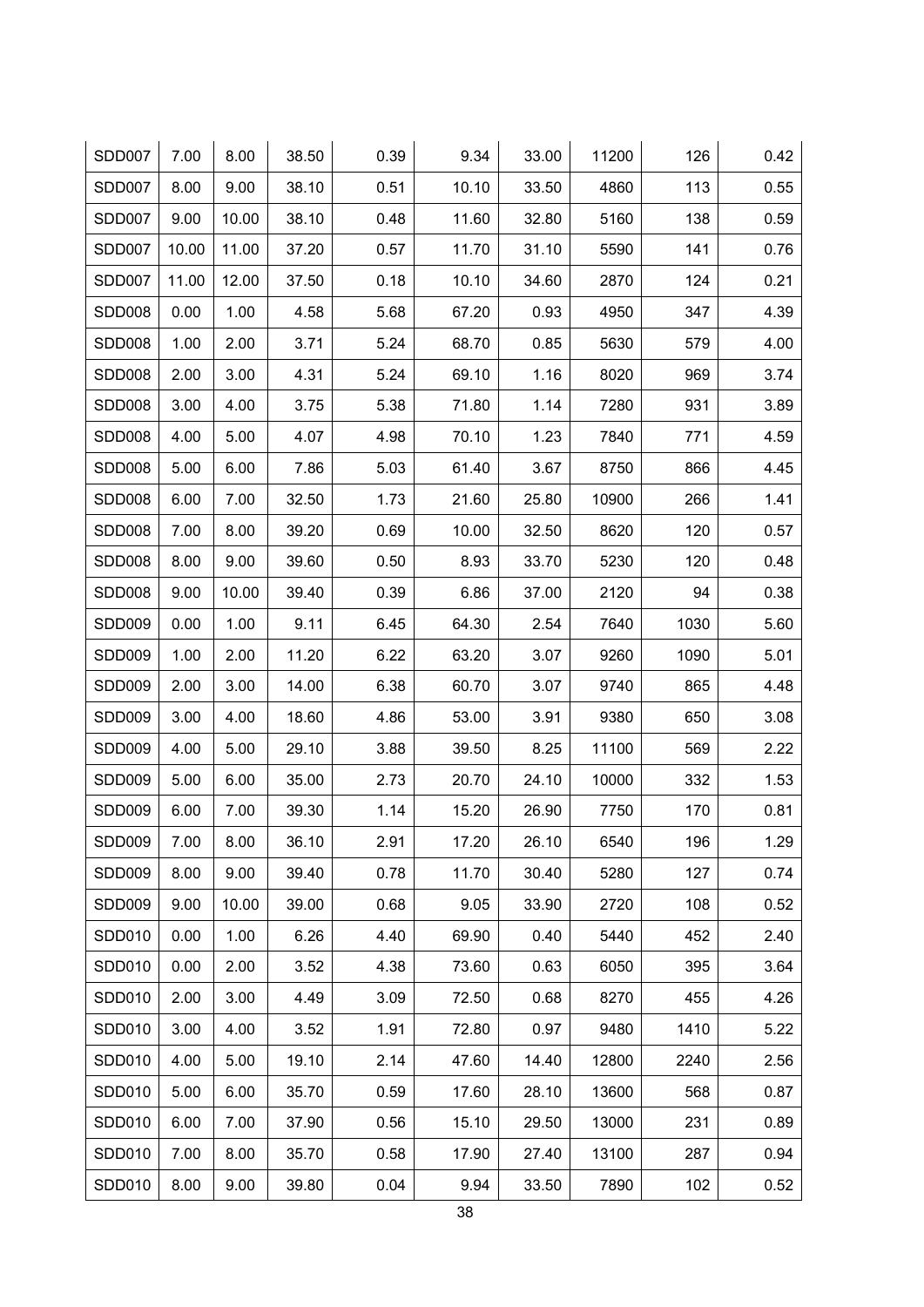| SDD007        | 7.00  | 8.00  | 38.50 | 0.39 | 9.34  | 33.00 | 11200 | 126  | 0.42 |
|---------------|-------|-------|-------|------|-------|-------|-------|------|------|
| SDD007        | 8.00  | 9.00  | 38.10 | 0.51 | 10.10 | 33.50 | 4860  | 113  | 0.55 |
| SDD007        | 9.00  | 10.00 | 38.10 | 0.48 | 11.60 | 32.80 | 5160  | 138  | 0.59 |
| SDD007        | 10.00 | 11.00 | 37.20 | 0.57 | 11.70 | 31.10 | 5590  | 141  | 0.76 |
| SDD007        | 11.00 | 12.00 | 37.50 | 0.18 | 10.10 | 34.60 | 2870  | 124  | 0.21 |
| <b>SDD008</b> | 0.00  | 1.00  | 4.58  | 5.68 | 67.20 | 0.93  | 4950  | 347  | 4.39 |
| <b>SDD008</b> | 1.00  | 2.00  | 3.71  | 5.24 | 68.70 | 0.85  | 5630  | 579  | 4.00 |
| SDD008        | 2.00  | 3.00  | 4.31  | 5.24 | 69.10 | 1.16  | 8020  | 969  | 3.74 |
| SDD008        | 3.00  | 4.00  | 3.75  | 5.38 | 71.80 | 1.14  | 7280  | 931  | 3.89 |
| <b>SDD008</b> | 4.00  | 5.00  | 4.07  | 4.98 | 70.10 | 1.23  | 7840  | 771  | 4.59 |
| SDD008        | 5.00  | 6.00  | 7.86  | 5.03 | 61.40 | 3.67  | 8750  | 866  | 4.45 |
| <b>SDD008</b> | 6.00  | 7.00  | 32.50 | 1.73 | 21.60 | 25.80 | 10900 | 266  | 1.41 |
| <b>SDD008</b> | 7.00  | 8.00  | 39.20 | 0.69 | 10.00 | 32.50 | 8620  | 120  | 0.57 |
| SDD008        | 8.00  | 9.00  | 39.60 | 0.50 | 8.93  | 33.70 | 5230  | 120  | 0.48 |
| SDD008        | 9.00  | 10.00 | 39.40 | 0.39 | 6.86  | 37.00 | 2120  | 94   | 0.38 |
| SDD009        | 0.00  | 1.00  | 9.11  | 6.45 | 64.30 | 2.54  | 7640  | 1030 | 5.60 |
| SDD009        | 1.00  | 2.00  | 11.20 | 6.22 | 63.20 | 3.07  | 9260  | 1090 | 5.01 |
| SDD009        | 2.00  | 3.00  | 14.00 | 6.38 | 60.70 | 3.07  | 9740  | 865  | 4.48 |
| SDD009        | 3.00  | 4.00  | 18.60 | 4.86 | 53.00 | 3.91  | 9380  | 650  | 3.08 |
| SDD009        | 4.00  | 5.00  | 29.10 | 3.88 | 39.50 | 8.25  | 11100 | 569  | 2.22 |
| SDD009        | 5.00  | 6.00  | 35.00 | 2.73 | 20.70 | 24.10 | 10000 | 332  | 1.53 |
| <b>SDD009</b> | 6.00  | 7.00  | 39.30 | 1.14 | 15.20 | 26.90 | 7750  | 170  | 0.81 |
| SDD009        | 7.00  | 8.00  | 36.10 | 2.91 | 17.20 | 26.10 | 6540  | 196  | 1.29 |
| SDD009        | 8.00  | 9.00  | 39.40 | 0.78 | 11.70 | 30.40 | 5280  | 127  | 0.74 |
| SDD009        | 9.00  | 10.00 | 39.00 | 0.68 | 9.05  | 33.90 | 2720  | 108  | 0.52 |
| SDD010        | 0.00  | 1.00  | 6.26  | 4.40 | 69.90 | 0.40  | 5440  | 452  | 2.40 |
| SDD010        | 0.00  | 2.00  | 3.52  | 4.38 | 73.60 | 0.63  | 6050  | 395  | 3.64 |
| SDD010        | 2.00  | 3.00  | 4.49  | 3.09 | 72.50 | 0.68  | 8270  | 455  | 4.26 |
| SDD010        | 3.00  | 4.00  | 3.52  | 1.91 | 72.80 | 0.97  | 9480  | 1410 | 5.22 |
| SDD010        | 4.00  | 5.00  | 19.10 | 2.14 | 47.60 | 14.40 | 12800 | 2240 | 2.56 |
| SDD010        | 5.00  | 6.00  | 35.70 | 0.59 | 17.60 | 28.10 | 13600 | 568  | 0.87 |
| SDD010        | 6.00  | 7.00  | 37.90 | 0.56 | 15.10 | 29.50 | 13000 | 231  | 0.89 |
| SDD010        | 7.00  | 8.00  | 35.70 | 0.58 | 17.90 | 27.40 | 13100 | 287  | 0.94 |
| SDD010        | 8.00  | 9.00  | 39.80 | 0.04 | 9.94  | 33.50 | 7890  | 102  | 0.52 |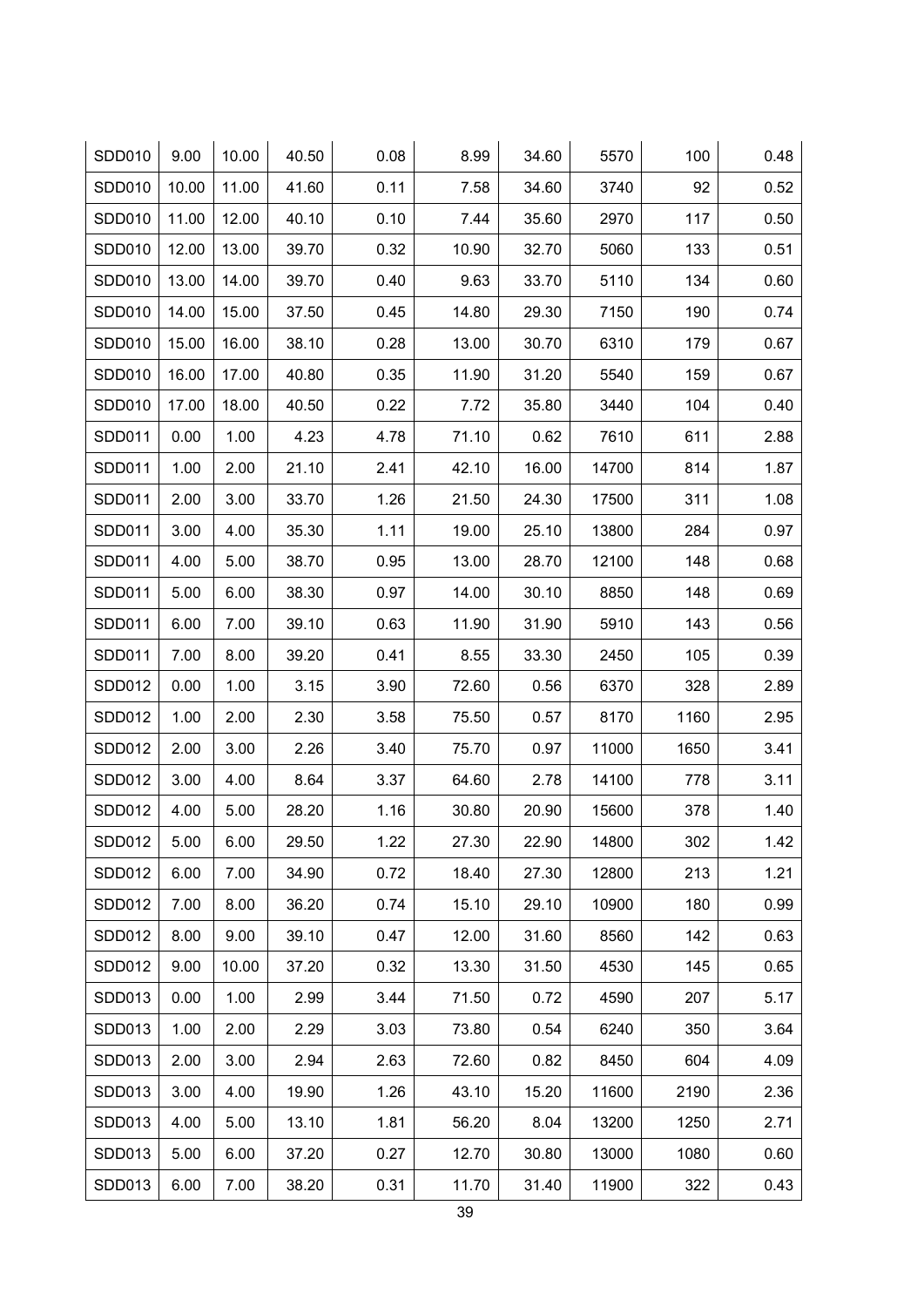| SDD010 | 9.00  | 10.00 | 40.50 | 0.08 | 8.99  | 34.60 | 5570  | 100  | 0.48 |
|--------|-------|-------|-------|------|-------|-------|-------|------|------|
| SDD010 | 10.00 | 11.00 | 41.60 | 0.11 | 7.58  | 34.60 | 3740  | 92   | 0.52 |
| SDD010 | 11.00 | 12.00 | 40.10 | 0.10 | 7.44  | 35.60 | 2970  | 117  | 0.50 |
| SDD010 | 12.00 | 13.00 | 39.70 | 0.32 | 10.90 | 32.70 | 5060  | 133  | 0.51 |
| SDD010 | 13.00 | 14.00 | 39.70 | 0.40 | 9.63  | 33.70 | 5110  | 134  | 0.60 |
| SDD010 | 14.00 | 15.00 | 37.50 | 0.45 | 14.80 | 29.30 | 7150  | 190  | 0.74 |
| SDD010 | 15.00 | 16.00 | 38.10 | 0.28 | 13.00 | 30.70 | 6310  | 179  | 0.67 |
| SDD010 | 16.00 | 17.00 | 40.80 | 0.35 | 11.90 | 31.20 | 5540  | 159  | 0.67 |
| SDD010 | 17.00 | 18.00 | 40.50 | 0.22 | 7.72  | 35.80 | 3440  | 104  | 0.40 |
| SDD011 | 0.00  | 1.00  | 4.23  | 4.78 | 71.10 | 0.62  | 7610  | 611  | 2.88 |
| SDD011 | 1.00  | 2.00  | 21.10 | 2.41 | 42.10 | 16.00 | 14700 | 814  | 1.87 |
| SDD011 | 2.00  | 3.00  | 33.70 | 1.26 | 21.50 | 24.30 | 17500 | 311  | 1.08 |
| SDD011 | 3.00  | 4.00  | 35.30 | 1.11 | 19.00 | 25.10 | 13800 | 284  | 0.97 |
| SDD011 | 4.00  | 5.00  | 38.70 | 0.95 | 13.00 | 28.70 | 12100 | 148  | 0.68 |
| SDD011 | 5.00  | 6.00  | 38.30 | 0.97 | 14.00 | 30.10 | 8850  | 148  | 0.69 |
| SDD011 | 6.00  | 7.00  | 39.10 | 0.63 | 11.90 | 31.90 | 5910  | 143  | 0.56 |
| SDD011 | 7.00  | 8.00  | 39.20 | 0.41 | 8.55  | 33.30 | 2450  | 105  | 0.39 |
| SDD012 | 0.00  | 1.00  | 3.15  | 3.90 | 72.60 | 0.56  | 6370  | 328  | 2.89 |
| SDD012 | 1.00  | 2.00  | 2.30  | 3.58 | 75.50 | 0.57  | 8170  | 1160 | 2.95 |
| SDD012 | 2.00  | 3.00  | 2.26  | 3.40 | 75.70 | 0.97  | 11000 | 1650 | 3.41 |
| SDD012 | 3.00  | 4.00  | 8.64  | 3.37 | 64.60 | 2.78  | 14100 | 778  | 3.11 |
| SDD012 | 4.00  | 5.00  | 28.20 | 1.16 | 30.80 | 20.90 | 15600 | 378  | 1.40 |
| SDD012 | 5.00  | 6.00  | 29.50 | 1.22 | 27.30 | 22.90 | 14800 | 302  | 1.42 |
| SDD012 | 6.00  | 7.00  | 34.90 | 0.72 | 18.40 | 27.30 | 12800 | 213  | 1.21 |
| SDD012 | 7.00  | 8.00  | 36.20 | 0.74 | 15.10 | 29.10 | 10900 | 180  | 0.99 |
| SDD012 | 8.00  | 9.00  | 39.10 | 0.47 | 12.00 | 31.60 | 8560  | 142  | 0.63 |
| SDD012 | 9.00  | 10.00 | 37.20 | 0.32 | 13.30 | 31.50 | 4530  | 145  | 0.65 |
| SDD013 | 0.00  | 1.00  | 2.99  | 3.44 | 71.50 | 0.72  | 4590  | 207  | 5.17 |
| SDD013 | 1.00  | 2.00  | 2.29  | 3.03 | 73.80 | 0.54  | 6240  | 350  | 3.64 |
| SDD013 | 2.00  | 3.00  | 2.94  | 2.63 | 72.60 | 0.82  | 8450  | 604  | 4.09 |
| SDD013 | 3.00  | 4.00  | 19.90 | 1.26 | 43.10 | 15.20 | 11600 | 2190 | 2.36 |
| SDD013 | 4.00  | 5.00  | 13.10 | 1.81 | 56.20 | 8.04  | 13200 | 1250 | 2.71 |
| SDD013 | 5.00  | 6.00  | 37.20 | 0.27 | 12.70 | 30.80 | 13000 | 1080 | 0.60 |
| SDD013 | 6.00  | 7.00  | 38.20 | 0.31 | 11.70 | 31.40 | 11900 | 322  | 0.43 |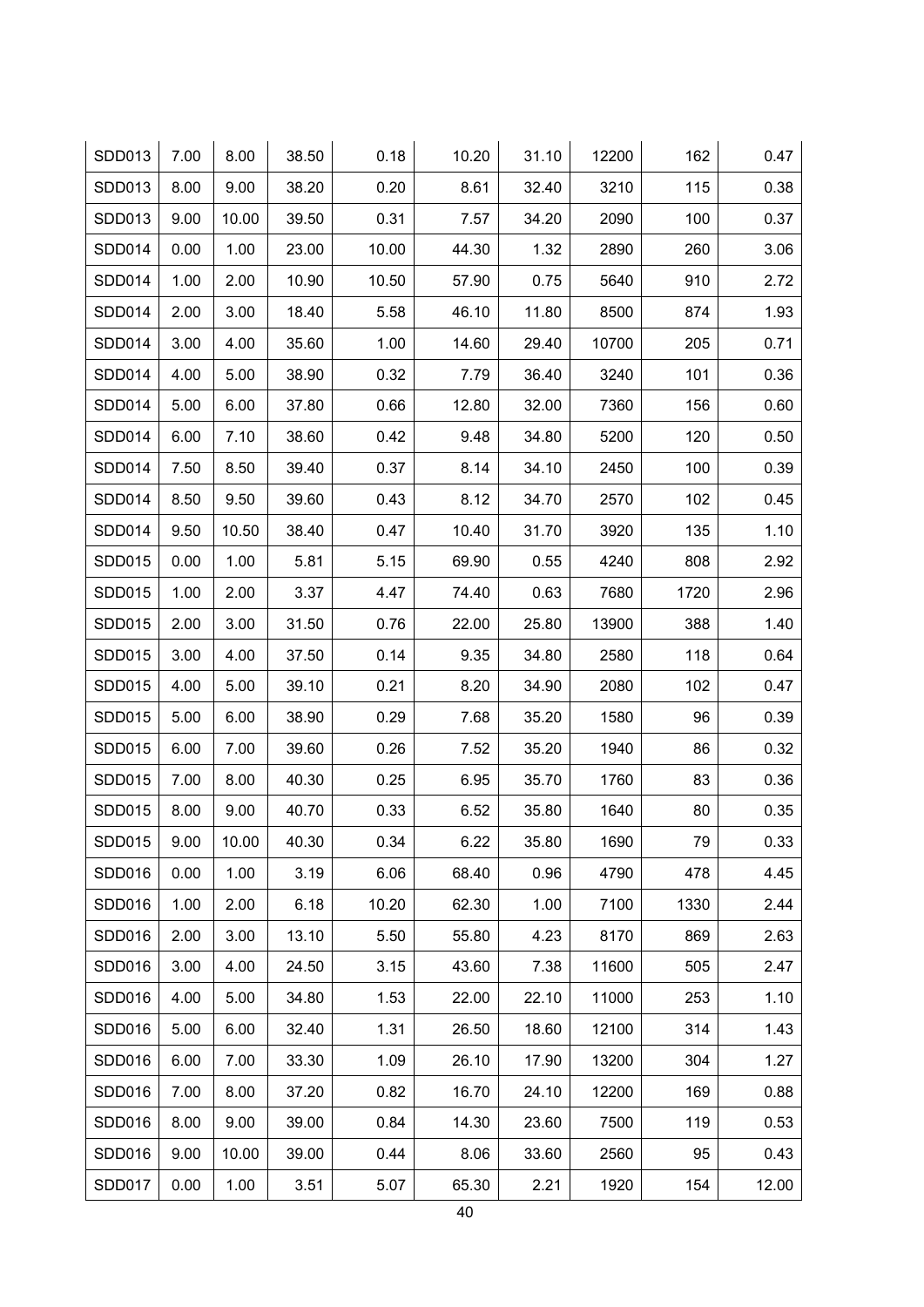| SDD013        | 7.00 | 8.00  | 38.50 | 0.18  | 10.20 | 31.10 | 12200 | 162  | 0.47  |
|---------------|------|-------|-------|-------|-------|-------|-------|------|-------|
| SDD013        | 8.00 | 9.00  | 38.20 | 0.20  | 8.61  | 32.40 | 3210  | 115  | 0.38  |
| SDD013        | 9.00 | 10.00 | 39.50 | 0.31  | 7.57  | 34.20 | 2090  | 100  | 0.37  |
| SDD014        | 0.00 | 1.00  | 23.00 | 10.00 | 44.30 | 1.32  | 2890  | 260  | 3.06  |
| SDD014        | 1.00 | 2.00  | 10.90 | 10.50 | 57.90 | 0.75  | 5640  | 910  | 2.72  |
| <b>SDD014</b> | 2.00 | 3.00  | 18.40 | 5.58  | 46.10 | 11.80 | 8500  | 874  | 1.93  |
| SDD014        | 3.00 | 4.00  | 35.60 | 1.00  | 14.60 | 29.40 | 10700 | 205  | 0.71  |
| SDD014        | 4.00 | 5.00  | 38.90 | 0.32  | 7.79  | 36.40 | 3240  | 101  | 0.36  |
| SDD014        | 5.00 | 6.00  | 37.80 | 0.66  | 12.80 | 32.00 | 7360  | 156  | 0.60  |
| SDD014        | 6.00 | 7.10  | 38.60 | 0.42  | 9.48  | 34.80 | 5200  | 120  | 0.50  |
| SDD014        | 7.50 | 8.50  | 39.40 | 0.37  | 8.14  | 34.10 | 2450  | 100  | 0.39  |
| <b>SDD014</b> | 8.50 | 9.50  | 39.60 | 0.43  | 8.12  | 34.70 | 2570  | 102  | 0.45  |
| SDD014        | 9.50 | 10.50 | 38.40 | 0.47  | 10.40 | 31.70 | 3920  | 135  | 1.10  |
| SDD015        | 0.00 | 1.00  | 5.81  | 5.15  | 69.90 | 0.55  | 4240  | 808  | 2.92  |
| SDD015        | 1.00 | 2.00  | 3.37  | 4.47  | 74.40 | 0.63  | 7680  | 1720 | 2.96  |
| <b>SDD015</b> | 2.00 | 3.00  | 31.50 | 0.76  | 22.00 | 25.80 | 13900 | 388  | 1.40  |
| SDD015        | 3.00 | 4.00  | 37.50 | 0.14  | 9.35  | 34.80 | 2580  | 118  | 0.64  |
| SDD015        | 4.00 | 5.00  | 39.10 | 0.21  | 8.20  | 34.90 | 2080  | 102  | 0.47  |
| <b>SDD015</b> | 5.00 | 6.00  | 38.90 | 0.29  | 7.68  | 35.20 | 1580  | 96   | 0.39  |
| SDD015        | 6.00 | 7.00  | 39.60 | 0.26  | 7.52  | 35.20 | 1940  | 86   | 0.32  |
| <b>SDD015</b> | 7.00 | 8.00  | 40.30 | 0.25  | 6.95  | 35.70 | 1760  | 83   | 0.36  |
| <b>SDD015</b> | 8.00 | 9.00  | 40.70 | 0.33  | 6.52  | 35.80 | 1640  | 80   | 0.35  |
| SDD015        | 9.00 | 10.00 | 40.30 | 0.34  | 6.22  | 35.80 | 1690  | 79   | 0.33  |
| SDD016        | 0.00 | 1.00  | 3.19  | 6.06  | 68.40 | 0.96  | 4790  | 478  | 4.45  |
| SDD016        | 1.00 | 2.00  | 6.18  | 10.20 | 62.30 | 1.00  | 7100  | 1330 | 2.44  |
| SDD016        | 2.00 | 3.00  | 13.10 | 5.50  | 55.80 | 4.23  | 8170  | 869  | 2.63  |
| SDD016        | 3.00 | 4.00  | 24.50 | 3.15  | 43.60 | 7.38  | 11600 | 505  | 2.47  |
| SDD016        | 4.00 | 5.00  | 34.80 | 1.53  | 22.00 | 22.10 | 11000 | 253  | 1.10  |
| SDD016        | 5.00 | 6.00  | 32.40 | 1.31  | 26.50 | 18.60 | 12100 | 314  | 1.43  |
| SDD016        | 6.00 | 7.00  | 33.30 | 1.09  | 26.10 | 17.90 | 13200 | 304  | 1.27  |
| SDD016        | 7.00 | 8.00  | 37.20 | 0.82  | 16.70 | 24.10 | 12200 | 169  | 0.88  |
| SDD016        | 8.00 | 9.00  | 39.00 | 0.84  | 14.30 | 23.60 | 7500  | 119  | 0.53  |
| SDD016        | 9.00 | 10.00 | 39.00 | 0.44  | 8.06  | 33.60 | 2560  | 95   | 0.43  |
| SDD017        | 0.00 | 1.00  | 3.51  | 5.07  | 65.30 | 2.21  | 1920  | 154  | 12.00 |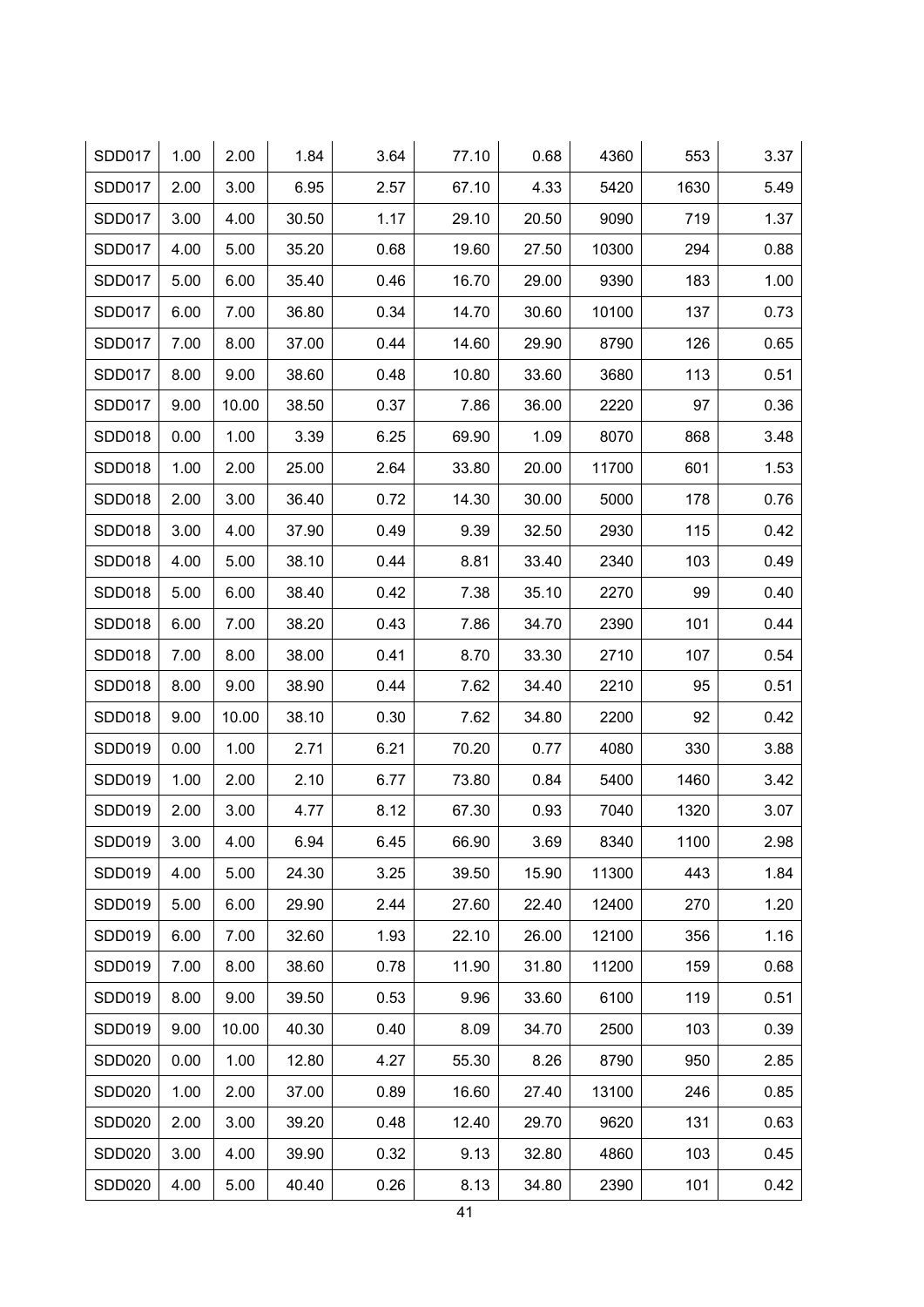| <b>SDD017</b> | 1.00 | 2.00  | 1.84  | 3.64 | 77.10 | 0.68  | 4360  | 553  | 3.37 |
|---------------|------|-------|-------|------|-------|-------|-------|------|------|
| <b>SDD017</b> | 2.00 | 3.00  | 6.95  | 2.57 | 67.10 | 4.33  | 5420  | 1630 | 5.49 |
| SDD017        | 3.00 | 4.00  | 30.50 | 1.17 | 29.10 | 20.50 | 9090  | 719  | 1.37 |
| SDD017        | 4.00 | 5.00  | 35.20 | 0.68 | 19.60 | 27.50 | 10300 | 294  | 0.88 |
| SDD017        | 5.00 | 6.00  | 35.40 | 0.46 | 16.70 | 29.00 | 9390  | 183  | 1.00 |
| SDD017        | 6.00 | 7.00  | 36.80 | 0.34 | 14.70 | 30.60 | 10100 | 137  | 0.73 |
| SDD017        | 7.00 | 8.00  | 37.00 | 0.44 | 14.60 | 29.90 | 8790  | 126  | 0.65 |
| SDD017        | 8.00 | 9.00  | 38.60 | 0.48 | 10.80 | 33.60 | 3680  | 113  | 0.51 |
| SDD017        | 9.00 | 10.00 | 38.50 | 0.37 | 7.86  | 36.00 | 2220  | 97   | 0.36 |
| <b>SDD018</b> | 0.00 | 1.00  | 3.39  | 6.25 | 69.90 | 1.09  | 8070  | 868  | 3.48 |
| SDD018        | 1.00 | 2.00  | 25.00 | 2.64 | 33.80 | 20.00 | 11700 | 601  | 1.53 |
| <b>SDD018</b> | 2.00 | 3.00  | 36.40 | 0.72 | 14.30 | 30.00 | 5000  | 178  | 0.76 |
| <b>SDD018</b> | 3.00 | 4.00  | 37.90 | 0.49 | 9.39  | 32.50 | 2930  | 115  | 0.42 |
| SDD018        | 4.00 | 5.00  | 38.10 | 0.44 | 8.81  | 33.40 | 2340  | 103  | 0.49 |
| SDD018        | 5.00 | 6.00  | 38.40 | 0.42 | 7.38  | 35.10 | 2270  | 99   | 0.40 |
| SDD018        | 6.00 | 7.00  | 38.20 | 0.43 | 7.86  | 34.70 | 2390  | 101  | 0.44 |
| SDD018        | 7.00 | 8.00  | 38.00 | 0.41 | 8.70  | 33.30 | 2710  | 107  | 0.54 |
| SDD018        | 8.00 | 9.00  | 38.90 | 0.44 | 7.62  | 34.40 | 2210  | 95   | 0.51 |
| SDD018        | 9.00 | 10.00 | 38.10 | 0.30 | 7.62  | 34.80 | 2200  | 92   | 0.42 |
| SDD019        | 0.00 | 1.00  | 2.71  | 6.21 | 70.20 | 0.77  | 4080  | 330  | 3.88 |
| SDD019        | 1.00 | 2.00  | 2.10  | 6.77 | 73.80 | 0.84  | 5400  | 1460 | 3.42 |
| <b>SDD019</b> | 2.00 | 3.00  | 4.77  | 8.12 | 67.30 | 0.93  | 7040  | 1320 | 3.07 |
| SDD019        | 3.00 | 4.00  | 6.94  | 6.45 | 66.90 | 3.69  | 8340  | 1100 | 2.98 |
| SDD019        | 4.00 | 5.00  | 24.30 | 3.25 | 39.50 | 15.90 | 11300 | 443  | 1.84 |
| SDD019        | 5.00 | 6.00  | 29.90 | 2.44 | 27.60 | 22.40 | 12400 | 270  | 1.20 |
| SDD019        | 6.00 | 7.00  | 32.60 | 1.93 | 22.10 | 26.00 | 12100 | 356  | 1.16 |
| SDD019        | 7.00 | 8.00  | 38.60 | 0.78 | 11.90 | 31.80 | 11200 | 159  | 0.68 |
| SDD019        | 8.00 | 9.00  | 39.50 | 0.53 | 9.96  | 33.60 | 6100  | 119  | 0.51 |
| SDD019        | 9.00 | 10.00 | 40.30 | 0.40 | 8.09  | 34.70 | 2500  | 103  | 0.39 |
| <b>SDD020</b> | 0.00 | 1.00  | 12.80 | 4.27 | 55.30 | 8.26  | 8790  | 950  | 2.85 |
| SDD020        | 1.00 | 2.00  | 37.00 | 0.89 | 16.60 | 27.40 | 13100 | 246  | 0.85 |
| <b>SDD020</b> | 2.00 | 3.00  | 39.20 | 0.48 | 12.40 | 29.70 | 9620  | 131  | 0.63 |
| <b>SDD020</b> | 3.00 | 4.00  | 39.90 | 0.32 | 9.13  | 32.80 | 4860  | 103  | 0.45 |
| <b>SDD020</b> | 4.00 | 5.00  | 40.40 | 0.26 | 8.13  | 34.80 | 2390  | 101  | 0.42 |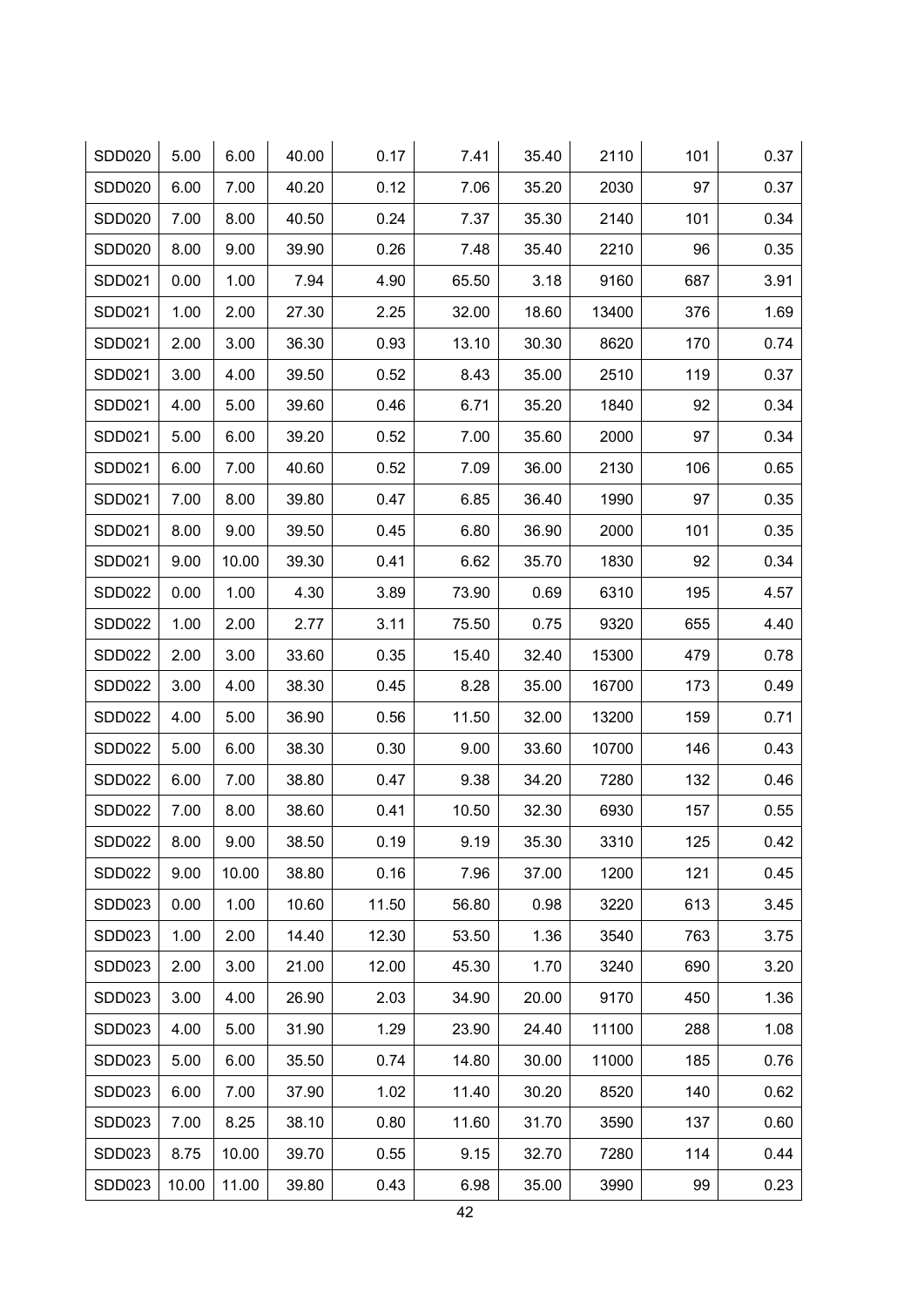| <b>SDD020</b> | 5.00  | 6.00  | 40.00 | 0.17  | 7.41  | 35.40 | 2110  | 101 | 0.37 |
|---------------|-------|-------|-------|-------|-------|-------|-------|-----|------|
| <b>SDD020</b> | 6.00  | 7.00  | 40.20 | 0.12  | 7.06  | 35.20 | 2030  | 97  | 0.37 |
| <b>SDD020</b> | 7.00  | 8.00  | 40.50 | 0.24  | 7.37  | 35.30 | 2140  | 101 | 0.34 |
| <b>SDD020</b> | 8.00  | 9.00  | 39.90 | 0.26  | 7.48  | 35.40 | 2210  | 96  | 0.35 |
| SDD021        | 0.00  | 1.00  | 7.94  | 4.90  | 65.50 | 3.18  | 9160  | 687 | 3.91 |
| SDD021        | 1.00  | 2.00  | 27.30 | 2.25  | 32.00 | 18.60 | 13400 | 376 | 1.69 |
| SDD021        | 2.00  | 3.00  | 36.30 | 0.93  | 13.10 | 30.30 | 8620  | 170 | 0.74 |
| SDD021        | 3.00  | 4.00  | 39.50 | 0.52  | 8.43  | 35.00 | 2510  | 119 | 0.37 |
| SDD021        | 4.00  | 5.00  | 39.60 | 0.46  | 6.71  | 35.20 | 1840  | 92  | 0.34 |
| SDD021        | 5.00  | 6.00  | 39.20 | 0.52  | 7.00  | 35.60 | 2000  | 97  | 0.34 |
| <b>SDD021</b> | 6.00  | 7.00  | 40.60 | 0.52  | 7.09  | 36.00 | 2130  | 106 | 0.65 |
| SDD021        | 7.00  | 8.00  | 39.80 | 0.47  | 6.85  | 36.40 | 1990  | 97  | 0.35 |
| SDD021        | 8.00  | 9.00  | 39.50 | 0.45  | 6.80  | 36.90 | 2000  | 101 | 0.35 |
| SDD021        | 9.00  | 10.00 | 39.30 | 0.41  | 6.62  | 35.70 | 1830  | 92  | 0.34 |
| <b>SDD022</b> | 0.00  | 1.00  | 4.30  | 3.89  | 73.90 | 0.69  | 6310  | 195 | 4.57 |
| <b>SDD022</b> | 1.00  | 2.00  | 2.77  | 3.11  | 75.50 | 0.75  | 9320  | 655 | 4.40 |
| <b>SDD022</b> | 2.00  | 3.00  | 33.60 | 0.35  | 15.40 | 32.40 | 15300 | 479 | 0.78 |
| <b>SDD022</b> | 3.00  | 4.00  | 38.30 | 0.45  | 8.28  | 35.00 | 16700 | 173 | 0.49 |
| <b>SDD022</b> | 4.00  | 5.00  | 36.90 | 0.56  | 11.50 | 32.00 | 13200 | 159 | 0.71 |
| <b>SDD022</b> | 5.00  | 6.00  | 38.30 | 0.30  | 9.00  | 33.60 | 10700 | 146 | 0.43 |
| <b>SDD022</b> | 6.00  | 7.00  | 38.80 | 0.47  | 9.38  | 34.20 | 7280  | 132 | 0.46 |
| <b>SDD022</b> | 7.00  | 8.00  | 38.60 | 0.41  | 10.50 | 32.30 | 6930  | 157 | 0.55 |
| SDD022        | 8.00  | 9.00  | 38.50 | 0.19  | 9.19  | 35.30 | 3310  | 125 | 0.42 |
| <b>SDD022</b> | 9.00  | 10.00 | 38.80 | 0.16  | 7.96  | 37.00 | 1200  | 121 | 0.45 |
| SDD023        | 0.00  | 1.00  | 10.60 | 11.50 | 56.80 | 0.98  | 3220  | 613 | 3.45 |
| SDD023        | 1.00  | 2.00  | 14.40 | 12.30 | 53.50 | 1.36  | 3540  | 763 | 3.75 |
| SDD023        | 2.00  | 3.00  | 21.00 | 12.00 | 45.30 | 1.70  | 3240  | 690 | 3.20 |
| SDD023        | 3.00  | 4.00  | 26.90 | 2.03  | 34.90 | 20.00 | 9170  | 450 | 1.36 |
| <b>SDD023</b> | 4.00  | 5.00  | 31.90 | 1.29  | 23.90 | 24.40 | 11100 | 288 | 1.08 |
| SDD023        | 5.00  | 6.00  | 35.50 | 0.74  | 14.80 | 30.00 | 11000 | 185 | 0.76 |
| SDD023        | 6.00  | 7.00  | 37.90 | 1.02  | 11.40 | 30.20 | 8520  | 140 | 0.62 |
| SDD023        | 7.00  | 8.25  | 38.10 | 0.80  | 11.60 | 31.70 | 3590  | 137 | 0.60 |
| SDD023        | 8.75  | 10.00 | 39.70 | 0.55  | 9.15  | 32.70 | 7280  | 114 | 0.44 |
| SDD023        | 10.00 | 11.00 | 39.80 | 0.43  | 6.98  | 35.00 | 3990  | 99  | 0.23 |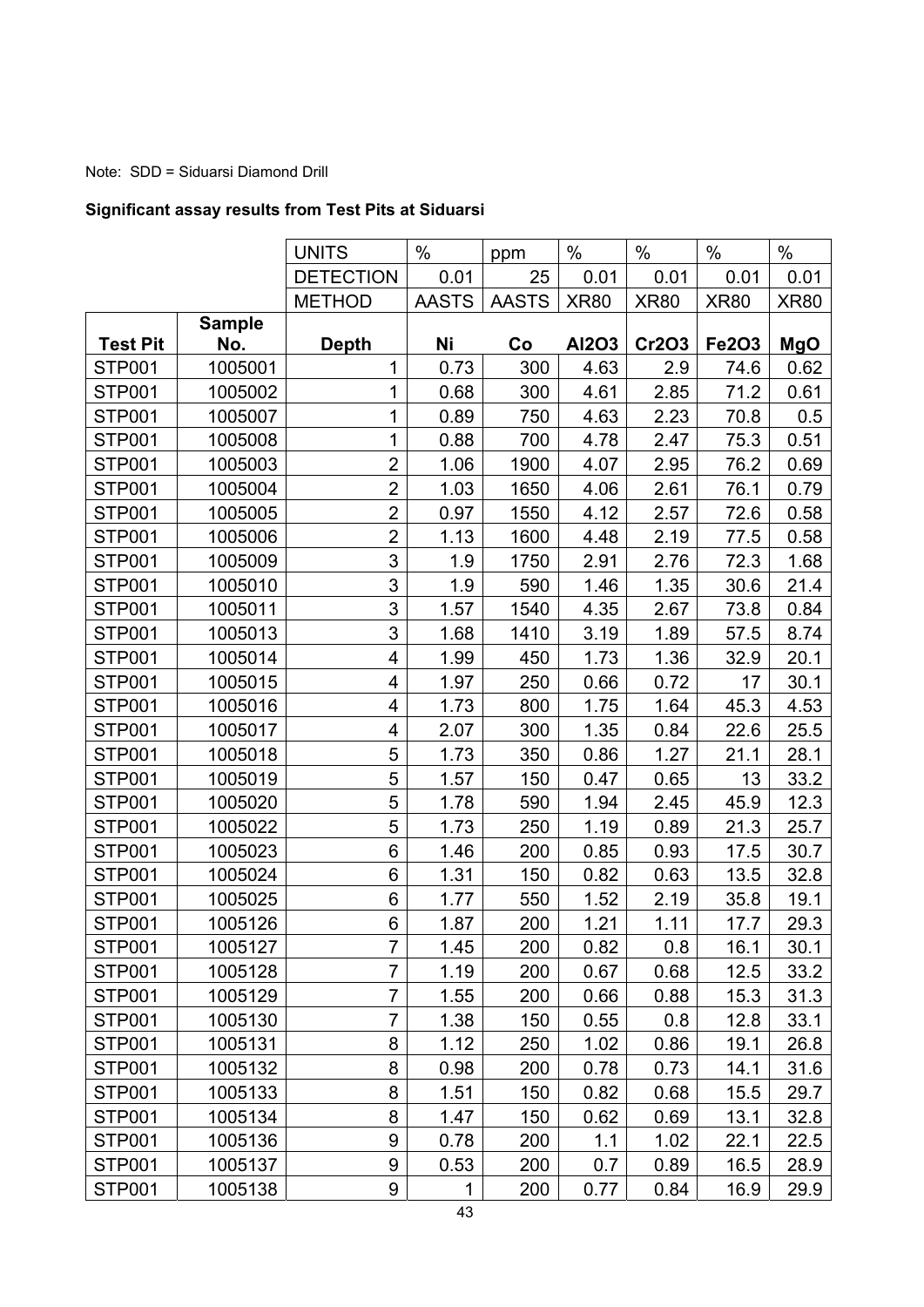# Note: SDD = Siduarsi Diamond Drill

# **Significant assay results from Test Pits at Siduarsi**

|                 |               | <b>UNITS</b>     | $\frac{0}{0}$ | ppm          | $\frac{0}{0}$ | $\frac{0}{0}$ | $\frac{0}{0}$ | $\%$        |
|-----------------|---------------|------------------|---------------|--------------|---------------|---------------|---------------|-------------|
|                 |               | <b>DETECTION</b> | 0.01          | 25           | 0.01          | 0.01          | 0.01          | 0.01        |
|                 |               | <b>METHOD</b>    | <b>AASTS</b>  | <b>AASTS</b> | <b>XR80</b>   | <b>XR80</b>   | <b>XR80</b>   | <b>XR80</b> |
|                 | <b>Sample</b> |                  |               |              |               |               |               |             |
| <b>Test Pit</b> | No.           | <b>Depth</b>     | Ni            | Co           | Al2O3         | <b>Cr2O3</b>  | <b>Fe2O3</b>  | <b>MgO</b>  |
| <b>STP001</b>   | 1005001       | $\mathbf{1}$     | 0.73          | 300          | 4.63          | 2.9           | 74.6          | 0.62        |
| <b>STP001</b>   | 1005002       | $\mathbf{1}$     | 0.68          | 300          | 4.61          | 2.85          | 71.2          | 0.61        |
| STP001          | 1005007       | 1                | 0.89          | 750          | 4.63          | 2.23          | 70.8          | 0.5         |
| STP001          | 1005008       | 1                | 0.88          | 700          | 4.78          | 2.47          | 75.3          | 0.51        |
| STP001          | 1005003       | $\overline{2}$   | 1.06          | 1900         | 4.07          | 2.95          | 76.2          | 0.69        |
| STP001          | 1005004       | $\overline{2}$   | 1.03          | 1650         | 4.06          | 2.61          | 76.1          | 0.79        |
| <b>STP001</b>   | 1005005       | $\overline{2}$   | 0.97          | 1550         | 4.12          | 2.57          | 72.6          | 0.58        |
| <b>STP001</b>   | 1005006       | $\overline{2}$   | 1.13          | 1600         | 4.48          | 2.19          | 77.5          | 0.58        |
| <b>STP001</b>   | 1005009       | 3                | 1.9           | 1750         | 2.91          | 2.76          | 72.3          | 1.68        |
| STP001          | 1005010       | 3                | 1.9           | 590          | 1.46          | 1.35          | 30.6          | 21.4        |
| <b>STP001</b>   | 1005011       | 3                | 1.57          | 1540         | 4.35          | 2.67          | 73.8          | 0.84        |
| <b>STP001</b>   | 1005013       | 3                | 1.68          | 1410         | 3.19          | 1.89          | 57.5          | 8.74        |
| STP001          | 1005014       | 4                | 1.99          | 450          | 1.73          | 1.36          | 32.9          | 20.1        |
| <b>STP001</b>   | 1005015       | 4                | 1.97          | 250          | 0.66          | 0.72          | 17            | 30.1        |
| <b>STP001</b>   | 1005016       | 4                | 1.73          | 800          | 1.75          | 1.64          | 45.3          | 4.53        |
| STP001          | 1005017       | 4                | 2.07          | 300          | 1.35          | 0.84          | 22.6          | 25.5        |
| <b>STP001</b>   | 1005018       | 5                | 1.73          | 350          | 0.86          | 1.27          | 21.1          | 28.1        |
| STP001          | 1005019       | 5                | 1.57          | 150          | 0.47          | 0.65          | 13            | 33.2        |
| <b>STP001</b>   | 1005020       | 5                | 1.78          | 590          | 1.94          | 2.45          | 45.9          | 12.3        |
| STP001          | 1005022       | 5                | 1.73          | 250          | 1.19          | 0.89          | 21.3          | 25.7        |
| <b>STP001</b>   | 1005023       | 6                | 1.46          | 200          | 0.85          | 0.93          | 17.5          | 30.7        |
| <b>STP001</b>   | 1005024       | 6                | 1.31          | 150          | 0.82          | 0.63          | 13.5          | 32.8        |
| <b>STP001</b>   | 1005025       | 6                | 1.77          | 550          | 1.52          | 2.19          | 35.8          | 19.1        |
| <b>STP001</b>   | 1005126       | 6                | 1.87          | 200          | 1.21          | 1.11          | 17.7          | 29.3        |
| STP001          | 1005127       | 7                | 1.45          | 200          | 0.82          | 0.8           | 16.1          | 30.1        |
| STP001          | 1005128       | 7                | 1.19          | 200          | 0.67          | 0.68          | 12.5          | 33.2        |
| <b>STP001</b>   | 1005129       | $\overline{7}$   | 1.55          | 200          | 0.66          | 0.88          | 15.3          | 31.3        |
| STP001          | 1005130       | $\overline{7}$   | 1.38          | 150          | 0.55          | 0.8           | 12.8          | 33.1        |
| <b>STP001</b>   | 1005131       | 8                | 1.12          | 250          | 1.02          | 0.86          | 19.1          | 26.8        |
| STP001          | 1005132       | 8                | 0.98          | 200          | 0.78          | 0.73          | 14.1          | 31.6        |
| <b>STP001</b>   | 1005133       | 8                | 1.51          | 150          | 0.82          | 0.68          | 15.5          | 29.7        |
| <b>STP001</b>   | 1005134       | 8                | 1.47          | 150          | 0.62          | 0.69          | 13.1          | 32.8        |
| <b>STP001</b>   | 1005136       | 9                | 0.78          | 200          | 1.1           | 1.02          | 22.1          | 22.5        |
| <b>STP001</b>   | 1005137       | 9                | 0.53          | 200          | 0.7           | 0.89          | 16.5          | 28.9        |
| <b>STP001</b>   | 1005138       | 9                | 1             | 200          | 0.77          | 0.84          | 16.9          | 29.9        |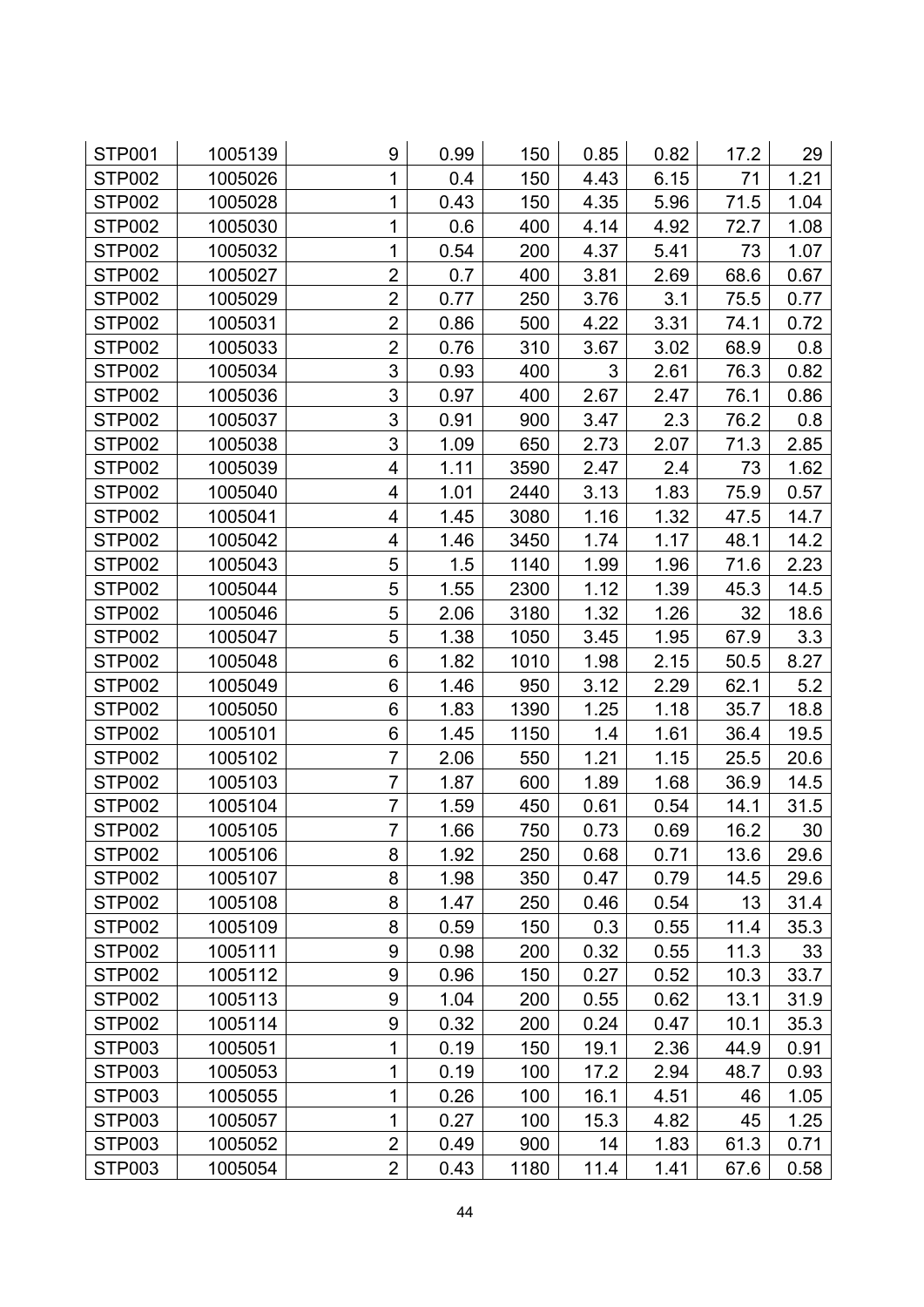| STP001        | 1005139 | 9                | 0.99 | 150  | 0.85 | 0.82 | 17.2 | 29   |
|---------------|---------|------------------|------|------|------|------|------|------|
| STP002        | 1005026 | 1                | 0.4  | 150  | 4.43 | 6.15 | 71   | 1.21 |
| <b>STP002</b> | 1005028 | 1                | 0.43 | 150  | 4.35 | 5.96 | 71.5 | 1.04 |
| <b>STP002</b> | 1005030 | 1                | 0.6  | 400  | 4.14 | 4.92 | 72.7 | 1.08 |
| <b>STP002</b> | 1005032 | $\mathbf 1$      | 0.54 | 200  | 4.37 | 5.41 | 73   | 1.07 |
| <b>STP002</b> | 1005027 | $\overline{2}$   | 0.7  | 400  | 3.81 | 2.69 | 68.6 | 0.67 |
| <b>STP002</b> | 1005029 | $\overline{2}$   | 0.77 | 250  | 3.76 | 3.1  | 75.5 | 0.77 |
| STP002        | 1005031 | $\overline{2}$   | 0.86 | 500  | 4.22 | 3.31 | 74.1 | 0.72 |
| <b>STP002</b> | 1005033 | $\overline{2}$   | 0.76 | 310  | 3.67 | 3.02 | 68.9 | 0.8  |
| STP002        | 1005034 | 3                | 0.93 | 400  | 3    | 2.61 | 76.3 | 0.82 |
| <b>STP002</b> | 1005036 | 3                | 0.97 | 400  | 2.67 | 2.47 | 76.1 | 0.86 |
| <b>STP002</b> | 1005037 | 3                | 0.91 | 900  | 3.47 | 2.3  | 76.2 | 0.8  |
| <b>STP002</b> | 1005038 | 3                | 1.09 | 650  | 2.73 | 2.07 | 71.3 | 2.85 |
| <b>STP002</b> | 1005039 | 4                | 1.11 | 3590 | 2.47 | 2.4  | 73   | 1.62 |
| <b>STP002</b> | 1005040 | 4                | 1.01 | 2440 | 3.13 | 1.83 | 75.9 | 0.57 |
| <b>STP002</b> | 1005041 | 4                | 1.45 | 3080 | 1.16 | 1.32 | 47.5 | 14.7 |
| STP002        | 1005042 | 4                | 1.46 | 3450 | 1.74 | 1.17 | 48.1 | 14.2 |
| <b>STP002</b> | 1005043 | 5                | 1.5  | 1140 | 1.99 | 1.96 | 71.6 | 2.23 |
| <b>STP002</b> | 1005044 | 5                | 1.55 | 2300 | 1.12 | 1.39 | 45.3 | 14.5 |
| <b>STP002</b> | 1005046 | 5                | 2.06 | 3180 | 1.32 | 1.26 | 32   | 18.6 |
| <b>STP002</b> | 1005047 | 5                | 1.38 | 1050 | 3.45 | 1.95 | 67.9 | 3.3  |
| <b>STP002</b> | 1005048 | 6                | 1.82 | 1010 | 1.98 | 2.15 | 50.5 | 8.27 |
| <b>STP002</b> | 1005049 | 6                | 1.46 | 950  | 3.12 | 2.29 | 62.1 | 5.2  |
| <b>STP002</b> | 1005050 | 6                | 1.83 | 1390 | 1.25 | 1.18 | 35.7 | 18.8 |
| <b>STP002</b> | 1005101 | 6                | 1.45 | 1150 | 1.4  | 1.61 | 36.4 | 19.5 |
| STP002        | 1005102 | 7                | 2.06 | 550  | 1.21 | 1.15 | 25.5 | 20.6 |
| STP002        | 1005103 | $\overline{7}$   | 1.87 | 600  | 1.89 | 1.68 | 36.9 | 14.5 |
| <b>STP002</b> | 1005104 | 7                | 1.59 | 450  | 0.61 | 0.54 | 14.1 | 31.5 |
| <b>STP002</b> | 1005105 | $\overline{7}$   | 1.66 | 750  | 0.73 | 0.69 | 16.2 | 30   |
| STP002        | 1005106 | 8                | 1.92 | 250  | 0.68 | 0.71 | 13.6 | 29.6 |
| STP002        | 1005107 | 8                | 1.98 | 350  | 0.47 | 0.79 | 14.5 | 29.6 |
| <b>STP002</b> | 1005108 | 8                | 1.47 | 250  | 0.46 | 0.54 | 13   | 31.4 |
| STP002        | 1005109 | 8                | 0.59 | 150  | 0.3  | 0.55 | 11.4 | 35.3 |
| STP002        | 1005111 | $\boldsymbol{9}$ | 0.98 | 200  | 0.32 | 0.55 | 11.3 | 33   |
| <b>STP002</b> | 1005112 | 9                | 0.96 | 150  | 0.27 | 0.52 | 10.3 | 33.7 |
| STP002        | 1005113 | 9                | 1.04 | 200  | 0.55 | 0.62 | 13.1 | 31.9 |
| STP002        | 1005114 | 9                | 0.32 | 200  | 0.24 | 0.47 | 10.1 | 35.3 |
| <b>STP003</b> | 1005051 | 1                | 0.19 | 150  | 19.1 | 2.36 | 44.9 | 0.91 |
| <b>STP003</b> | 1005053 | 1                | 0.19 | 100  | 17.2 | 2.94 | 48.7 | 0.93 |
| STP003        | 1005055 | $\mathbf{1}$     | 0.26 | 100  | 16.1 | 4.51 | 46   | 1.05 |
| STP003        | 1005057 | 1                | 0.27 | 100  | 15.3 | 4.82 | 45   | 1.25 |
| STP003        | 1005052 | $\overline{2}$   | 0.49 | 900  | 14   | 1.83 | 61.3 | 0.71 |
| STP003        | 1005054 | $\overline{2}$   | 0.43 | 1180 | 11.4 | 1.41 | 67.6 | 0.58 |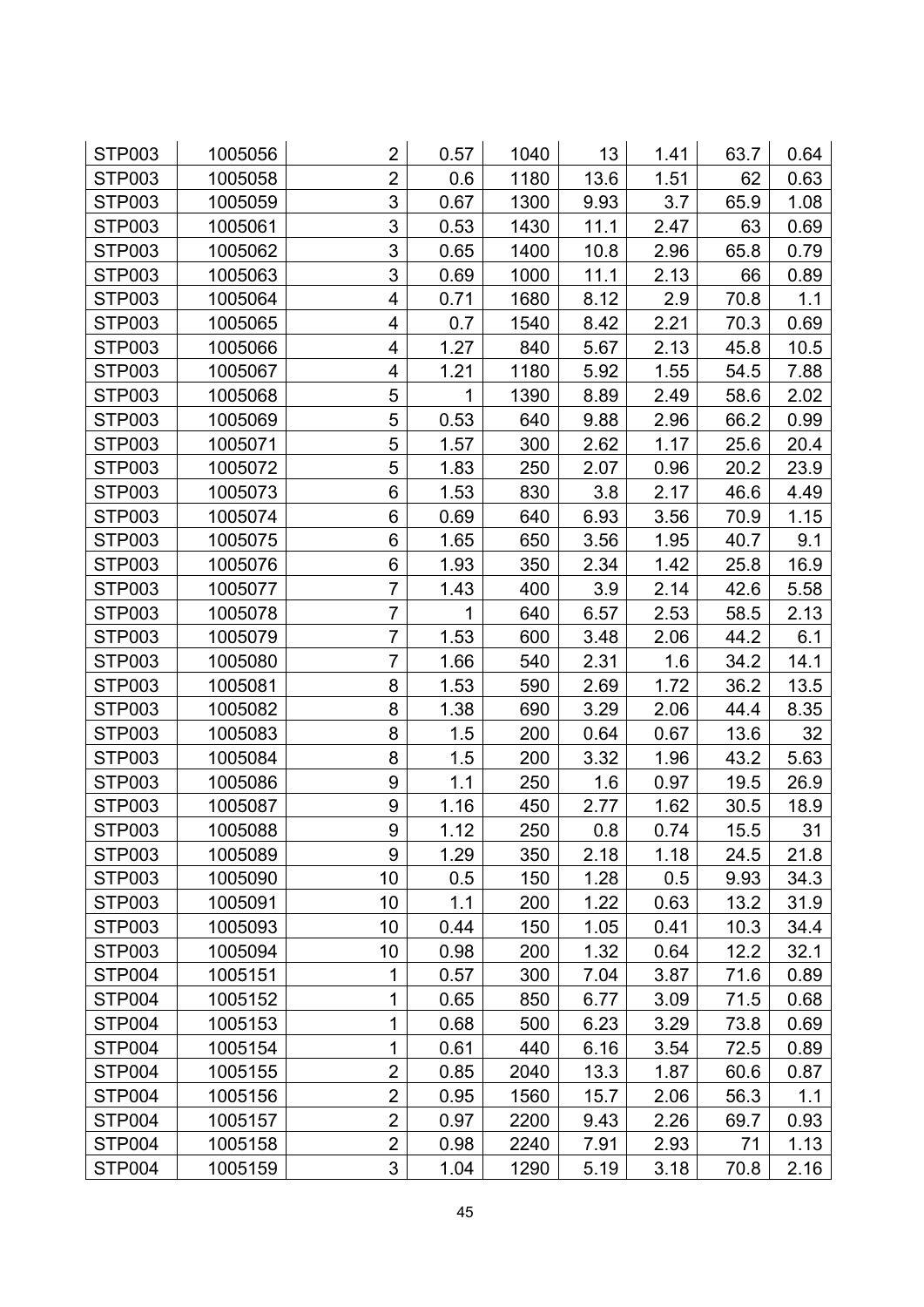| STP003        | 1005056 | 2              | 0.57 | 1040 | 13   | 1.41 | 63.7 | 0.64 |
|---------------|---------|----------------|------|------|------|------|------|------|
| STP003        | 1005058 | $\overline{2}$ | 0.6  | 1180 | 13.6 | 1.51 | 62   | 0.63 |
| <b>STP003</b> | 1005059 | 3              | 0.67 | 1300 | 9.93 | 3.7  | 65.9 | 1.08 |
| STP003        | 1005061 | 3              | 0.53 | 1430 | 11.1 | 2.47 | 63   | 0.69 |
| <b>STP003</b> | 1005062 | 3              | 0.65 | 1400 | 10.8 | 2.96 | 65.8 | 0.79 |
| STP003        | 1005063 | 3              | 0.69 | 1000 | 11.1 | 2.13 | 66   | 0.89 |
| STP003        | 1005064 | 4              | 0.71 | 1680 | 8.12 | 2.9  | 70.8 | 1.1  |
| <b>STP003</b> | 1005065 | 4              | 0.7  | 1540 | 8.42 | 2.21 | 70.3 | 0.69 |
| <b>STP003</b> | 1005066 | 4              | 1.27 | 840  | 5.67 | 2.13 | 45.8 | 10.5 |
| <b>STP003</b> | 1005067 | 4              | 1.21 | 1180 | 5.92 | 1.55 | 54.5 | 7.88 |
| STP003        | 1005068 | 5              | 1    | 1390 | 8.89 | 2.49 | 58.6 | 2.02 |
| <b>STP003</b> | 1005069 | 5              | 0.53 | 640  | 9.88 | 2.96 | 66.2 | 0.99 |
| STP003        | 1005071 | 5              | 1.57 | 300  | 2.62 | 1.17 | 25.6 | 20.4 |
| STP003        | 1005072 | 5              | 1.83 | 250  | 2.07 | 0.96 | 20.2 | 23.9 |
| STP003        | 1005073 | 6              | 1.53 | 830  | 3.8  | 2.17 | 46.6 | 4.49 |
| STP003        | 1005074 | 6              | 0.69 | 640  | 6.93 | 3.56 | 70.9 | 1.15 |
| <b>STP003</b> | 1005075 | 6              | 1.65 | 650  | 3.56 | 1.95 | 40.7 | 9.1  |
| <b>STP003</b> | 1005076 | 6              | 1.93 | 350  | 2.34 | 1.42 | 25.8 | 16.9 |
| STP003        | 1005077 | 7              | 1.43 | 400  | 3.9  | 2.14 | 42.6 | 5.58 |
| <b>STP003</b> | 1005078 | $\overline{7}$ | 1    | 640  | 6.57 | 2.53 | 58.5 | 2.13 |
| STP003        | 1005079 | 7              | 1.53 | 600  | 3.48 | 2.06 | 44.2 | 6.1  |
| <b>STP003</b> | 1005080 | $\overline{7}$ | 1.66 | 540  | 2.31 | 1.6  | 34.2 | 14.1 |
| STP003        | 1005081 | 8              | 1.53 | 590  | 2.69 | 1.72 | 36.2 | 13.5 |
| STP003        | 1005082 | 8              | 1.38 | 690  | 3.29 | 2.06 | 44.4 | 8.35 |
| <b>STP003</b> | 1005083 | 8              | 1.5  | 200  | 0.64 | 0.67 | 13.6 | 32   |
| STP003        | 1005084 | 8              | 1.5  | 200  | 3.32 | 1.96 | 43.2 | 5.63 |
| STP003        | 1005086 | 9              | 1.1  | 250  | 1.6  | 0.97 | 19.5 | 26.9 |
| <b>STP003</b> | 1005087 | 9              | 1.16 | 450  | 2.77 | 1.62 | 30.5 | 18.9 |
| <b>STP003</b> | 1005088 | 9              | 1.12 | 250  | 0.8  | 0.74 | 15.5 | 31   |
| STP003        | 1005089 | 9              | 1.29 | 350  | 2.18 | 1.18 | 24.5 | 21.8 |
| STP003        | 1005090 | 10             | 0.5  | 150  | 1.28 | 0.5  | 9.93 | 34.3 |
| STP003        | 1005091 | 10             | 1.1  | 200  | 1.22 | 0.63 | 13.2 | 31.9 |
| STP003        | 1005093 | 10             | 0.44 | 150  | 1.05 | 0.41 | 10.3 | 34.4 |
| <b>STP003</b> | 1005094 | 10             | 0.98 | 200  | 1.32 | 0.64 | 12.2 | 32.1 |
| STP004        | 1005151 | 1              | 0.57 | 300  | 7.04 | 3.87 | 71.6 | 0.89 |
| STP004        | 1005152 | 1              | 0.65 | 850  | 6.77 | 3.09 | 71.5 | 0.68 |
| STP004        | 1005153 | $\mathbf{1}$   | 0.68 | 500  | 6.23 | 3.29 | 73.8 | 0.69 |
| STP004        | 1005154 | 1              | 0.61 | 440  | 6.16 | 3.54 | 72.5 | 0.89 |
| STP004        | 1005155 | $\overline{2}$ | 0.85 | 2040 | 13.3 | 1.87 | 60.6 | 0.87 |
| STP004        | 1005156 | $\overline{2}$ | 0.95 | 1560 | 15.7 | 2.06 | 56.3 | 1.1  |
| STP004        | 1005157 | $\overline{2}$ | 0.97 | 2200 | 9.43 | 2.26 | 69.7 | 0.93 |
| STP004        | 1005158 | $\overline{2}$ | 0.98 | 2240 | 7.91 | 2.93 | 71   | 1.13 |
| STP004        | 1005159 | 3              | 1.04 | 1290 | 5.19 | 3.18 | 70.8 | 2.16 |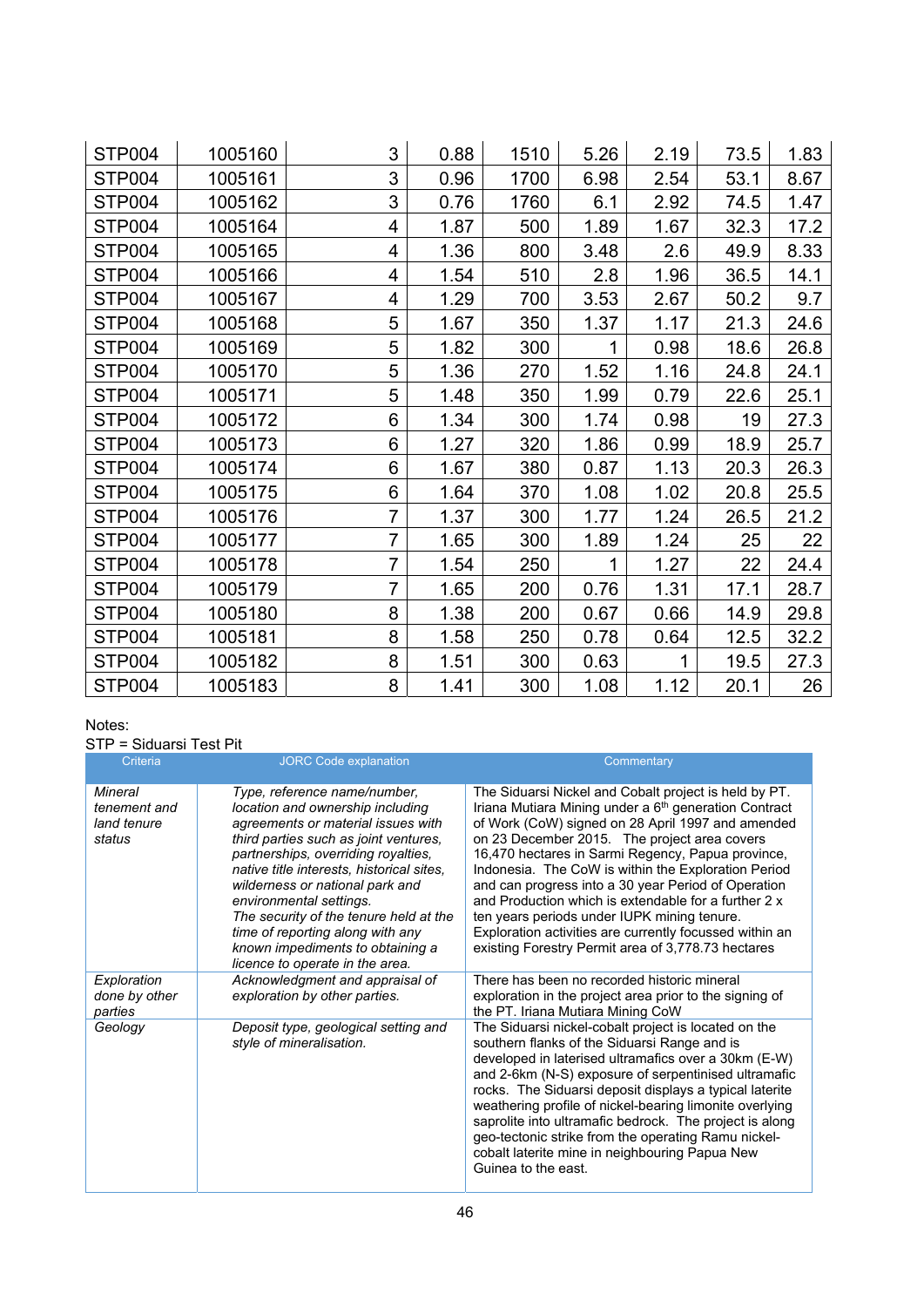| STP004        | 1005160 | 3 | 0.88 | 1510 | 5.26 | 2.19 | 73.5 | 1.83 |
|---------------|---------|---|------|------|------|------|------|------|
| STP004        | 1005161 | 3 | 0.96 | 1700 | 6.98 | 2.54 | 53.1 | 8.67 |
| STP004        | 1005162 | 3 | 0.76 | 1760 | 6.1  | 2.92 | 74.5 | 1.47 |
| STP004        | 1005164 | 4 | 1.87 | 500  | 1.89 | 1.67 | 32.3 | 17.2 |
| STP004        | 1005165 | 4 | 1.36 | 800  | 3.48 | 2.6  | 49.9 | 8.33 |
| STP004        | 1005166 | 4 | 1.54 | 510  | 2.8  | 1.96 | 36.5 | 14.1 |
| <b>STP004</b> | 1005167 | 4 | 1.29 | 700  | 3.53 | 2.67 | 50.2 | 9.7  |
| STP004        | 1005168 | 5 | 1.67 | 350  | 1.37 | 1.17 | 21.3 | 24.6 |
| <b>STP004</b> | 1005169 | 5 | 1.82 | 300  | 1    | 0.98 | 18.6 | 26.8 |
| STP004        | 1005170 | 5 | 1.36 | 270  | 1.52 | 1.16 | 24.8 | 24.1 |
| STP004        | 1005171 | 5 | 1.48 | 350  | 1.99 | 0.79 | 22.6 | 25.1 |
| STP004        | 1005172 | 6 | 1.34 | 300  | 1.74 | 0.98 | 19   | 27.3 |
| STP004        | 1005173 | 6 | 1.27 | 320  | 1.86 | 0.99 | 18.9 | 25.7 |
| <b>STP004</b> | 1005174 | 6 | 1.67 | 380  | 0.87 | 1.13 | 20.3 | 26.3 |
| STP004        | 1005175 | 6 | 1.64 | 370  | 1.08 | 1.02 | 20.8 | 25.5 |
| STP004        | 1005176 | 7 | 1.37 | 300  | 1.77 | 1.24 | 26.5 | 21.2 |
| STP004        | 1005177 | 7 | 1.65 | 300  | 1.89 | 1.24 | 25   | 22   |
| STP004        | 1005178 | 7 | 1.54 | 250  | 1    | 1.27 | 22   | 24.4 |
| STP004        | 1005179 | 7 | 1.65 | 200  | 0.76 | 1.31 | 17.1 | 28.7 |
| STP004        | 1005180 | 8 | 1.38 | 200  | 0.67 | 0.66 | 14.9 | 29.8 |
| STP004        | 1005181 | 8 | 1.58 | 250  | 0.78 | 0.64 | 12.5 | 32.2 |
| STP004        | 1005182 | 8 | 1.51 | 300  | 0.63 | 1    | 19.5 | 27.3 |
| STP004        | 1005183 | 8 | 1.41 | 300  | 1.08 | 1.12 | 20.1 | 26   |

### Notes:

## STP = Siduarsi Test Pit

| Criteria                                         | <b>JORC Code explanation</b>                                                                                                                                                                                                                                                                                                                                                                                                                           | Commentary                                                                                                                                                                                                                                                                                                                                                                                                                                                                                                                                                                                                                 |
|--------------------------------------------------|--------------------------------------------------------------------------------------------------------------------------------------------------------------------------------------------------------------------------------------------------------------------------------------------------------------------------------------------------------------------------------------------------------------------------------------------------------|----------------------------------------------------------------------------------------------------------------------------------------------------------------------------------------------------------------------------------------------------------------------------------------------------------------------------------------------------------------------------------------------------------------------------------------------------------------------------------------------------------------------------------------------------------------------------------------------------------------------------|
| Mineral<br>tenement and<br>land tenure<br>status | Type, reference name/number,<br>location and ownership including<br>agreements or material issues with<br>third parties such as joint ventures,<br>partnerships, overriding royalties,<br>native title interests, historical sites,<br>wilderness or national park and<br>environmental settings.<br>The security of the tenure held at the<br>time of reporting along with any<br>known impediments to obtaining a<br>licence to operate in the area. | The Siduarsi Nickel and Cobalt project is held by PT.<br>Iriana Mutiara Mining under a 6 <sup>th</sup> generation Contract<br>of Work (CoW) signed on 28 April 1997 and amended<br>on 23 December 2015. The project area covers<br>16,470 hectares in Sarmi Regency, Papua province,<br>Indonesia. The CoW is within the Exploration Period<br>and can progress into a 30 year Period of Operation<br>and Production which is extendable for a further 2 x<br>ten years periods under IUPK mining tenure.<br>Exploration activities are currently focussed within an<br>existing Forestry Permit area of 3,778.73 hectares |
| Exploration<br>done by other<br>parties          | Acknowledgment and appraisal of<br>exploration by other parties.                                                                                                                                                                                                                                                                                                                                                                                       | There has been no recorded historic mineral<br>exploration in the project area prior to the signing of<br>the PT. Iriana Mutiara Mining CoW                                                                                                                                                                                                                                                                                                                                                                                                                                                                                |
| Geology                                          | Deposit type, geological setting and<br>style of mineralisation.                                                                                                                                                                                                                                                                                                                                                                                       | The Siduarsi nickel-cobalt project is located on the<br>southern flanks of the Siduarsi Range and is<br>developed in laterised ultramafics over a 30km (E-W)<br>and 2-6km (N-S) exposure of serpentinised ultramafic<br>rocks. The Siduarsi deposit displays a typical laterite<br>weathering profile of nickel-bearing limonite overlying<br>saprolite into ultramafic bedrock. The project is along<br>geo-tectonic strike from the operating Ramu nickel-<br>cobalt laterite mine in neighbouring Papua New<br>Guinea to the east.                                                                                      |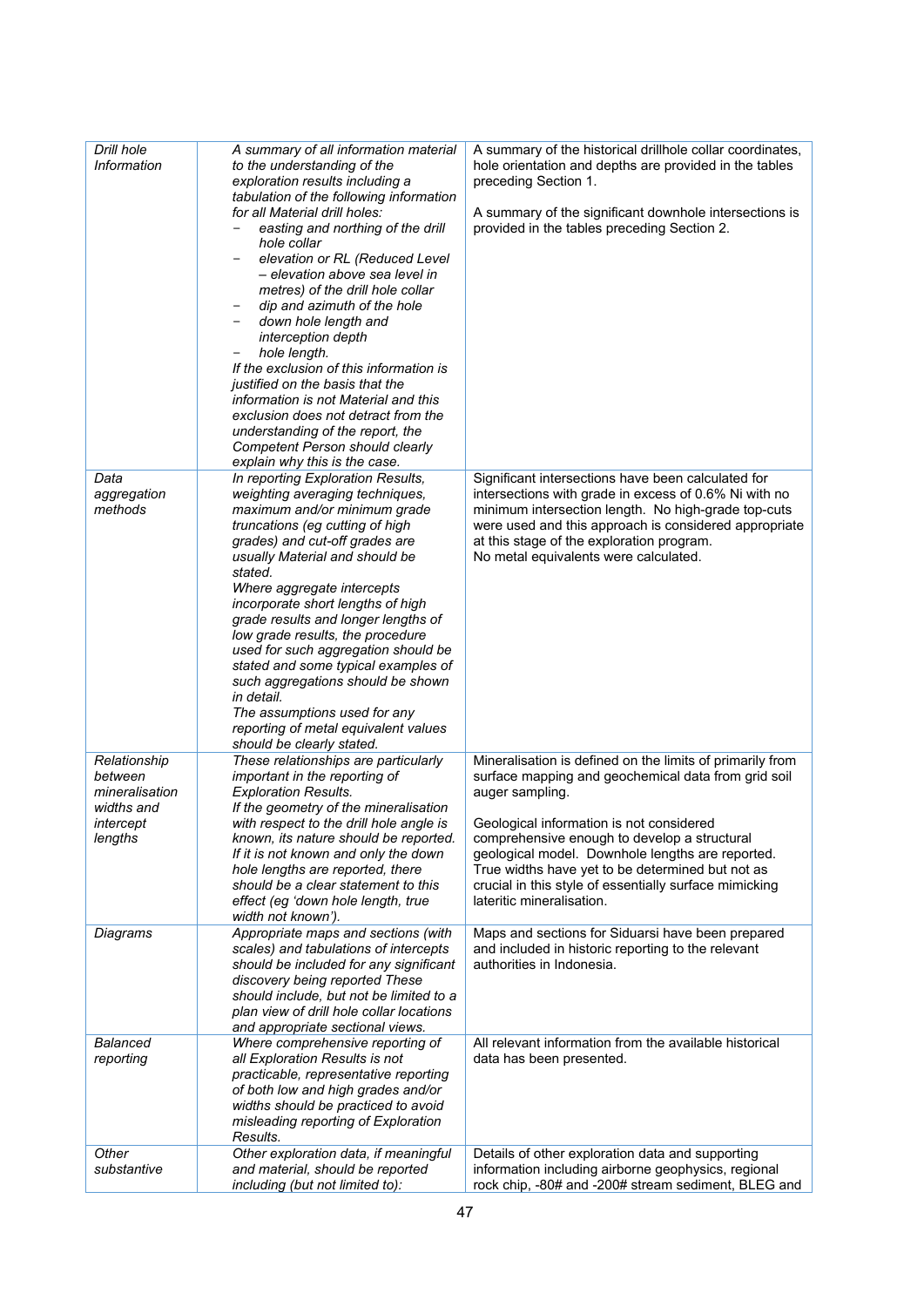| Drill hole<br>Information                 | A summary of all information material<br>to the understanding of the                                                                                                    | A summary of the historical drillhole collar coordinates,<br>hole orientation and depths are provided in the tables                                                                                                                                         |
|-------------------------------------------|-------------------------------------------------------------------------------------------------------------------------------------------------------------------------|-------------------------------------------------------------------------------------------------------------------------------------------------------------------------------------------------------------------------------------------------------------|
|                                           | exploration results including a<br>tabulation of the following information                                                                                              | preceding Section 1.                                                                                                                                                                                                                                        |
|                                           | for all Material drill holes:<br>easting and northing of the drill                                                                                                      | A summary of the significant downhole intersections is<br>provided in the tables preceding Section 2.                                                                                                                                                       |
|                                           | hole collar<br>elevation or RL (Reduced Level<br>- elevation above sea level in<br>metres) of the drill hole collar<br>dip and azimuth of the hole<br>$\qquad \qquad -$ |                                                                                                                                                                                                                                                             |
|                                           | down hole length and<br>$\qquad \qquad -$<br>interception depth<br>hole length.                                                                                         |                                                                                                                                                                                                                                                             |
|                                           | If the exclusion of this information is<br>justified on the basis that the<br>information is not Material and this                                                      |                                                                                                                                                                                                                                                             |
|                                           | exclusion does not detract from the<br>understanding of the report, the<br>Competent Person should clearly<br>explain why this is the case.                             |                                                                                                                                                                                                                                                             |
| Data                                      | In reporting Exploration Results,                                                                                                                                       | Significant intersections have been calculated for                                                                                                                                                                                                          |
| aggregation<br>methods                    | weighting averaging techniques,<br>maximum and/or minimum grade<br>truncations (eg cutting of high<br>grades) and cut-off grades are<br>usually Material and should be  | intersections with grade in excess of 0.6% Ni with no<br>minimum intersection length. No high-grade top-cuts<br>were used and this approach is considered appropriate<br>at this stage of the exploration program.<br>No metal equivalents were calculated. |
|                                           | stated.<br>Where aggregate intercepts<br>incorporate short lengths of high                                                                                              |                                                                                                                                                                                                                                                             |
|                                           | grade results and longer lengths of                                                                                                                                     |                                                                                                                                                                                                                                                             |
|                                           | low grade results, the procedure<br>used for such aggregation should be<br>stated and some typical examples of                                                          |                                                                                                                                                                                                                                                             |
|                                           | such aggregations should be shown<br>in detail.                                                                                                                         |                                                                                                                                                                                                                                                             |
|                                           | The assumptions used for any<br>reporting of metal equivalent values<br>should be clearly stated.                                                                       |                                                                                                                                                                                                                                                             |
| Relationship<br>between<br>mineralisation | These relationships are particularly<br>important in the reporting of<br><b>Exploration Results.</b>                                                                    | Mineralisation is defined on the limits of primarily from<br>surface mapping and geochemical data from grid soil<br>auger sampling.                                                                                                                         |
| widths and<br>intercept                   | If the geometry of the mineralisation<br>with respect to the drill hole angle is                                                                                        | Geological information is not considered                                                                                                                                                                                                                    |
| lengths                                   | known, its nature should be reported.<br>If it is not known and only the down<br>hole lengths are reported, there                                                       | comprehensive enough to develop a structural<br>geological model. Downhole lengths are reported.<br>True widths have yet to be determined but not as                                                                                                        |
|                                           | should be a clear statement to this<br>effect (eg 'down hole length, true<br>width not known').                                                                         | crucial in this style of essentially surface mimicking<br>lateritic mineralisation.                                                                                                                                                                         |
| Diagrams                                  | Appropriate maps and sections (with<br>scales) and tabulations of intercepts                                                                                            | Maps and sections for Siduarsi have been prepared<br>and included in historic reporting to the relevant                                                                                                                                                     |
|                                           | should be included for any significant<br>discovery being reported These                                                                                                | authorities in Indonesia.                                                                                                                                                                                                                                   |
|                                           | should include, but not be limited to a<br>plan view of drill hole collar locations                                                                                     |                                                                                                                                                                                                                                                             |
| <b>Balanced</b>                           | and appropriate sectional views.<br>Where comprehensive reporting of                                                                                                    | All relevant information from the available historical                                                                                                                                                                                                      |
| reporting                                 | all Exploration Results is not<br>practicable, representative reporting                                                                                                 | data has been presented.                                                                                                                                                                                                                                    |
|                                           | of both low and high grades and/or                                                                                                                                      |                                                                                                                                                                                                                                                             |
|                                           | widths should be practiced to avoid<br>misleading reporting of Exploration                                                                                              |                                                                                                                                                                                                                                                             |
| Other                                     | Results.<br>Other exploration data, if meaningful                                                                                                                       | Details of other exploration data and supporting                                                                                                                                                                                                            |
| substantive                               | and material, should be reported                                                                                                                                        | information including airborne geophysics, regional                                                                                                                                                                                                         |
|                                           | including (but not limited to):                                                                                                                                         | rock chip, -80# and -200# stream sediment, BLEG and                                                                                                                                                                                                         |